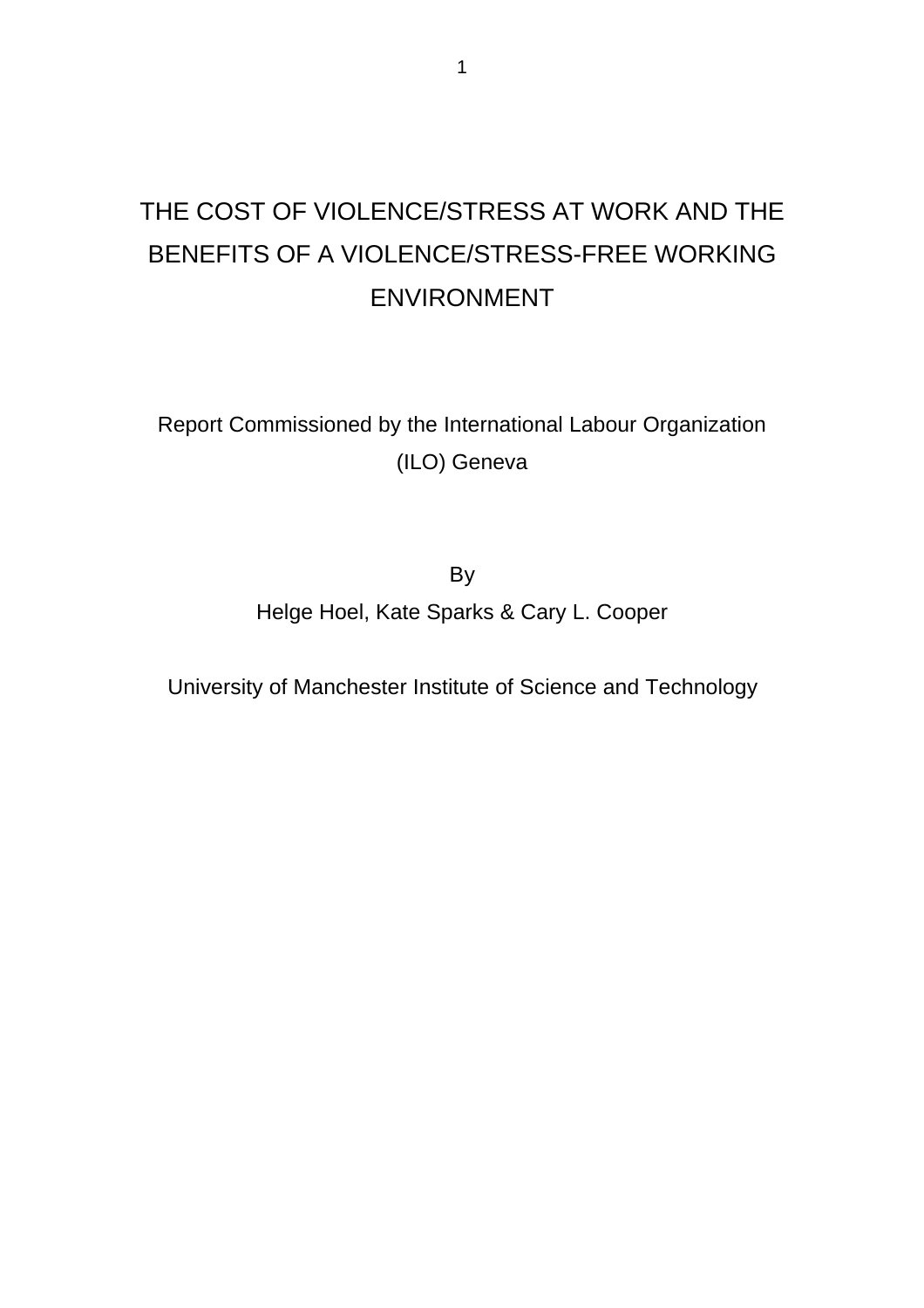# THE COST OF VIOLENCE/STRESS AT WORK AND THE BENEFITS OF A VIOLENCE/STRESS-FREE WORKING ENVIRONMENT

Report Commissioned by the International Labour Organization (ILO) Geneva

> By Helge Hoel, Kate Sparks & Cary L. Cooper

University of Manchester Institute of Science and Technology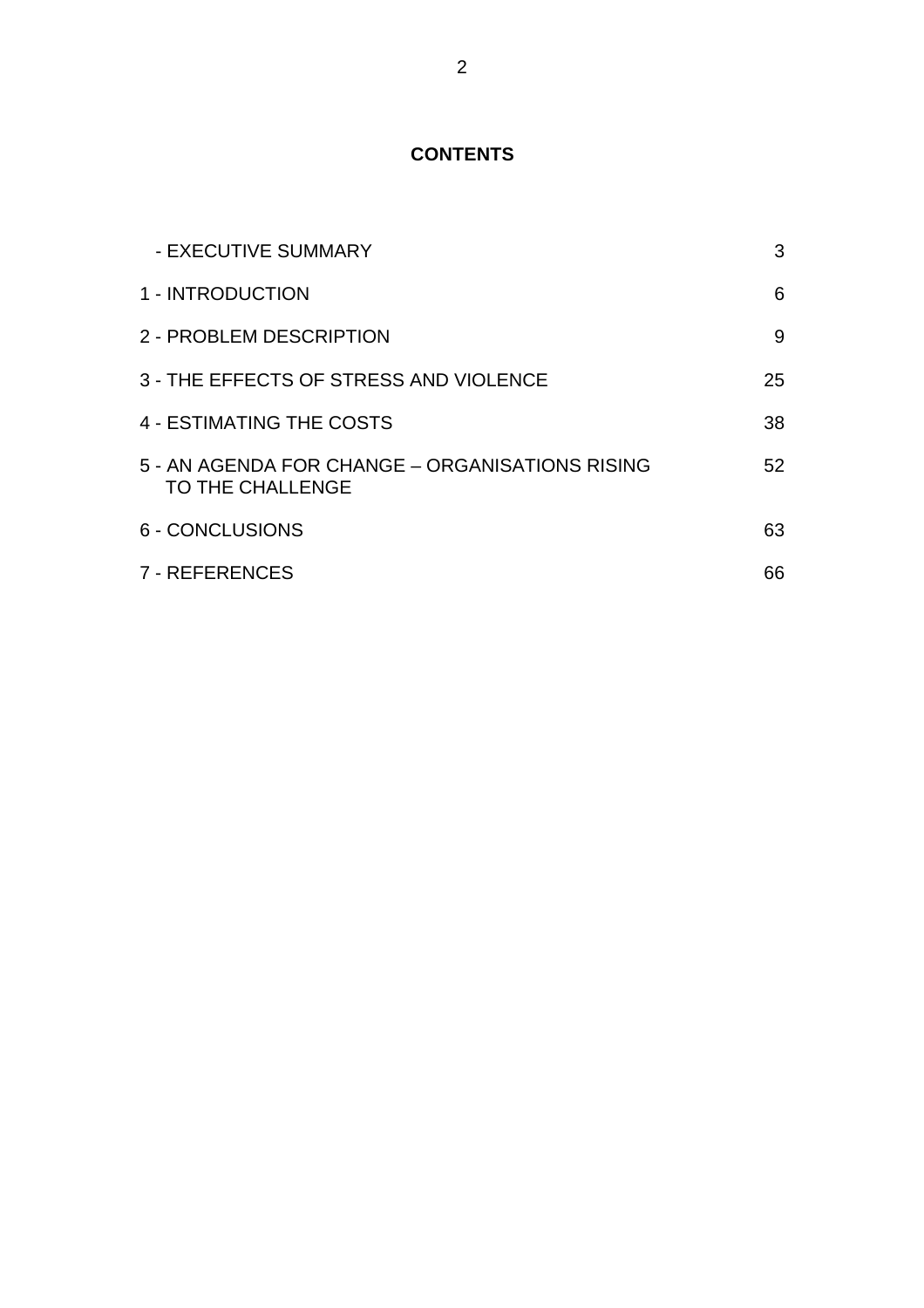# **CONTENTS**

| - EXECUTIVE SUMMARY                                                 | 3  |
|---------------------------------------------------------------------|----|
| 1 - INTRODUCTION                                                    | 6  |
| 2 - PROBLEM DESCRIPTION                                             | 9  |
| 3 - THE EFFECTS OF STRESS AND VIOLENCE                              | 25 |
| 4 - ESTIMATING THE COSTS                                            | 38 |
| 5 - AN AGENDA FOR CHANGE - ORGANISATIONS RISING<br>TO THE CHALLENGE | 52 |
| 6 - CONCLUSIONS                                                     | 63 |
| 7 - REFERENCES                                                      | 66 |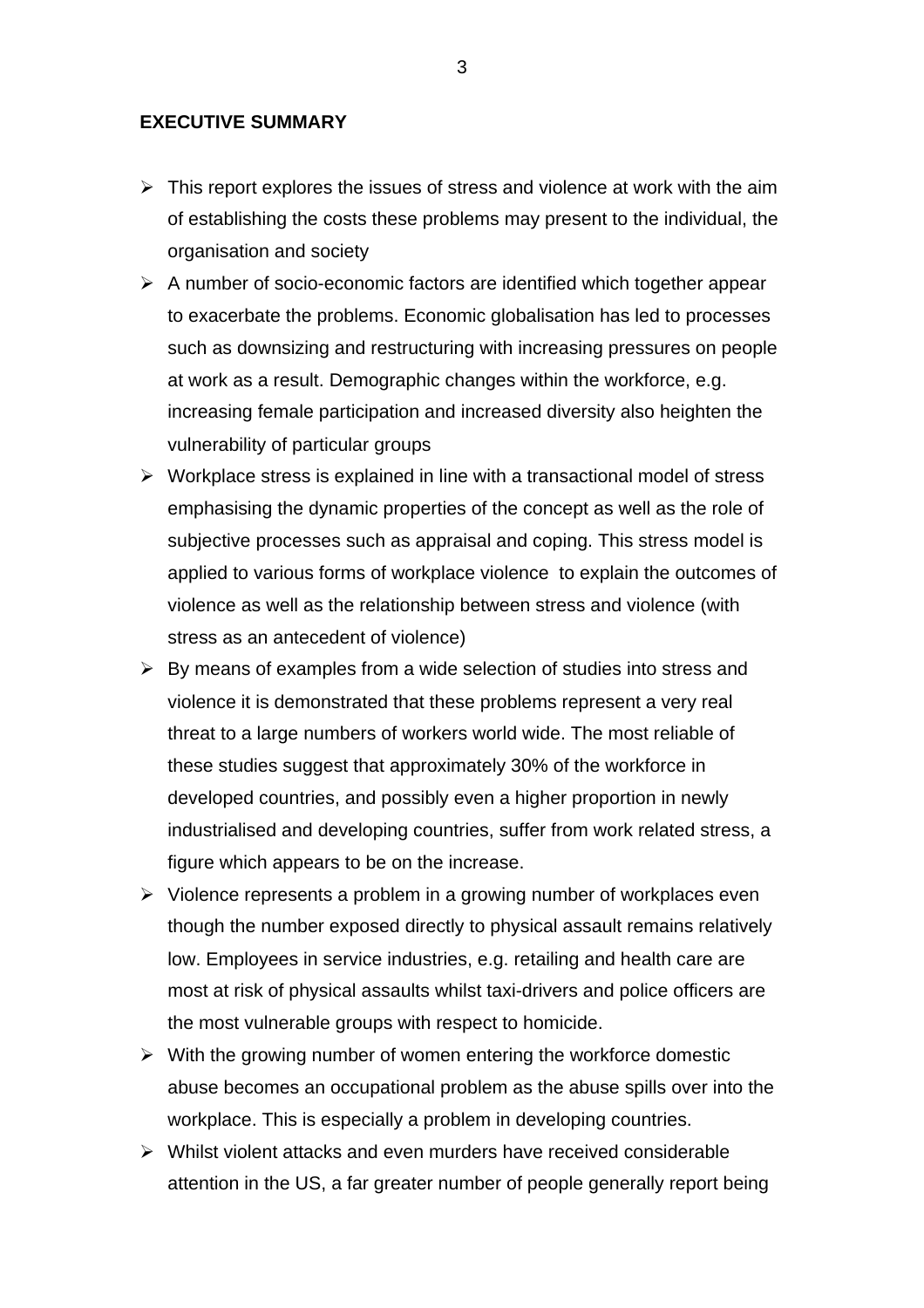## **EXECUTIVE SUMMARY**

- $\triangleright$  This report explores the issues of stress and violence at work with the aim of establishing the costs these problems may present to the individual, the organisation and society
- $\triangleright$  A number of socio-economic factors are identified which together appear to exacerbate the problems. Economic globalisation has led to processes such as downsizing and restructuring with increasing pressures on people at work as a result. Demographic changes within the workforce, e.g. increasing female participation and increased diversity also heighten the vulnerability of particular groups
- $\triangleright$  Workplace stress is explained in line with a transactional model of stress emphasising the dynamic properties of the concept as well as the role of subjective processes such as appraisal and coping. This stress model is applied to various forms of workplace violence to explain the outcomes of violence as well as the relationship between stress and violence (with stress as an antecedent of violence)
- $\triangleright$  By means of examples from a wide selection of studies into stress and violence it is demonstrated that these problems represent a very real threat to a large numbers of workers world wide. The most reliable of these studies suggest that approximately 30% of the workforce in developed countries, and possibly even a higher proportion in newly industrialised and developing countries, suffer from work related stress, a figure which appears to be on the increase.
- $\triangleright$  Violence represents a problem in a growing number of workplaces even though the number exposed directly to physical assault remains relatively low. Employees in service industries, e.g. retailing and health care are most at risk of physical assaults whilst taxi-drivers and police officers are the most vulnerable groups with respect to homicide.
- $\triangleright$  With the growing number of women entering the workforce domestic abuse becomes an occupational problem as the abuse spills over into the workplace. This is especially a problem in developing countries.
- $\triangleright$  Whilst violent attacks and even murders have received considerable attention in the US, a far greater number of people generally report being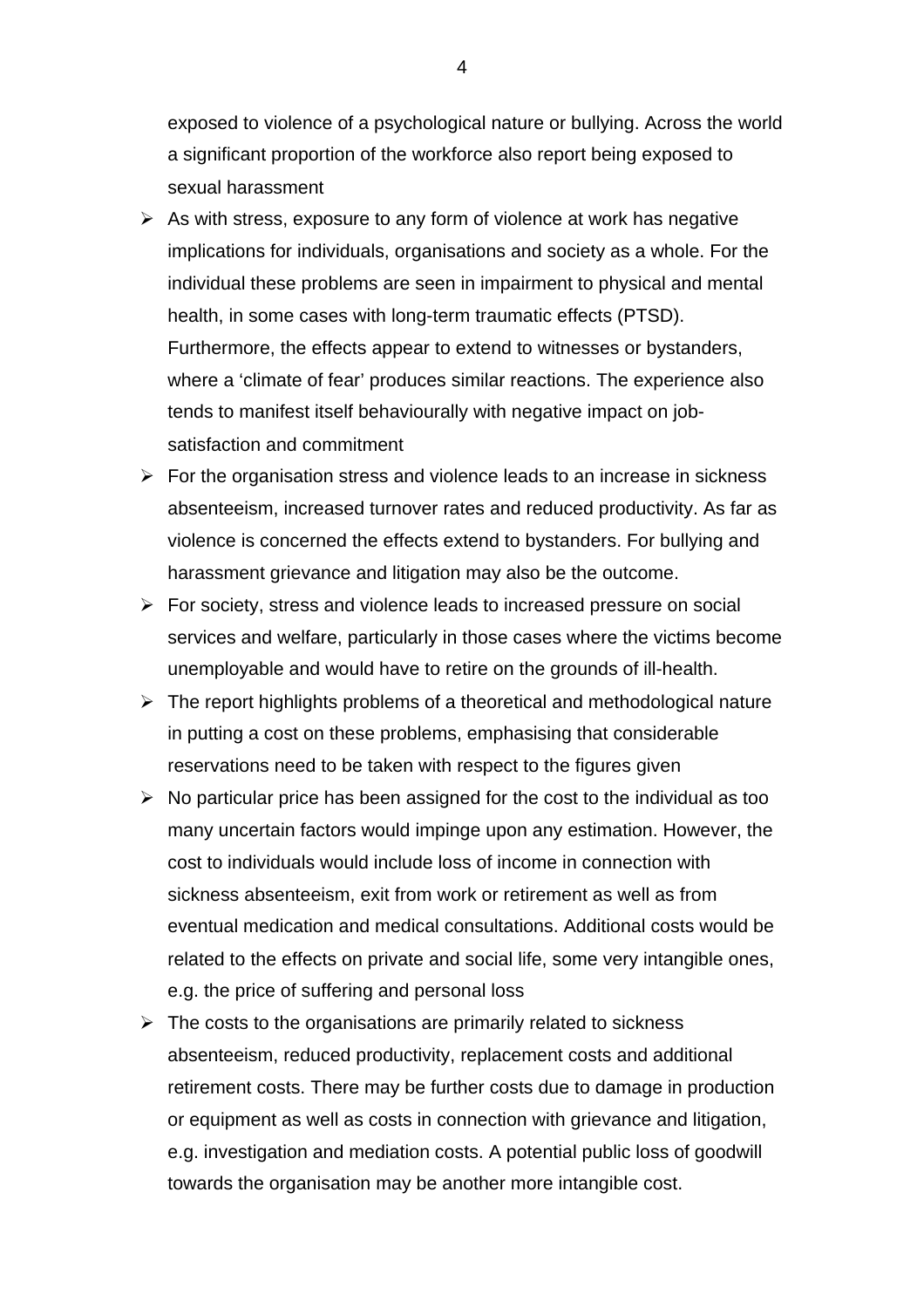exposed to violence of a psychological nature or bullying. Across the world a significant proportion of the workforce also report being exposed to sexual harassment

- $\triangleright$  As with stress, exposure to any form of violence at work has negative implications for individuals, organisations and society as a whole. For the individual these problems are seen in impairment to physical and mental health, in some cases with long-term traumatic effects (PTSD). Furthermore, the effects appear to extend to witnesses or bystanders, where a 'climate of fear' produces similar reactions. The experience also tends to manifest itself behaviourally with negative impact on jobsatisfaction and commitment
- $\triangleright$  For the organisation stress and violence leads to an increase in sickness absenteeism, increased turnover rates and reduced productivity. As far as violence is concerned the effects extend to bystanders. For bullying and harassment grievance and litigation may also be the outcome.
- $\triangleright$  For society, stress and violence leads to increased pressure on social services and welfare, particularly in those cases where the victims become unemployable and would have to retire on the grounds of ill-health.
- $\triangleright$  The report highlights problems of a theoretical and methodological nature in putting a cost on these problems, emphasising that considerable reservations need to be taken with respect to the figures given
- $\triangleright$  No particular price has been assigned for the cost to the individual as too many uncertain factors would impinge upon any estimation. However, the cost to individuals would include loss of income in connection with sickness absenteeism, exit from work or retirement as well as from eventual medication and medical consultations. Additional costs would be related to the effects on private and social life, some very intangible ones, e.g. the price of suffering and personal loss
- $\triangleright$  The costs to the organisations are primarily related to sickness absenteeism, reduced productivity, replacement costs and additional retirement costs. There may be further costs due to damage in production or equipment as well as costs in connection with grievance and litigation, e.g. investigation and mediation costs. A potential public loss of goodwill towards the organisation may be another more intangible cost.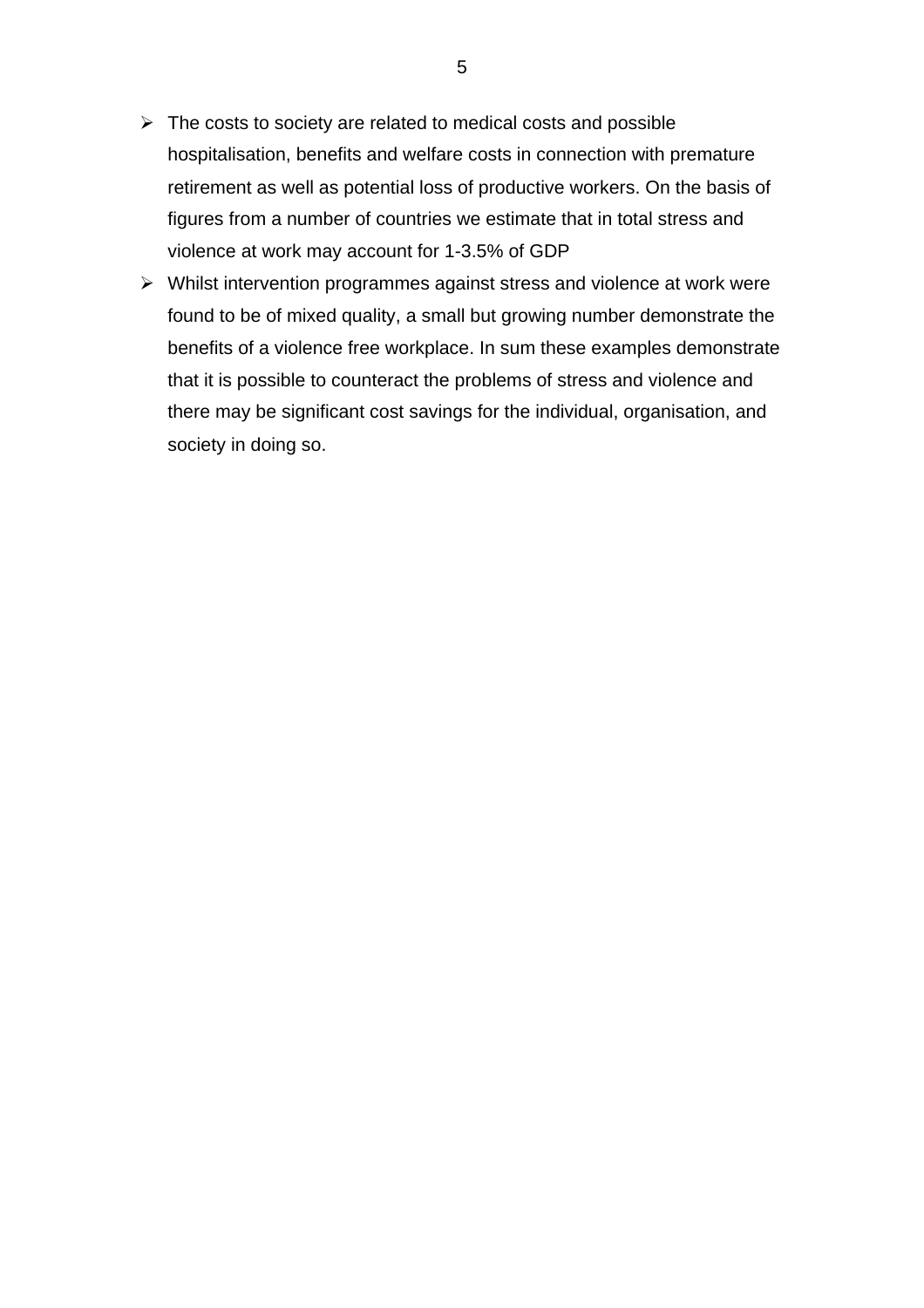- $\triangleright$  The costs to society are related to medical costs and possible hospitalisation, benefits and welfare costs in connection with premature retirement as well as potential loss of productive workers. On the basis of figures from a number of countries we estimate that in total stress and violence at work may account for 1-3.5% of GDP
- $\triangleright$  Whilst intervention programmes against stress and violence at work were found to be of mixed quality, a small but growing number demonstrate the benefits of a violence free workplace. In sum these examples demonstrate that it is possible to counteract the problems of stress and violence and there may be significant cost savings for the individual, organisation, and society in doing so.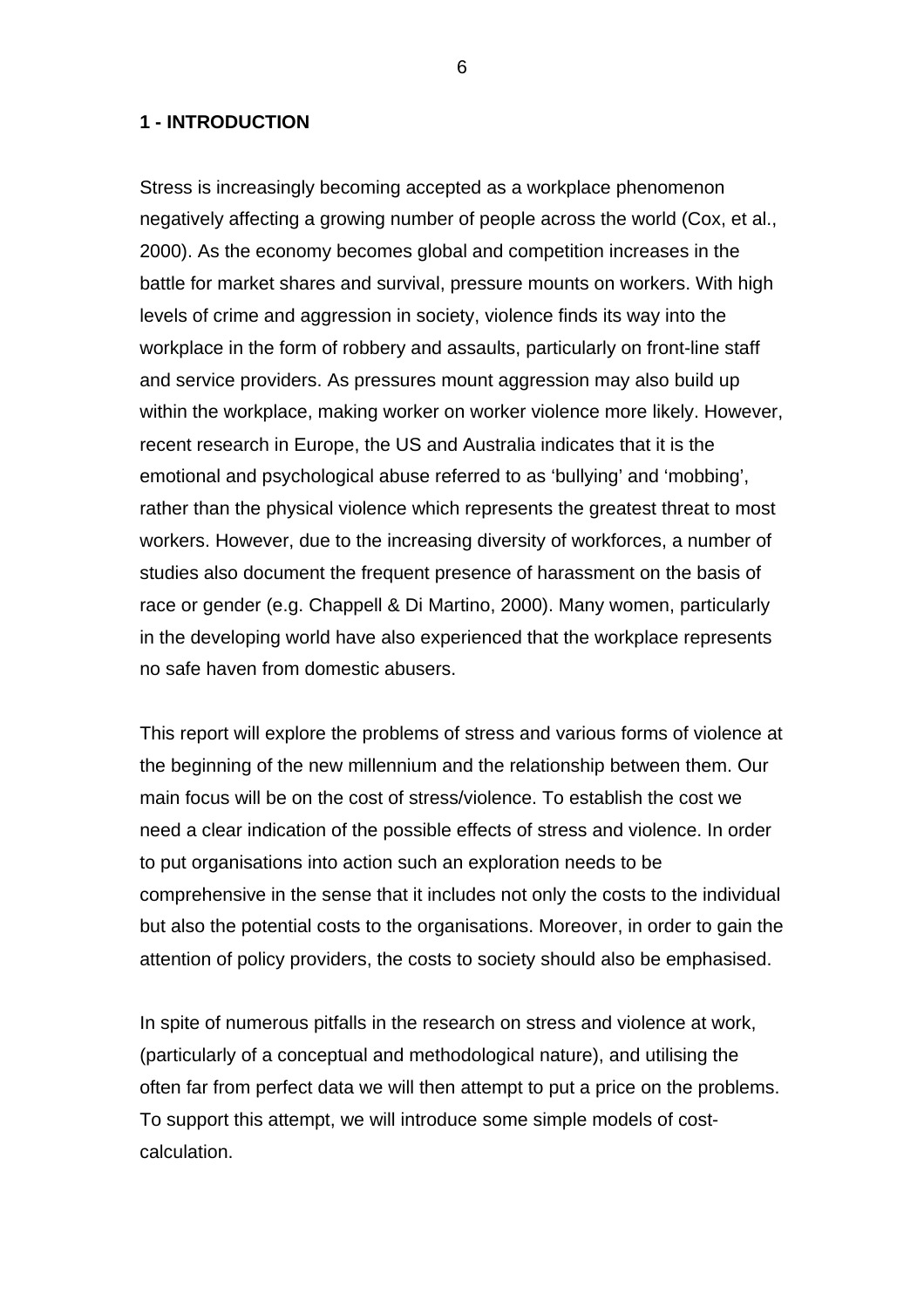## **1 - INTRODUCTION**

Stress is increasingly becoming accepted as a workplace phenomenon negatively affecting a growing number of people across the world (Cox, et al., 2000). As the economy becomes global and competition increases in the battle for market shares and survival, pressure mounts on workers. With high levels of crime and aggression in society, violence finds its way into the workplace in the form of robbery and assaults, particularly on front-line staff and service providers. As pressures mount aggression may also build up within the workplace, making worker on worker violence more likely. However, recent research in Europe, the US and Australia indicates that it is the emotional and psychological abuse referred to as 'bullying' and 'mobbing', rather than the physical violence which represents the greatest threat to most workers. However, due to the increasing diversity of workforces, a number of studies also document the frequent presence of harassment on the basis of race or gender (e.g. Chappell & Di Martino, 2000). Many women, particularly in the developing world have also experienced that the workplace represents no safe haven from domestic abusers.

This report will explore the problems of stress and various forms of violence at the beginning of the new millennium and the relationship between them. Our main focus will be on the cost of stress/violence. To establish the cost we need a clear indication of the possible effects of stress and violence. In order to put organisations into action such an exploration needs to be comprehensive in the sense that it includes not only the costs to the individual but also the potential costs to the organisations. Moreover, in order to gain the attention of policy providers, the costs to society should also be emphasised.

In spite of numerous pitfalls in the research on stress and violence at work, (particularly of a conceptual and methodological nature), and utilising the often far from perfect data we will then attempt to put a price on the problems. To support this attempt, we will introduce some simple models of costcalculation.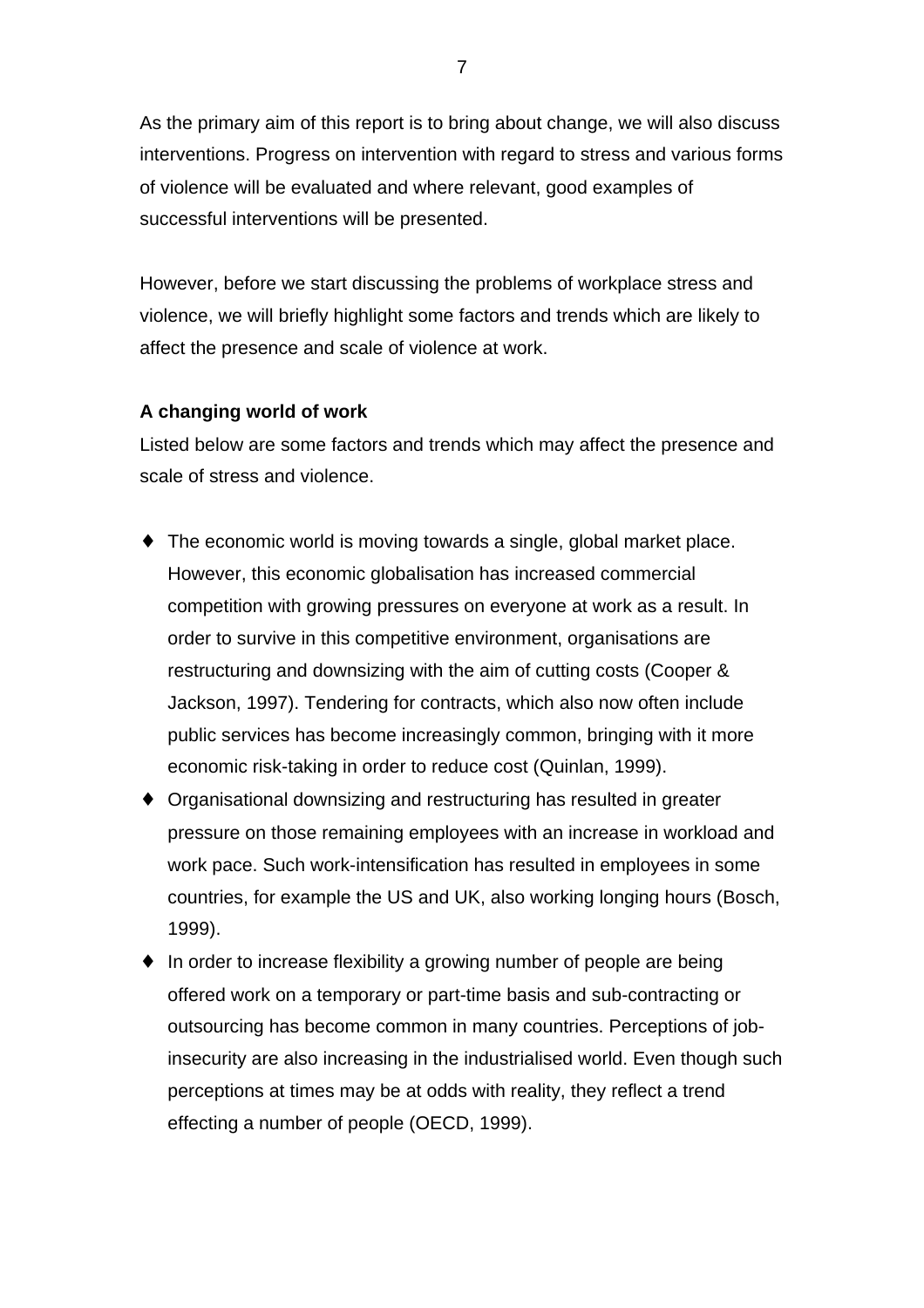As the primary aim of this report is to bring about change, we will also discuss interventions. Progress on intervention with regard to stress and various forms of violence will be evaluated and where relevant, good examples of successful interventions will be presented.

However, before we start discussing the problems of workplace stress and violence, we will briefly highlight some factors and trends which are likely to affect the presence and scale of violence at work.

## **A changing world of work**

Listed below are some factors and trends which may affect the presence and scale of stress and violence.

- $\bullet$  The economic world is moving towards a single, global market place. However, this economic globalisation has increased commercial competition with growing pressures on everyone at work as a result. In order to survive in this competitive environment, organisations are restructuring and downsizing with the aim of cutting costs (Cooper & Jackson, 1997). Tendering for contracts, which also now often include public services has become increasingly common, bringing with it more economic risk-taking in order to reduce cost (Quinlan, 1999).
- ♦ Organisational downsizing and restructuring has resulted in greater pressure on those remaining employees with an increase in workload and work pace. Such work-intensification has resulted in employees in some countries, for example the US and UK, also working longing hours (Bosch, 1999).
- ♦ In order to increase flexibility a growing number of people are being offered work on a temporary or part-time basis and sub-contracting or outsourcing has become common in many countries. Perceptions of jobinsecurity are also increasing in the industrialised world. Even though such perceptions at times may be at odds with reality, they reflect a trend effecting a number of people (OECD, 1999).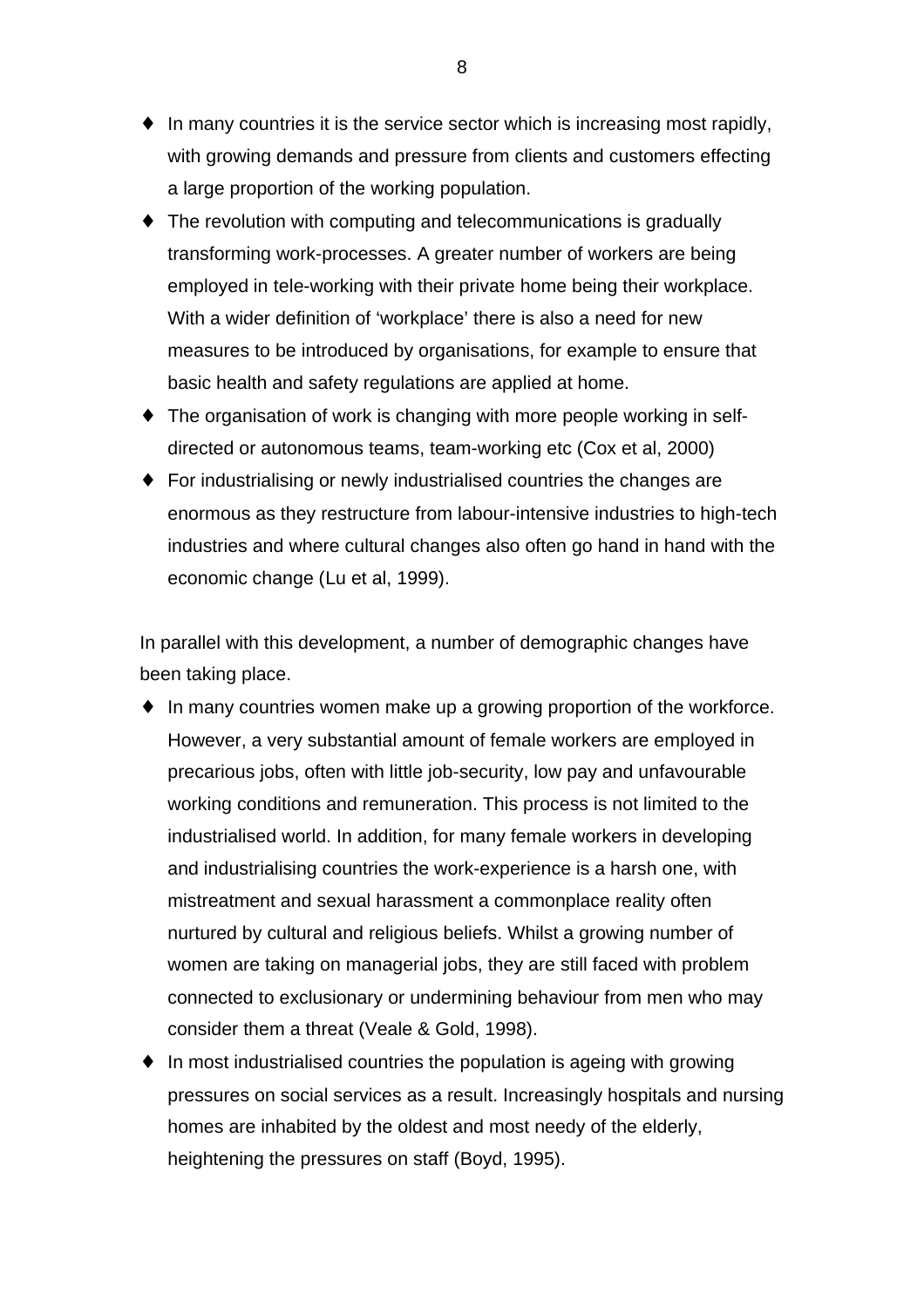- $\bullet$  In many countries it is the service sector which is increasing most rapidly, with growing demands and pressure from clients and customers effecting a large proportion of the working population.
- $\bullet$  The revolution with computing and telecommunications is gradually transforming work-processes. A greater number of workers are being employed in tele-working with their private home being their workplace. With a wider definition of 'workplace' there is also a need for new measures to be introduced by organisations, for example to ensure that basic health and safety regulations are applied at home.
- ♦ The organisation of work is changing with more people working in selfdirected or autonomous teams, team-working etc (Cox et al, 2000)
- ♦ For industrialising or newly industrialised countries the changes are enormous as they restructure from labour-intensive industries to high-tech industries and where cultural changes also often go hand in hand with the economic change (Lu et al, 1999).

In parallel with this development, a number of demographic changes have been taking place.

- ♦ In many countries women make up a growing proportion of the workforce. However, a very substantial amount of female workers are employed in precarious jobs, often with little job-security, low pay and unfavourable working conditions and remuneration. This process is not limited to the industrialised world. In addition, for many female workers in developing and industrialising countries the work-experience is a harsh one, with mistreatment and sexual harassment a commonplace reality often nurtured by cultural and religious beliefs. Whilst a growing number of women are taking on managerial jobs, they are still faced with problem connected to exclusionary or undermining behaviour from men who may consider them a threat (Veale & Gold, 1998).
- In most industrialised countries the population is ageing with growing pressures on social services as a result. Increasingly hospitals and nursing homes are inhabited by the oldest and most needy of the elderly, heightening the pressures on staff (Boyd, 1995).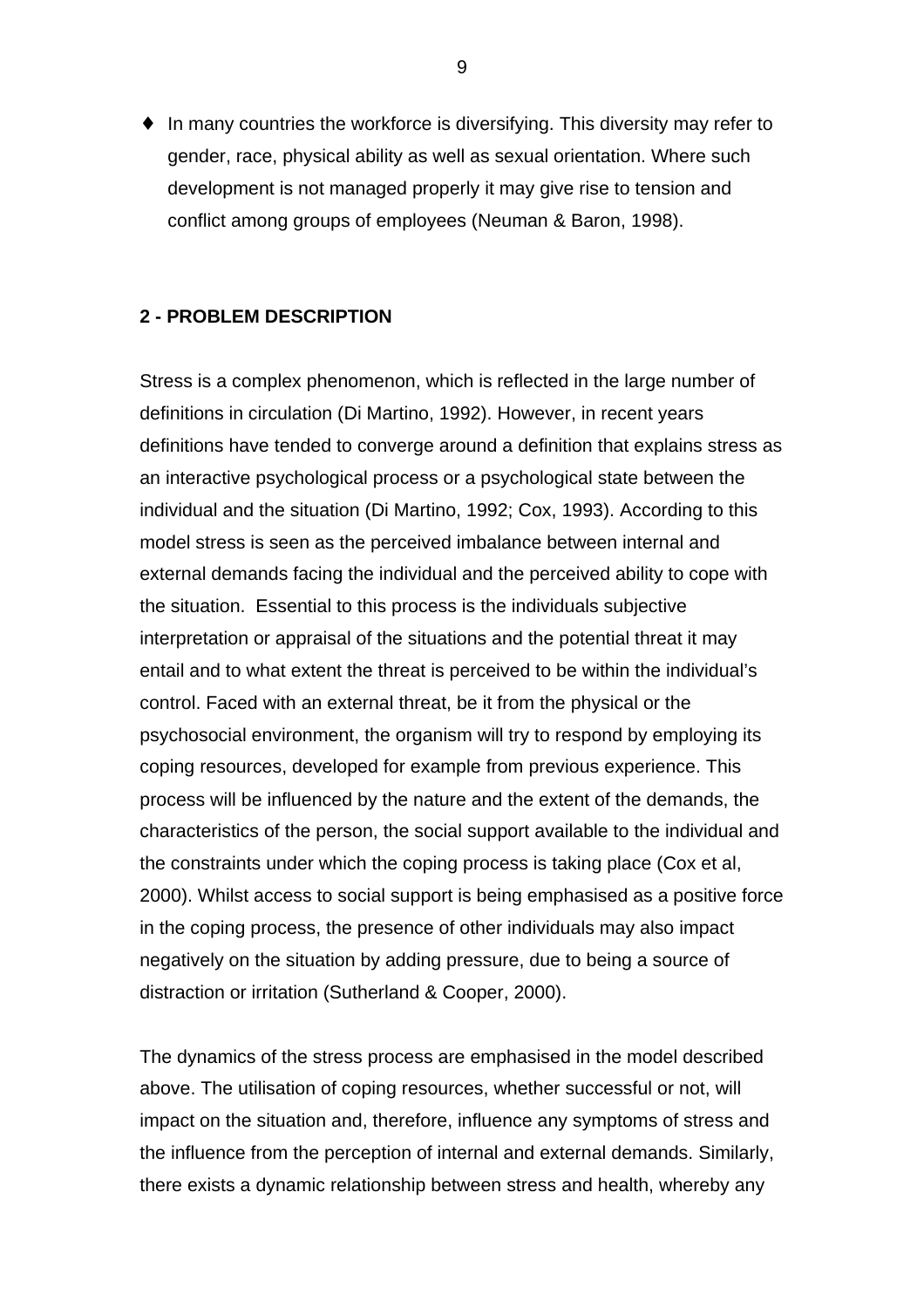♦ In many countries the workforce is diversifying. This diversity may refer to gender, race, physical ability as well as sexual orientation. Where such development is not managed properly it may give rise to tension and conflict among groups of employees (Neuman & Baron, 1998).

## **2 - PROBLEM DESCRIPTION**

Stress is a complex phenomenon, which is reflected in the large number of definitions in circulation (Di Martino, 1992). However, in recent years definitions have tended to converge around a definition that explains stress as an interactive psychological process or a psychological state between the individual and the situation (Di Martino, 1992; Cox, 1993). According to this model stress is seen as the perceived imbalance between internal and external demands facing the individual and the perceived ability to cope with the situation. Essential to this process is the individuals subjective interpretation or appraisal of the situations and the potential threat it may entail and to what extent the threat is perceived to be within the individual's control. Faced with an external threat, be it from the physical or the psychosocial environment, the organism will try to respond by employing its coping resources, developed for example from previous experience. This process will be influenced by the nature and the extent of the demands, the characteristics of the person, the social support available to the individual and the constraints under which the coping process is taking place (Cox et al, 2000). Whilst access to social support is being emphasised as a positive force in the coping process, the presence of other individuals may also impact negatively on the situation by adding pressure, due to being a source of distraction or irritation (Sutherland & Cooper, 2000).

The dynamics of the stress process are emphasised in the model described above. The utilisation of coping resources, whether successful or not, will impact on the situation and, therefore, influence any symptoms of stress and the influence from the perception of internal and external demands. Similarly, there exists a dynamic relationship between stress and health, whereby any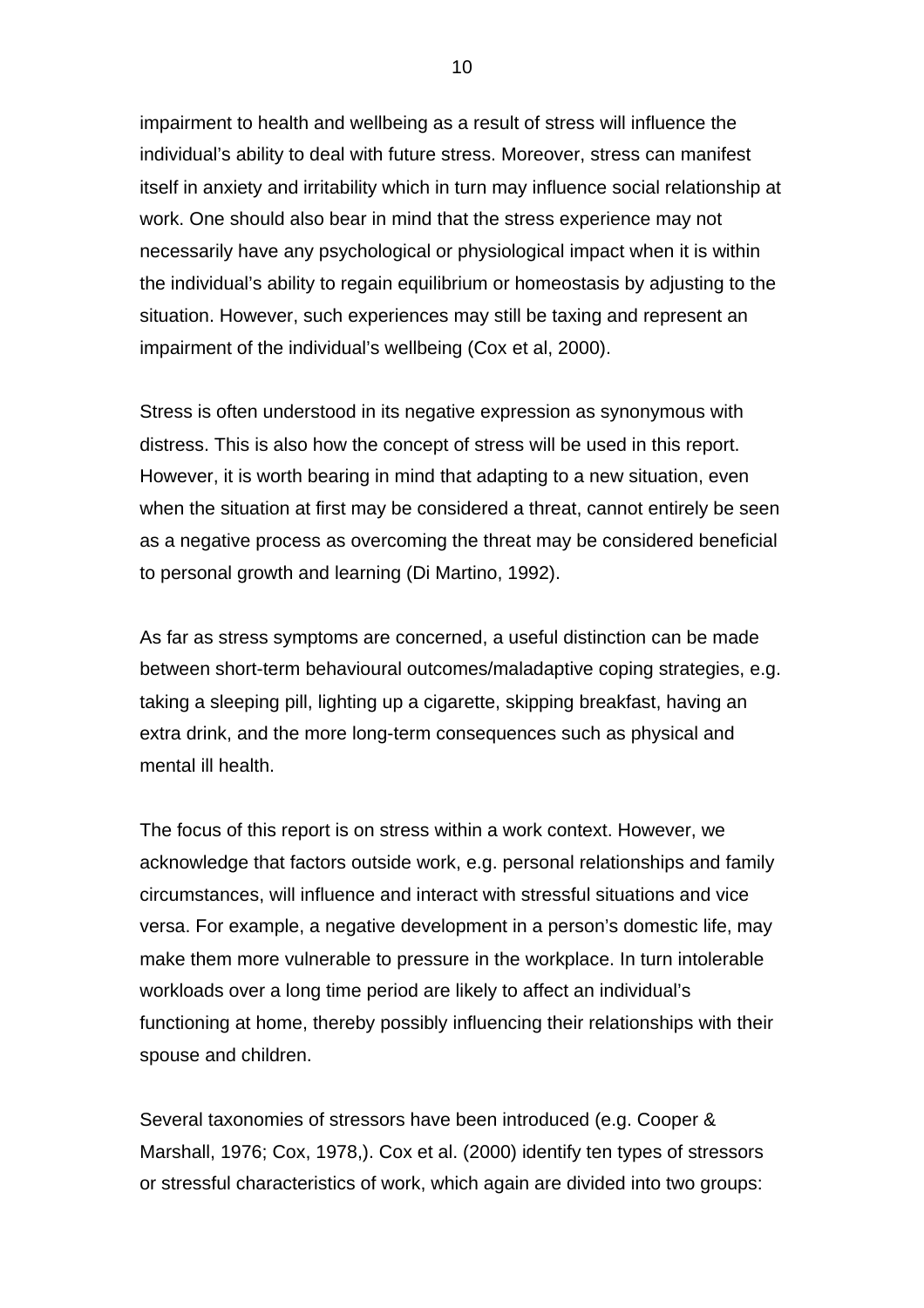impairment to health and wellbeing as a result of stress will influence the individual's ability to deal with future stress. Moreover, stress can manifest itself in anxiety and irritability which in turn may influence social relationship at work. One should also bear in mind that the stress experience may not necessarily have any psychological or physiological impact when it is within the individual's ability to regain equilibrium or homeostasis by adjusting to the situation. However, such experiences may still be taxing and represent an impairment of the individual's wellbeing (Cox et al, 2000).

Stress is often understood in its negative expression as synonymous with distress. This is also how the concept of stress will be used in this report. However, it is worth bearing in mind that adapting to a new situation, even when the situation at first may be considered a threat, cannot entirely be seen as a negative process as overcoming the threat may be considered beneficial to personal growth and learning (Di Martino, 1992).

As far as stress symptoms are concerned, a useful distinction can be made between short-term behavioural outcomes/maladaptive coping strategies, e.g. taking a sleeping pill, lighting up a cigarette, skipping breakfast, having an extra drink, and the more long-term consequences such as physical and mental ill health.

The focus of this report is on stress within a work context. However, we acknowledge that factors outside work, e.g. personal relationships and family circumstances, will influence and interact with stressful situations and vice versa. For example, a negative development in a person's domestic life, may make them more vulnerable to pressure in the workplace. In turn intolerable workloads over a long time period are likely to affect an individual's functioning at home, thereby possibly influencing their relationships with their spouse and children.

Several taxonomies of stressors have been introduced (e.g. Cooper & Marshall, 1976; Cox, 1978,). Cox et al. (2000) identify ten types of stressors or stressful characteristics of work, which again are divided into two groups: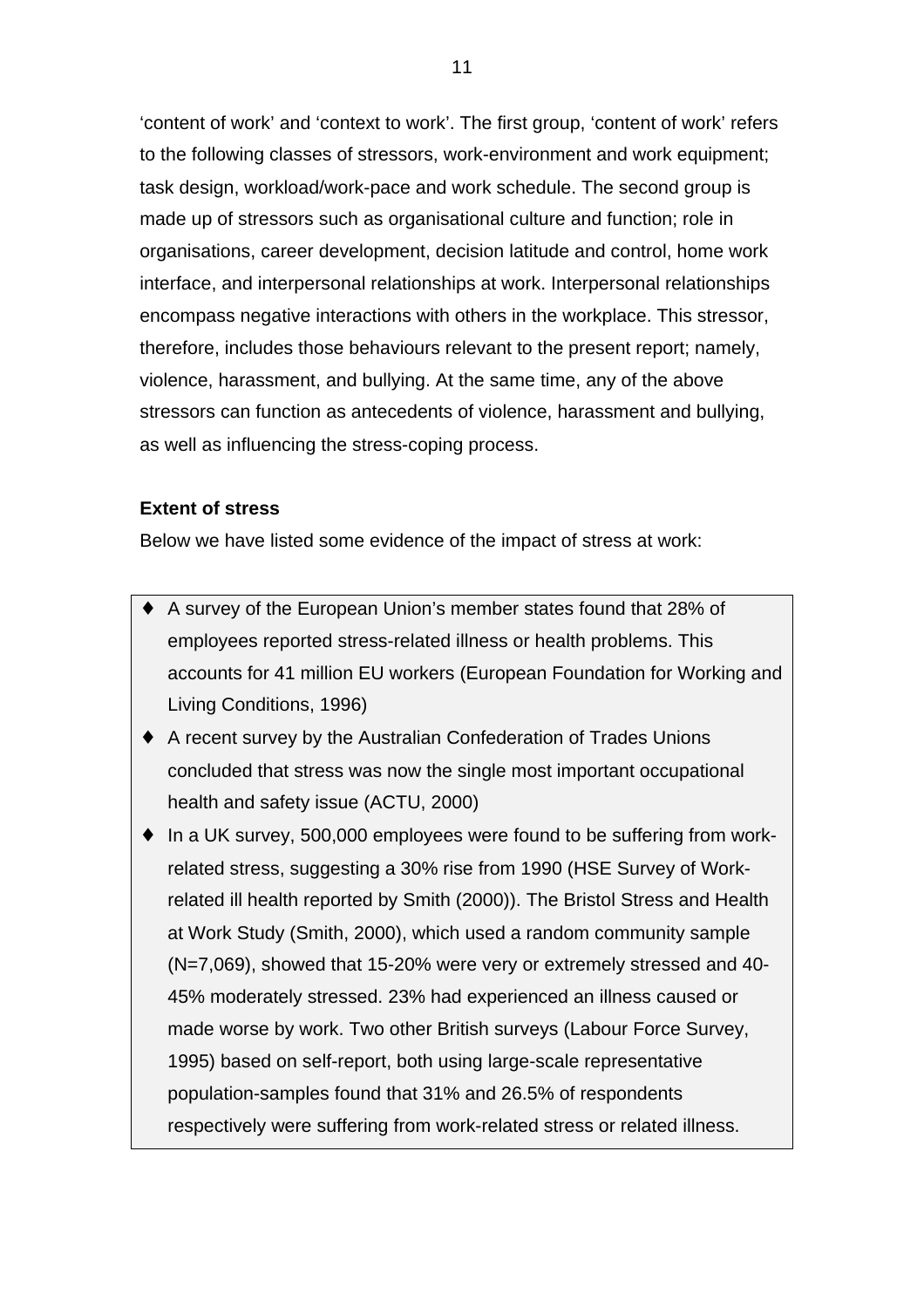'content of work' and 'context to work'. The first group, 'content of work' refers to the following classes of stressors, work-environment and work equipment; task design, workload/work-pace and work schedule. The second group is made up of stressors such as organisational culture and function; role in organisations, career development, decision latitude and control, home work interface, and interpersonal relationships at work. Interpersonal relationships encompass negative interactions with others in the workplace. This stressor, therefore, includes those behaviours relevant to the present report; namely, violence, harassment, and bullying. At the same time, any of the above stressors can function as antecedents of violence, harassment and bullying, as well as influencing the stress-coping process.

## **Extent of stress**

Below we have listed some evidence of the impact of stress at work:

- ♦ A survey of the European Union's member states found that 28% of employees reported stress-related illness or health problems. This accounts for 41 million EU workers (European Foundation for Working and Living Conditions, 1996)
- ♦ A recent survey by the Australian Confederation of Trades Unions concluded that stress was now the single most important occupational health and safety issue (ACTU, 2000)
- ♦ In a UK survey, 500,000 employees were found to be suffering from workrelated stress, suggesting a 30% rise from 1990 (HSE Survey of Workrelated ill health reported by Smith (2000)). The Bristol Stress and Health at Work Study (Smith, 2000), which used a random community sample (N=7,069), showed that 15-20% were very or extremely stressed and 40- 45% moderately stressed. 23% had experienced an illness caused or made worse by work. Two other British surveys (Labour Force Survey, 1995) based on self-report, both using large-scale representative population-samples found that 31% and 26.5% of respondents respectively were suffering from work-related stress or related illness.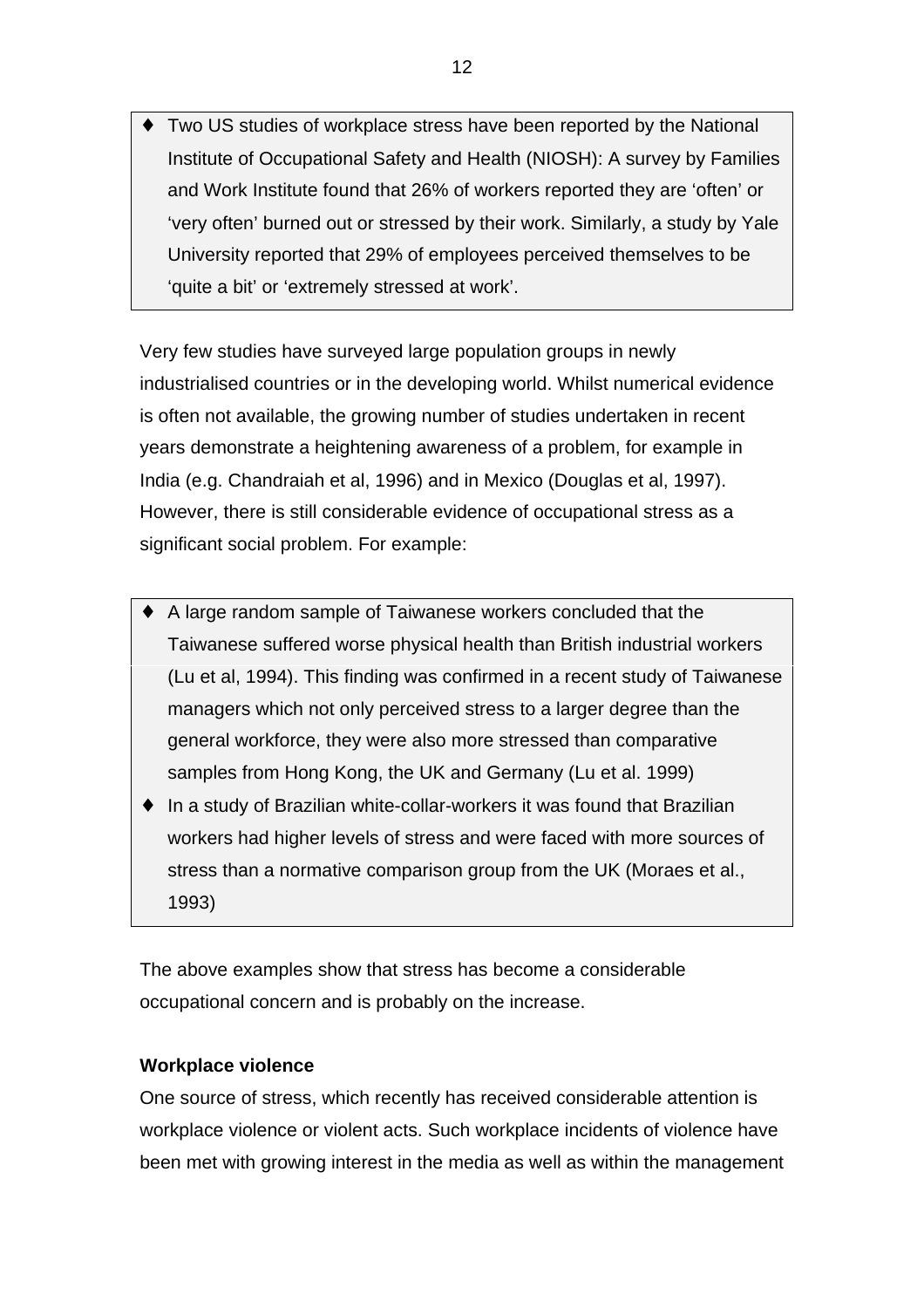Two US studies of workplace stress have been reported by the National Institute of Occupational Safety and Health (NIOSH): A survey by Families and Work Institute found that 26% of workers reported they are 'often' or 'very often' burned out or stressed by their work. Similarly, a study by Yale University reported that 29% of employees perceived themselves to be 'quite a bit' or 'extremely stressed at work'.

Very few studies have surveyed large population groups in newly industrialised countries or in the developing world. Whilst numerical evidence is often not available, the growing number of studies undertaken in recent years demonstrate a heightening awareness of a problem, for example in India (e.g. Chandraiah et al, 1996) and in Mexico (Douglas et al, 1997). However, there is still considerable evidence of occupational stress as a significant social problem. For example:

- ♦ A large random sample of Taiwanese workers concluded that the Taiwanese suffered worse physical health than British industrial workers (Lu et al, 1994). This finding was confirmed in a recent study of Taiwanese managers which not only perceived stress to a larger degree than the general workforce, they were also more stressed than comparative samples from Hong Kong, the UK and Germany (Lu et al. 1999)
- ♦ In a study of Brazilian white-collar-workers it was found that Brazilian workers had higher levels of stress and were faced with more sources of stress than a normative comparison group from the UK (Moraes et al., 1993)

The above examples show that stress has become a considerable occupational concern and is probably on the increase.

## **Workplace violence**

One source of stress, which recently has received considerable attention is workplace violence or violent acts. Such workplace incidents of violence have been met with growing interest in the media as well as within the management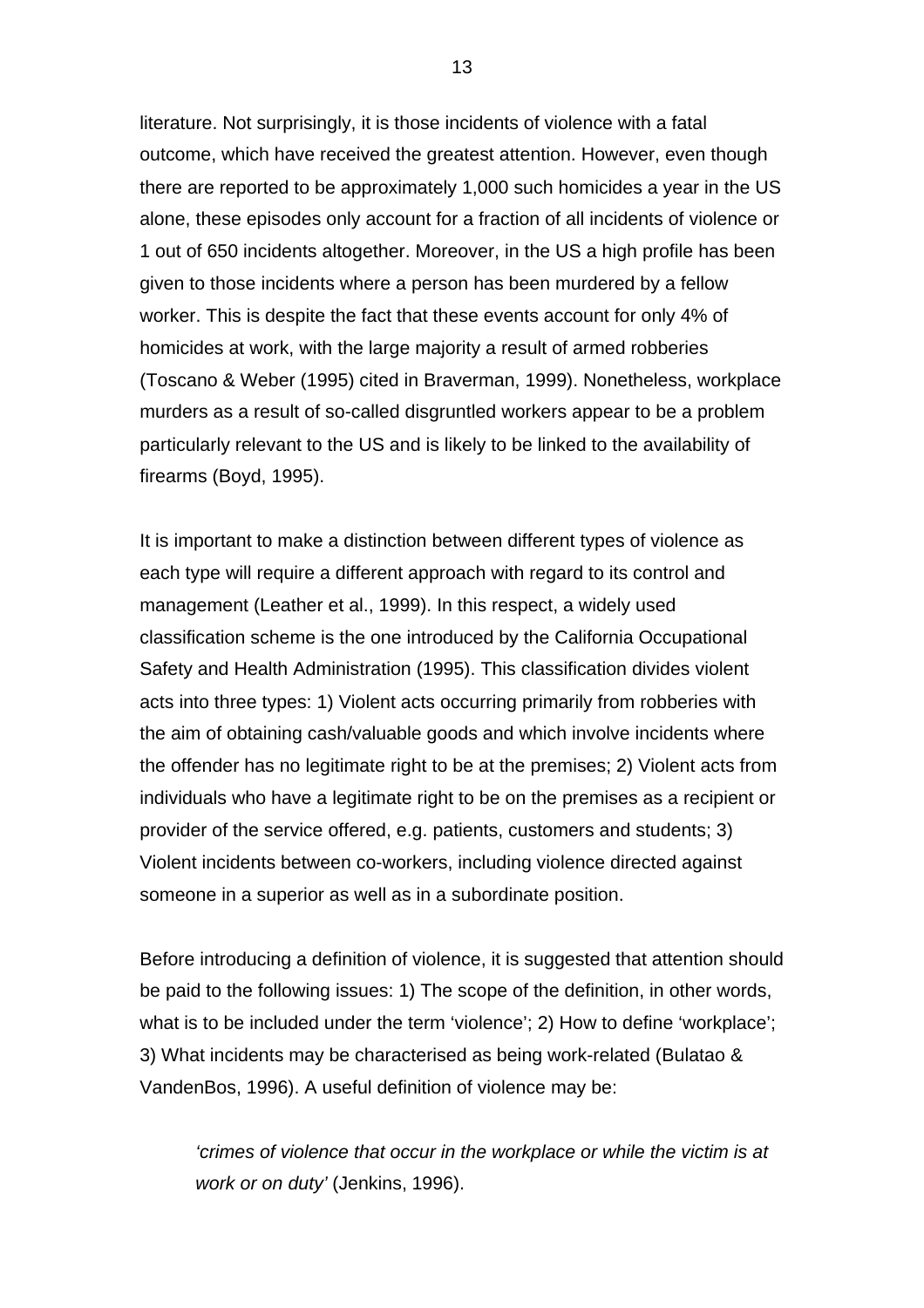literature. Not surprisingly, it is those incidents of violence with a fatal outcome, which have received the greatest attention. However, even though there are reported to be approximately 1,000 such homicides a year in the US alone, these episodes only account for a fraction of all incidents of violence or 1 out of 650 incidents altogether. Moreover, in the US a high profile has been given to those incidents where a person has been murdered by a fellow worker. This is despite the fact that these events account for only 4% of homicides at work, with the large majority a result of armed robberies (Toscano & Weber (1995) cited in Braverman, 1999). Nonetheless, workplace murders as a result of so-called disgruntled workers appear to be a problem particularly relevant to the US and is likely to be linked to the availability of firearms (Boyd, 1995).

It is important to make a distinction between different types of violence as each type will require a different approach with regard to its control and management (Leather et al., 1999). In this respect, a widely used classification scheme is the one introduced by the California Occupational Safety and Health Administration (1995). This classification divides violent acts into three types: 1) Violent acts occurring primarily from robberies with the aim of obtaining cash/valuable goods and which involve incidents where the offender has no legitimate right to be at the premises; 2) Violent acts from individuals who have a legitimate right to be on the premises as a recipient or provider of the service offered, e.g. patients, customers and students; 3) Violent incidents between co-workers, including violence directed against someone in a superior as well as in a subordinate position.

Before introducing a definition of violence, it is suggested that attention should be paid to the following issues: 1) The scope of the definition, in other words, what is to be included under the term 'violence'; 2) How to define 'workplace'; 3) What incidents may be characterised as being work-related (Bulatao & VandenBos, 1996). A useful definition of violence may be:

*'crimes of violence that occur in the workplace or while the victim is at work or on duty'* (Jenkins, 1996).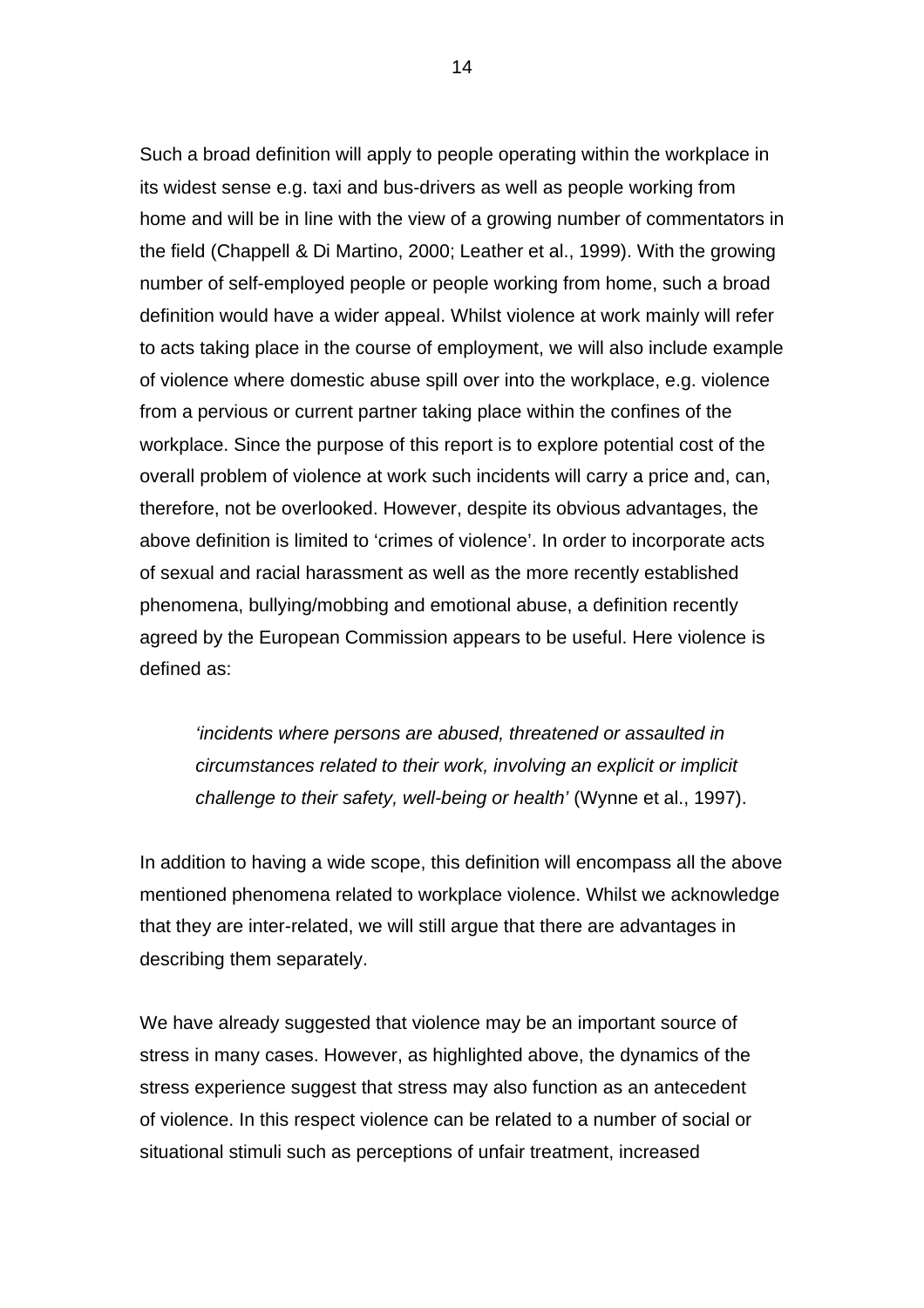Such a broad definition will apply to people operating within the workplace in its widest sense e.g. taxi and bus-drivers as well as people working from home and will be in line with the view of a growing number of commentators in the field (Chappell & Di Martino, 2000; Leather et al., 1999). With the growing number of self-employed people or people working from home, such a broad definition would have a wider appeal. Whilst violence at work mainly will refer to acts taking place in the course of employment, we will also include example of violence where domestic abuse spill over into the workplace, e.g. violence from a pervious or current partner taking place within the confines of the workplace. Since the purpose of this report is to explore potential cost of the overall problem of violence at work such incidents will carry a price and, can, therefore, not be overlooked. However, despite its obvious advantages, the above definition is limited to 'crimes of violence'. In order to incorporate acts of sexual and racial harassment as well as the more recently established phenomena, bullying/mobbing and emotional abuse, a definition recently agreed by the European Commission appears to be useful. Here violence is defined as:

*'incidents where persons are abused, threatened or assaulted in circumstances related to their work, involving an explicit or implicit challenge to their safety, well-being or health'* (Wynne et al., 1997).

In addition to having a wide scope, this definition will encompass all the above mentioned phenomena related to workplace violence. Whilst we acknowledge that they are inter-related, we will still argue that there are advantages in describing them separately.

We have already suggested that violence may be an important source of stress in many cases. However, as highlighted above, the dynamics of the stress experience suggest that stress may also function as an antecedent of violence. In this respect violence can be related to a number of social or situational stimuli such as perceptions of unfair treatment, increased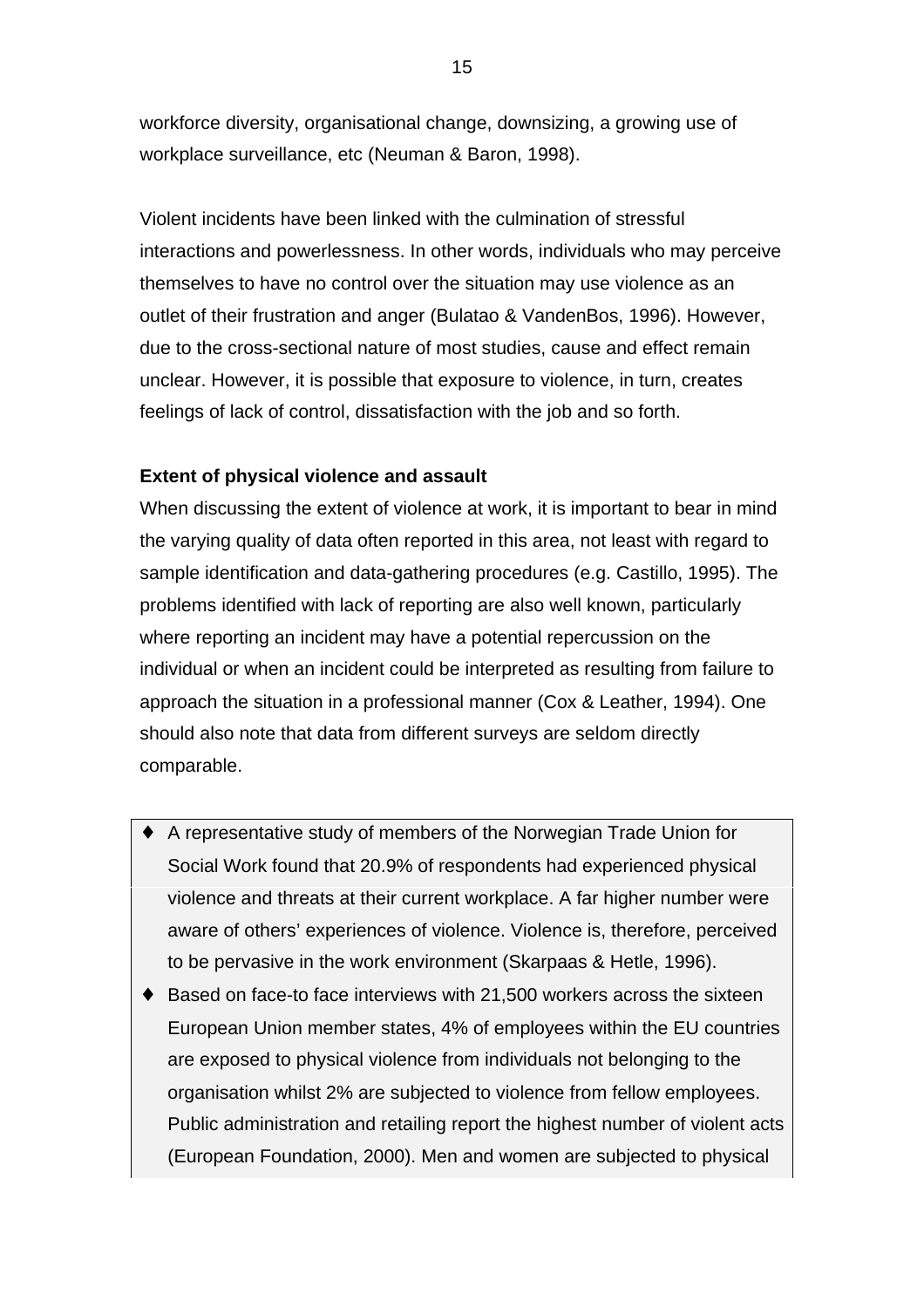workforce diversity, organisational change, downsizing, a growing use of workplace surveillance, etc (Neuman & Baron, 1998).

Violent incidents have been linked with the culmination of stressful interactions and powerlessness. In other words, individuals who may perceive themselves to have no control over the situation may use violence as an outlet of their frustration and anger (Bulatao & VandenBos, 1996). However, due to the cross-sectional nature of most studies, cause and effect remain unclear. However, it is possible that exposure to violence, in turn, creates feelings of lack of control, dissatisfaction with the job and so forth.

## **Extent of physical violence and assault**

When discussing the extent of violence at work, it is important to bear in mind the varying quality of data often reported in this area, not least with regard to sample identification and data-gathering procedures (e.g. Castillo, 1995). The problems identified with lack of reporting are also well known, particularly where reporting an incident may have a potential repercussion on the individual or when an incident could be interpreted as resulting from failure to approach the situation in a professional manner (Cox & Leather, 1994). One should also note that data from different surveys are seldom directly comparable.

- ♦ A representative study of members of the Norwegian Trade Union for Social Work found that 20.9% of respondents had experienced physical violence and threats at their current workplace. A far higher number were aware of others' experiences of violence. Violence is, therefore, perceived to be pervasive in the work environment (Skarpaas & Hetle, 1996).
- ♦ Based on face-to face interviews with 21,500 workers across the sixteen European Union member states, 4% of employees within the EU countries are exposed to physical violence from individuals not belonging to the organisation whilst 2% are subjected to violence from fellow employees. Public administration and retailing report the highest number of violent acts (European Foundation, 2000). Men and women are subjected to physical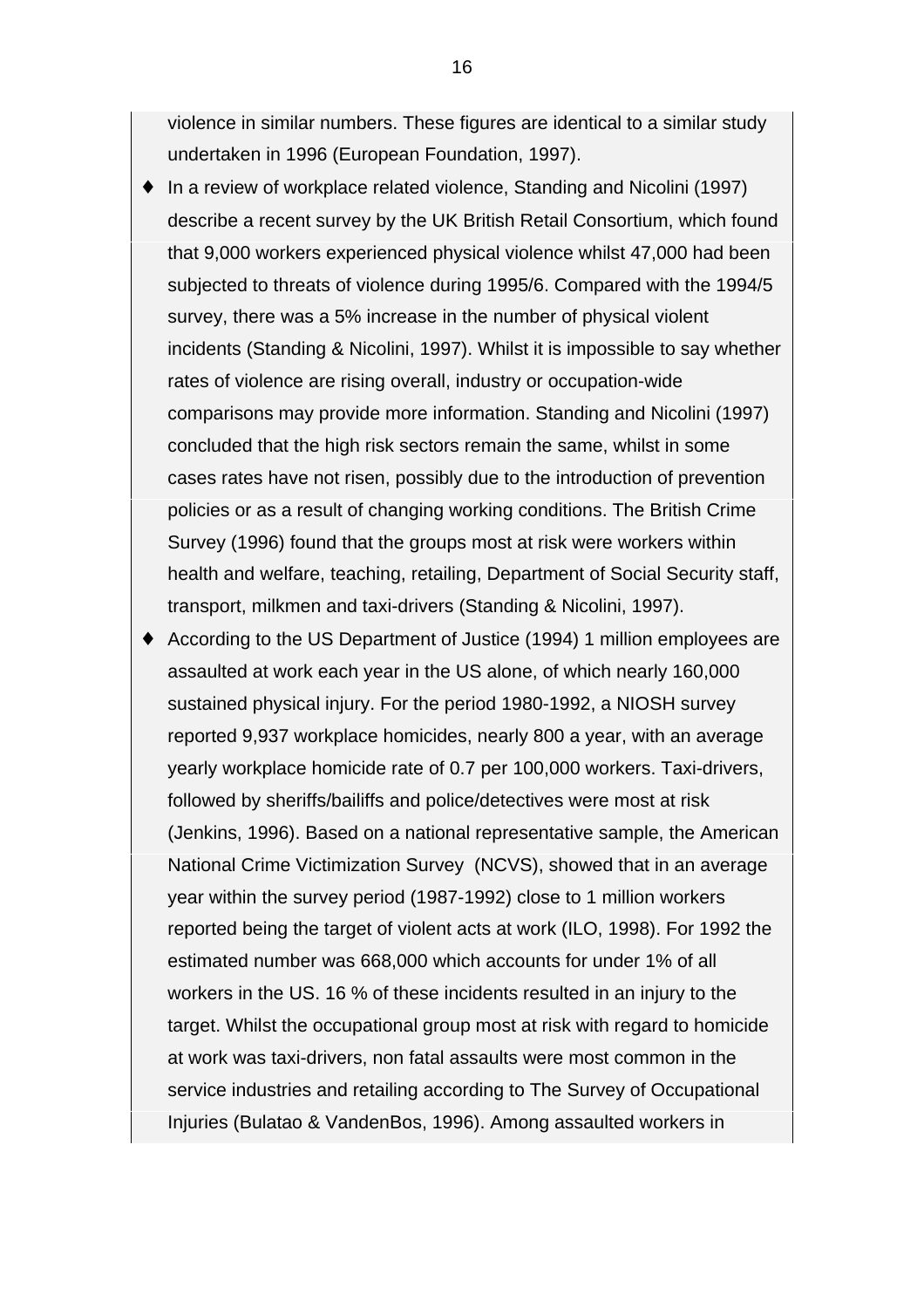violence in similar numbers. These figures are identical to a similar study undertaken in 1996 (European Foundation, 1997).

- ♦ In a review of workplace related violence, Standing and Nicolini (1997) describe a recent survey by the UK British Retail Consortium, which found that 9,000 workers experienced physical violence whilst 47,000 had been subjected to threats of violence during 1995/6. Compared with the 1994/5 survey, there was a 5% increase in the number of physical violent incidents (Standing & Nicolini, 1997). Whilst it is impossible to say whether rates of violence are rising overall, industry or occupation-wide comparisons may provide more information. Standing and Nicolini (1997) concluded that the high risk sectors remain the same, whilst in some cases rates have not risen, possibly due to the introduction of prevention policies or as a result of changing working conditions. The British Crime Survey (1996) found that the groups most at risk were workers within health and welfare, teaching, retailing, Department of Social Security staff, transport, milkmen and taxi-drivers (Standing & Nicolini, 1997).
- ♦ According to the US Department of Justice (1994) 1 million employees are assaulted at work each year in the US alone, of which nearly 160,000 sustained physical injury. For the period 1980-1992, a NIOSH survey reported 9,937 workplace homicides, nearly 800 a year, with an average yearly workplace homicide rate of 0.7 per 100,000 workers. Taxi-drivers, followed by sheriffs/bailiffs and police/detectives were most at risk (Jenkins, 1996). Based on a national representative sample, the American National Crime Victimization Survey (NCVS), showed that in an average year within the survey period (1987-1992) close to 1 million workers reported being the target of violent acts at work (ILO, 1998). For 1992 the estimated number was 668,000 which accounts for under 1% of all workers in the US. 16 % of these incidents resulted in an injury to the target. Whilst the occupational group most at risk with regard to homicide at work was taxi-drivers, non fatal assaults were most common in the service industries and retailing according to The Survey of Occupational Injuries (Bulatao & VandenBos, 1996). Among assaulted workers in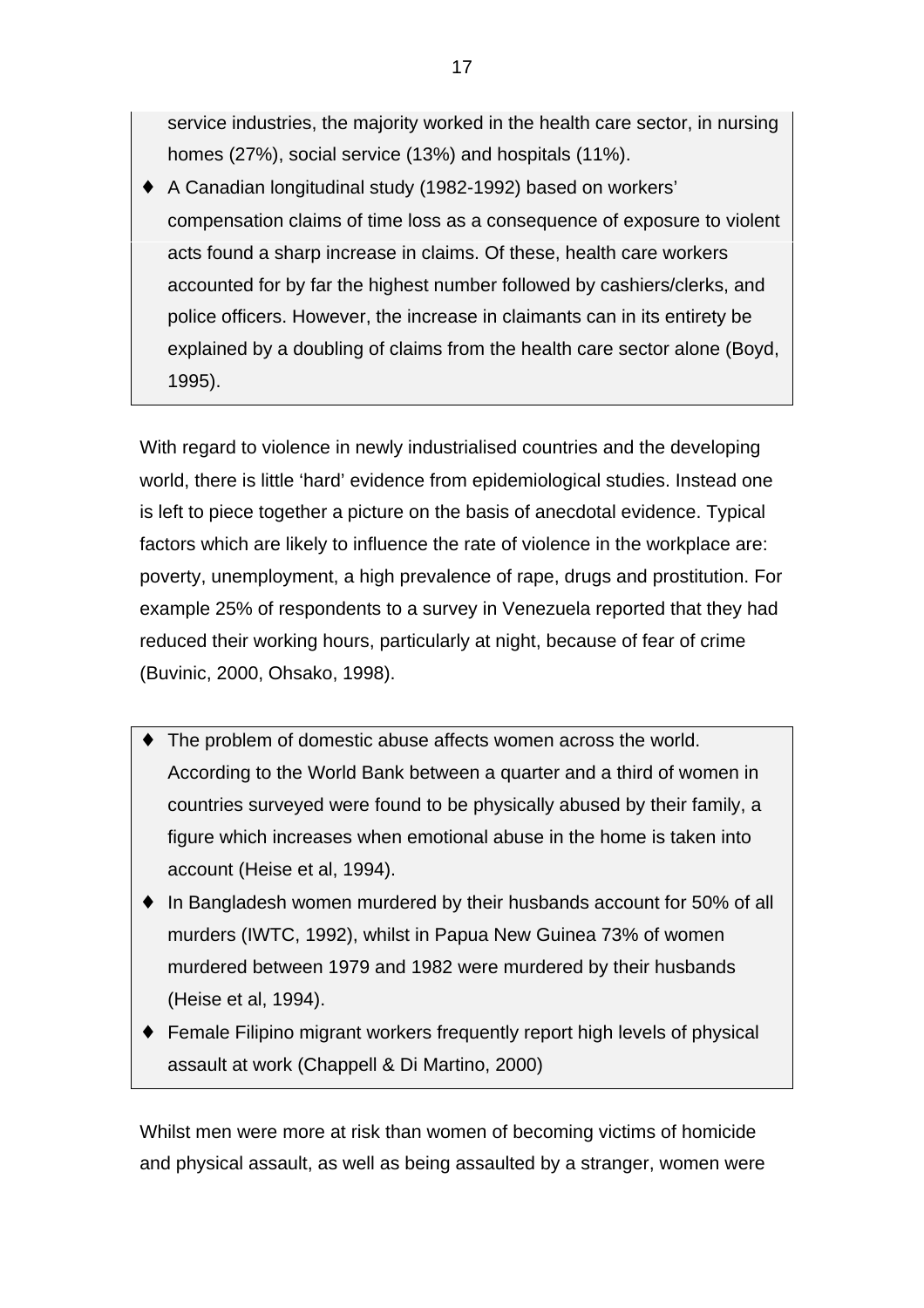service industries, the majority worked in the health care sector, in nursing homes (27%), social service (13%) and hospitals (11%).

♦ A Canadian longitudinal study (1982-1992) based on workers' compensation claims of time loss as a consequence of exposure to violent acts found a sharp increase in claims. Of these, health care workers accounted for by far the highest number followed by cashiers/clerks, and police officers. However, the increase in claimants can in its entirety be explained by a doubling of claims from the health care sector alone (Boyd, 1995).

With regard to violence in newly industrialised countries and the developing world, there is little 'hard' evidence from epidemiological studies. Instead one is left to piece together a picture on the basis of anecdotal evidence. Typical factors which are likely to influence the rate of violence in the workplace are: poverty, unemployment, a high prevalence of rape, drugs and prostitution. For example 25% of respondents to a survey in Venezuela reported that they had reduced their working hours, particularly at night, because of fear of crime (Buvinic, 2000, Ohsako, 1998).

- ♦ The problem of domestic abuse affects women across the world. According to the World Bank between a quarter and a third of women in countries surveyed were found to be physically abused by their family, a figure which increases when emotional abuse in the home is taken into account (Heise et al, 1994).
- ♦ In Bangladesh women murdered by their husbands account for 50% of all murders (IWTC, 1992), whilst in Papua New Guinea 73% of women murdered between 1979 and 1982 were murdered by their husbands (Heise et al, 1994).
- ♦ Female Filipino migrant workers frequently report high levels of physical assault at work (Chappell & Di Martino, 2000)

Whilst men were more at risk than women of becoming victims of homicide and physical assault, as well as being assaulted by a stranger, women were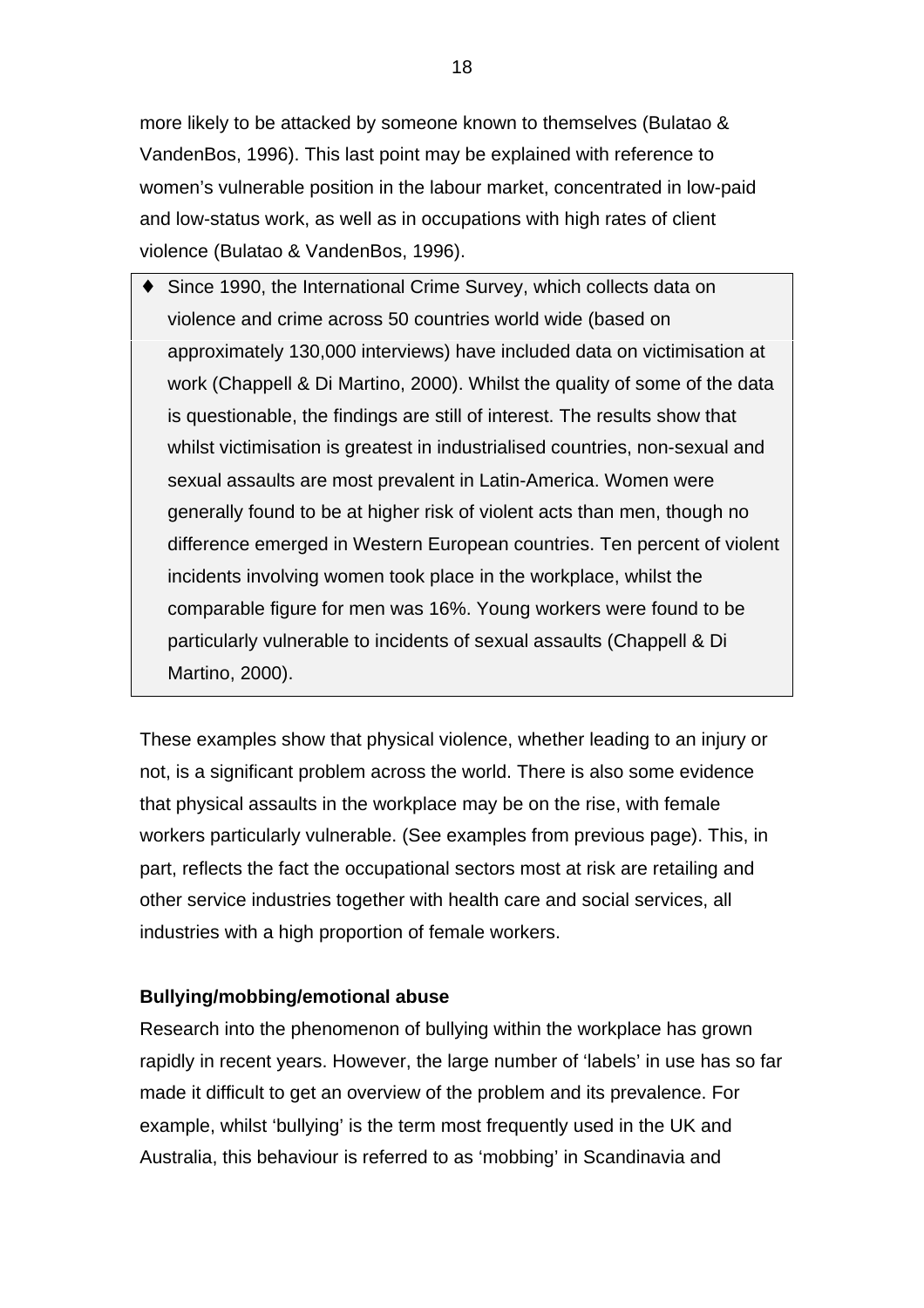more likely to be attacked by someone known to themselves (Bulatao & VandenBos, 1996). This last point may be explained with reference to women's vulnerable position in the labour market, concentrated in low-paid and low-status work, as well as in occupations with high rates of client violence (Bulatao & VandenBos, 1996).

Since 1990, the International Crime Survey, which collects data on violence and crime across 50 countries world wide (based on approximately 130,000 interviews) have included data on victimisation at work (Chappell & Di Martino, 2000). Whilst the quality of some of the data is questionable, the findings are still of interest. The results show that whilst victimisation is greatest in industrialised countries, non-sexual and sexual assaults are most prevalent in Latin-America. Women were generally found to be at higher risk of violent acts than men, though no difference emerged in Western European countries. Ten percent of violent incidents involving women took place in the workplace, whilst the comparable figure for men was 16%. Young workers were found to be particularly vulnerable to incidents of sexual assaults (Chappell & Di Martino, 2000).

These examples show that physical violence, whether leading to an injury or not, is a significant problem across the world. There is also some evidence that physical assaults in the workplace may be on the rise, with female workers particularly vulnerable. (See examples from previous page). This, in part, reflects the fact the occupational sectors most at risk are retailing and other service industries together with health care and social services, all industries with a high proportion of female workers.

## **Bullying/mobbing/emotional abuse**

Research into the phenomenon of bullying within the workplace has grown rapidly in recent years. However, the large number of 'labels' in use has so far made it difficult to get an overview of the problem and its prevalence. For example, whilst 'bullying' is the term most frequently used in the UK and Australia, this behaviour is referred to as 'mobbing' in Scandinavia and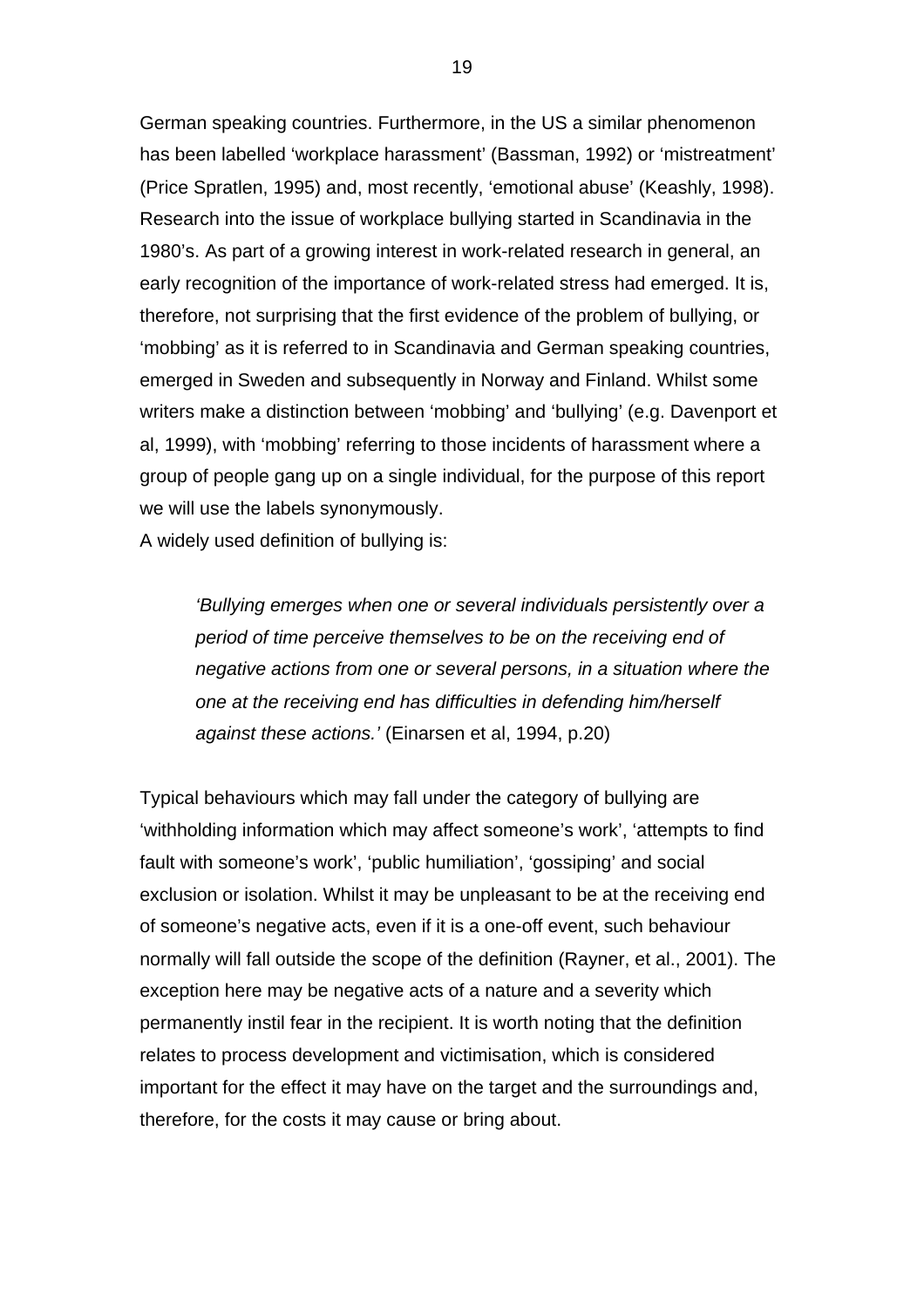German speaking countries. Furthermore, in the US a similar phenomenon has been labelled 'workplace harassment' (Bassman, 1992) or 'mistreatment' (Price Spratlen, 1995) and, most recently, 'emotional abuse' (Keashly, 1998). Research into the issue of workplace bullying started in Scandinavia in the 1980's. As part of a growing interest in work-related research in general, an early recognition of the importance of work-related stress had emerged. It is, therefore, not surprising that the first evidence of the problem of bullying, or 'mobbing' as it is referred to in Scandinavia and German speaking countries, emerged in Sweden and subsequently in Norway and Finland. Whilst some writers make a distinction between 'mobbing' and 'bullying' (e.g. Davenport et al, 1999), with 'mobbing' referring to those incidents of harassment where a group of people gang up on a single individual, for the purpose of this report we will use the labels synonymously.

A widely used definition of bullying is:

*'Bullying emerges when one or several individuals persistently over a period of time perceive themselves to be on the receiving end of negative actions from one or several persons, in a situation where the one at the receiving end has difficulties in defending him/herself against these actions.'* (Einarsen et al, 1994, p.20)

Typical behaviours which may fall under the category of bullying are 'withholding information which may affect someone's work', 'attempts to find fault with someone's work', 'public humiliation', 'gossiping' and social exclusion or isolation. Whilst it may be unpleasant to be at the receiving end of someone's negative acts, even if it is a one-off event, such behaviour normally will fall outside the scope of the definition (Rayner, et al., 2001). The exception here may be negative acts of a nature and a severity which permanently instil fear in the recipient. It is worth noting that the definition relates to process development and victimisation, which is considered important for the effect it may have on the target and the surroundings and, therefore, for the costs it may cause or bring about.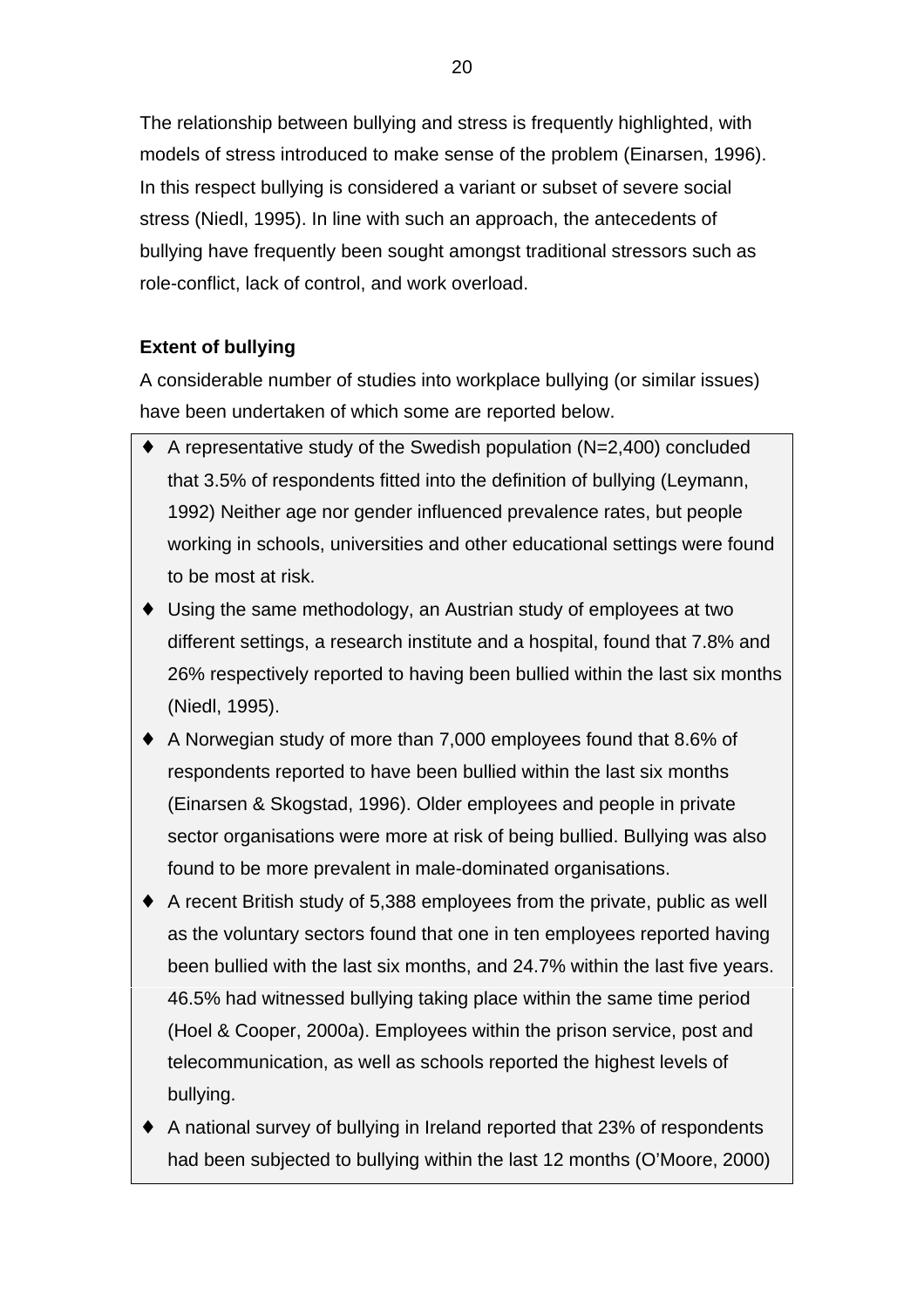The relationship between bullying and stress is frequently highlighted, with models of stress introduced to make sense of the problem (Einarsen, 1996). In this respect bullying is considered a variant or subset of severe social stress (Niedl, 1995). In line with such an approach, the antecedents of bullying have frequently been sought amongst traditional stressors such as role-conflict, lack of control, and work overload.

# **Extent of bullying**

A considerable number of studies into workplace bullying (or similar issues) have been undertaken of which some are reported below.

- ♦ A representative study of the Swedish population (N=2,400) concluded that 3.5% of respondents fitted into the definition of bullying (Leymann, 1992) Neither age nor gender influenced prevalence rates, but people working in schools, universities and other educational settings were found to be most at risk.
- ♦ Using the same methodology, an Austrian study of employees at two different settings, a research institute and a hospital, found that 7.8% and 26% respectively reported to having been bullied within the last six months (Niedl, 1995).
- ♦ A Norwegian study of more than 7,000 employees found that 8.6% of respondents reported to have been bullied within the last six months (Einarsen & Skogstad, 1996). Older employees and people in private sector organisations were more at risk of being bullied. Bullying was also found to be more prevalent in male-dominated organisations.
- ♦ A recent British study of 5,388 employees from the private, public as well as the voluntary sectors found that one in ten employees reported having been bullied with the last six months, and 24.7% within the last five years. 46.5% had witnessed bullying taking place within the same time period (Hoel & Cooper, 2000a). Employees within the prison service, post and telecommunication, as well as schools reported the highest levels of bullying.
- ♦ A national survey of bullying in Ireland reported that 23% of respondents had been subjected to bullying within the last 12 months (O'Moore, 2000)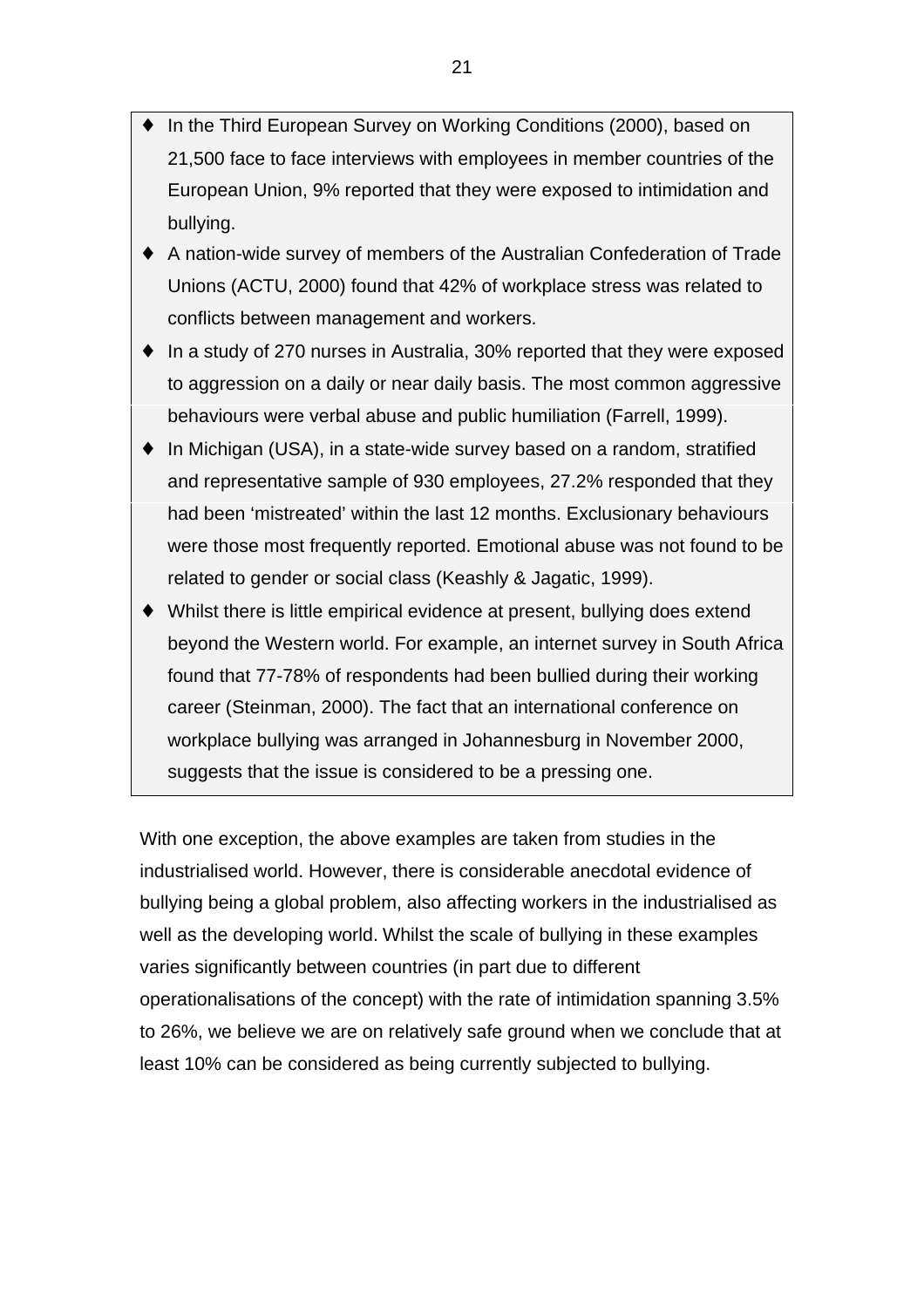- In the Third European Survey on Working Conditions (2000), based on 21,500 face to face interviews with employees in member countries of the European Union, 9% reported that they were exposed to intimidation and bullying.
- ♦ A nation-wide survey of members of the Australian Confederation of Trade Unions (ACTU, 2000) found that 42% of workplace stress was related to conflicts between management and workers.
- ♦ In a study of 270 nurses in Australia, 30% reported that they were exposed to aggression on a daily or near daily basis. The most common aggressive behaviours were verbal abuse and public humiliation (Farrell, 1999).
- ♦ In Michigan (USA), in a state-wide survey based on a random, stratified and representative sample of 930 employees, 27.2% responded that they had been 'mistreated' within the last 12 months. Exclusionary behaviours were those most frequently reported. Emotional abuse was not found to be related to gender or social class (Keashly & Jagatic, 1999).
- ♦ Whilst there is little empirical evidence at present, bullying does extend beyond the Western world. For example, an internet survey in South Africa found that 77-78% of respondents had been bullied during their working career (Steinman, 2000). The fact that an international conference on workplace bullying was arranged in Johannesburg in November 2000, suggests that the issue is considered to be a pressing one.

With one exception, the above examples are taken from studies in the industrialised world. However, there is considerable anecdotal evidence of bullying being a global problem, also affecting workers in the industrialised as well as the developing world. Whilst the scale of bullying in these examples varies significantly between countries (in part due to different operationalisations of the concept) with the rate of intimidation spanning 3.5% to 26%, we believe we are on relatively safe ground when we conclude that at least 10% can be considered as being currently subjected to bullying.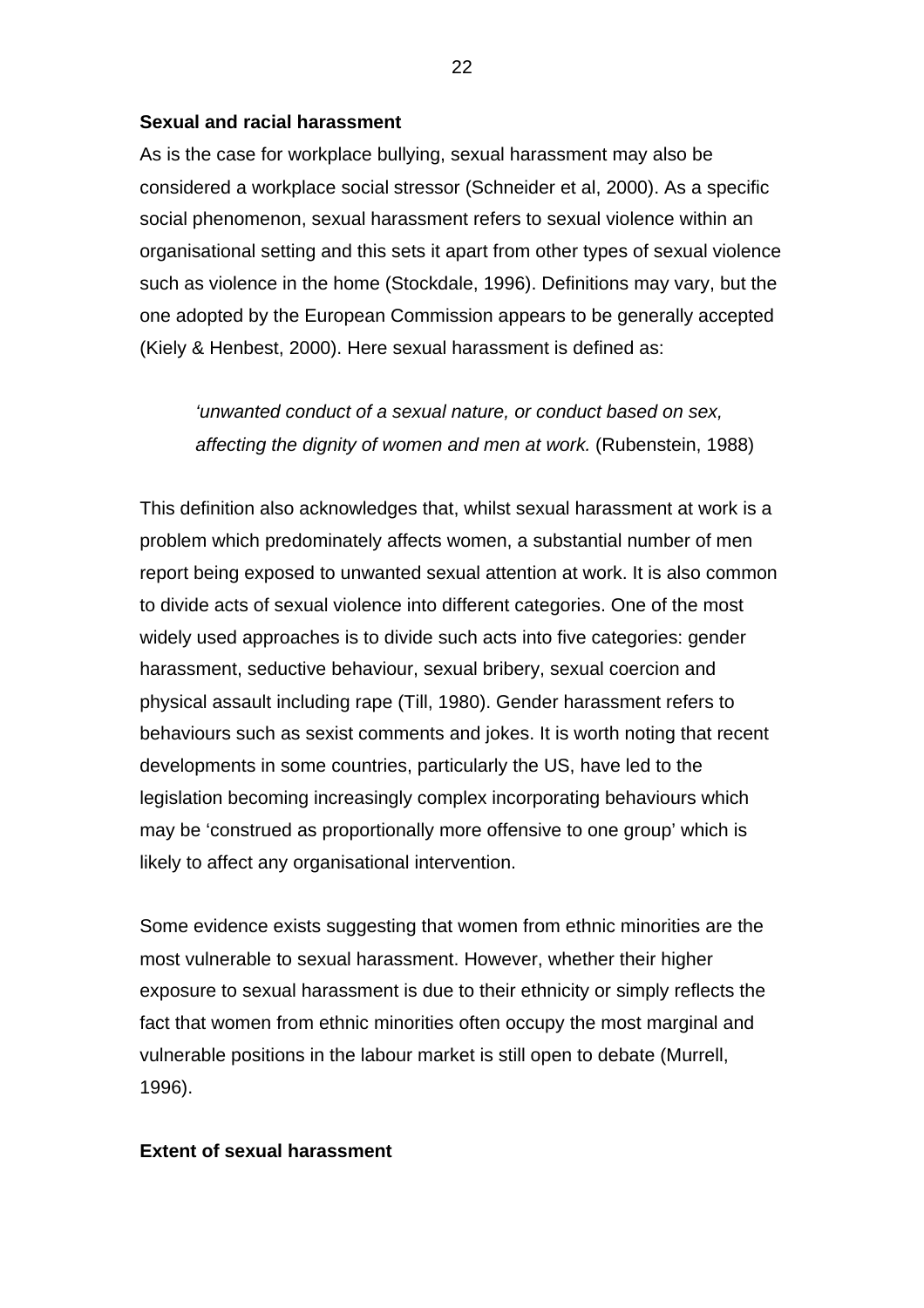#### **Sexual and racial harassment**

As is the case for workplace bullying, sexual harassment may also be considered a workplace social stressor (Schneider et al, 2000). As a specific social phenomenon, sexual harassment refers to sexual violence within an organisational setting and this sets it apart from other types of sexual violence such as violence in the home (Stockdale, 1996). Definitions may vary, but the one adopted by the European Commission appears to be generally accepted (Kiely & Henbest, 2000). Here sexual harassment is defined as:

*'unwanted conduct of a sexual nature, or conduct based on sex, affecting the dignity of women and men at work.* (Rubenstein, 1988)

This definition also acknowledges that, whilst sexual harassment at work is a problem which predominately affects women, a substantial number of men report being exposed to unwanted sexual attention at work. It is also common to divide acts of sexual violence into different categories. One of the most widely used approaches is to divide such acts into five categories: gender harassment, seductive behaviour, sexual bribery, sexual coercion and physical assault including rape (Till, 1980). Gender harassment refers to behaviours such as sexist comments and jokes. It is worth noting that recent developments in some countries, particularly the US, have led to the legislation becoming increasingly complex incorporating behaviours which may be 'construed as proportionally more offensive to one group' which is likely to affect any organisational intervention.

Some evidence exists suggesting that women from ethnic minorities are the most vulnerable to sexual harassment. However, whether their higher exposure to sexual harassment is due to their ethnicity or simply reflects the fact that women from ethnic minorities often occupy the most marginal and vulnerable positions in the labour market is still open to debate (Murrell, 1996).

## **Extent of sexual harassment**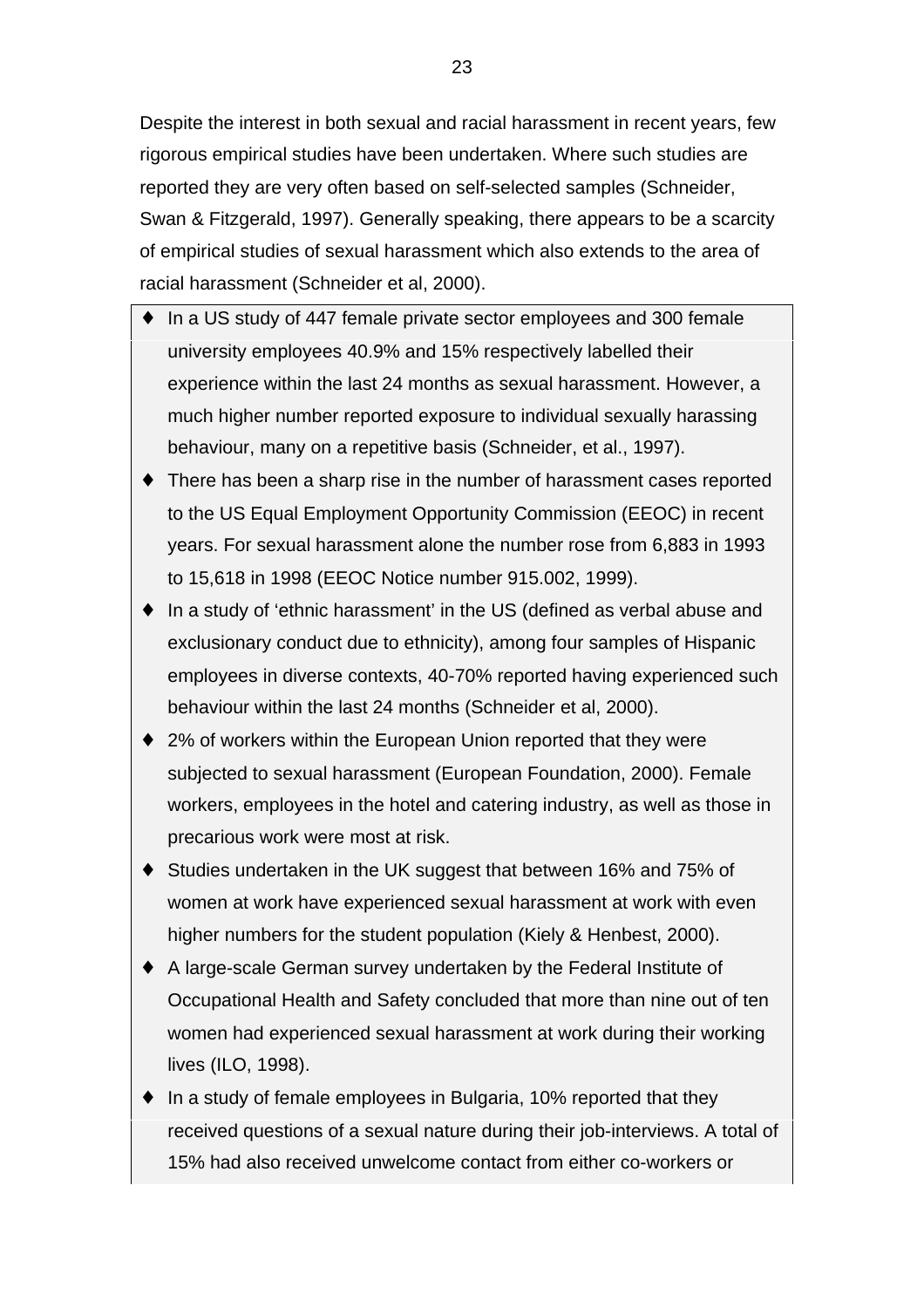Despite the interest in both sexual and racial harassment in recent years, few rigorous empirical studies have been undertaken. Where such studies are reported they are very often based on self-selected samples (Schneider, Swan & Fitzgerald, 1997). Generally speaking, there appears to be a scarcity of empirical studies of sexual harassment which also extends to the area of racial harassment (Schneider et al, 2000).

- In a US study of 447 female private sector employees and 300 female university employees 40.9% and 15% respectively labelled their experience within the last 24 months as sexual harassment. However, a much higher number reported exposure to individual sexually harassing behaviour, many on a repetitive basis (Schneider, et al., 1997).
- ♦ There has been a sharp rise in the number of harassment cases reported to the US Equal Employment Opportunity Commission (EEOC) in recent years. For sexual harassment alone the number rose from 6,883 in 1993 to 15,618 in 1998 (EEOC Notice number 915.002, 1999).
- ♦ In a study of 'ethnic harassment' in the US (defined as verbal abuse and exclusionary conduct due to ethnicity), among four samples of Hispanic employees in diverse contexts, 40-70% reported having experienced such behaviour within the last 24 months (Schneider et al, 2000).
- ♦ 2% of workers within the European Union reported that they were subjected to sexual harassment (European Foundation, 2000). Female workers, employees in the hotel and catering industry, as well as those in precarious work were most at risk.
- ♦ Studies undertaken in the UK suggest that between 16% and 75% of women at work have experienced sexual harassment at work with even higher numbers for the student population (Kiely & Henbest, 2000).
- ♦ A large-scale German survey undertaken by the Federal Institute of Occupational Health and Safety concluded that more than nine out of ten women had experienced sexual harassment at work during their working lives (ILO, 1998).
- ♦ In a study of female employees in Bulgaria, 10% reported that they received questions of a sexual nature during their job-interviews. A total of 15% had also received unwelcome contact from either co-workers or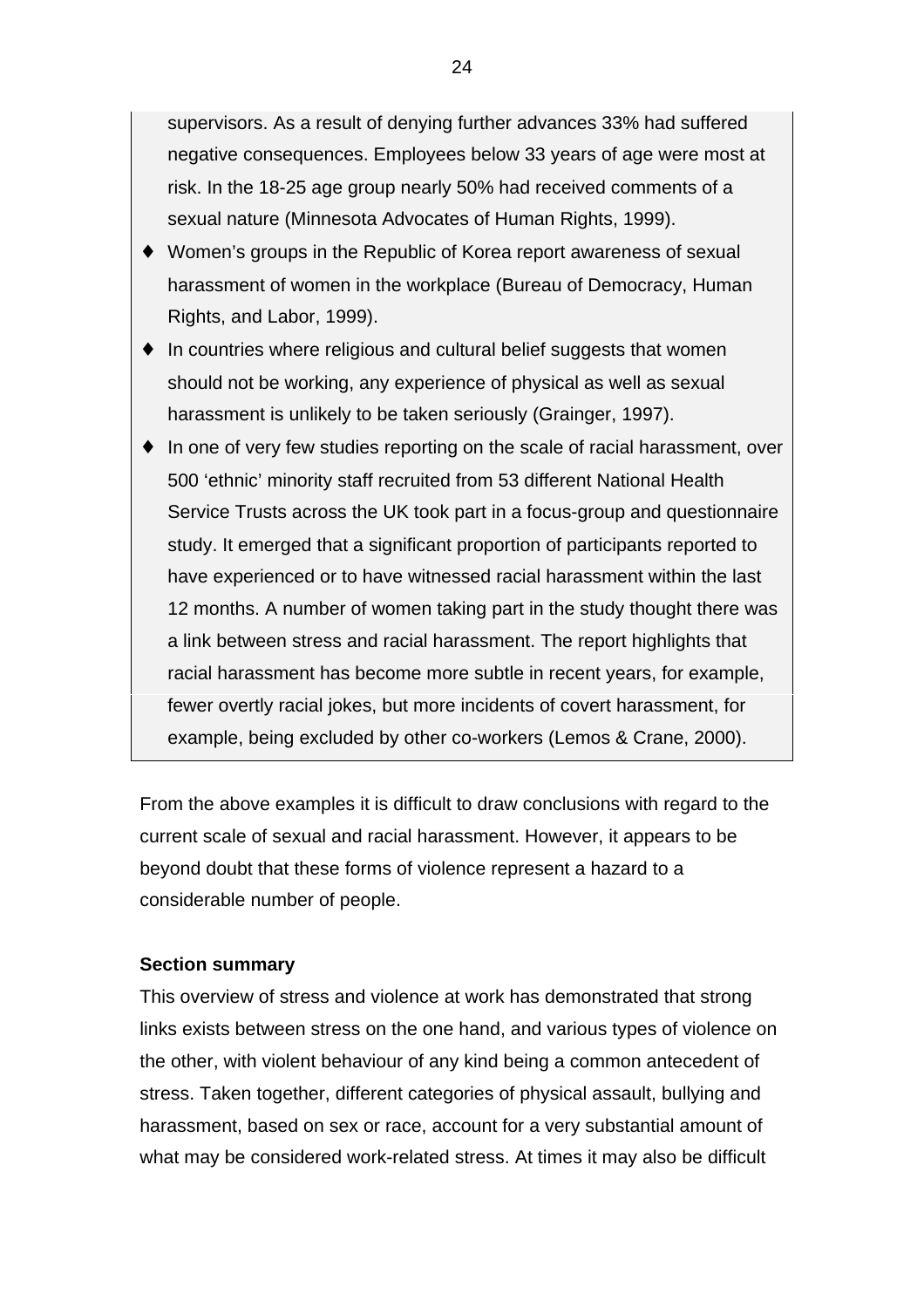supervisors. As a result of denying further advances 33% had suffered negative consequences. Employees below 33 years of age were most at risk. In the 18-25 age group nearly 50% had received comments of a sexual nature (Minnesota Advocates of Human Rights, 1999).

- ♦ Women's groups in the Republic of Korea report awareness of sexual harassment of women in the workplace (Bureau of Democracy, Human Rights, and Labor, 1999).
- ♦ In countries where religious and cultural belief suggests that women should not be working, any experience of physical as well as sexual harassment is unlikely to be taken seriously (Grainger, 1997).
- ♦ In one of very few studies reporting on the scale of racial harassment, over 500 'ethnic' minority staff recruited from 53 different National Health Service Trusts across the UK took part in a focus-group and questionnaire study. It emerged that a significant proportion of participants reported to have experienced or to have witnessed racial harassment within the last 12 months. A number of women taking part in the study thought there was a link between stress and racial harassment. The report highlights that racial harassment has become more subtle in recent years, for example, fewer overtly racial jokes, but more incidents of covert harassment, for example, being excluded by other co-workers (Lemos & Crane, 2000).

From the above examples it is difficult to draw conclusions with regard to the current scale of sexual and racial harassment. However, it appears to be beyond doubt that these forms of violence represent a hazard to a considerable number of people.

## **Section summary**

This overview of stress and violence at work has demonstrated that strong links exists between stress on the one hand, and various types of violence on the other, with violent behaviour of any kind being a common antecedent of stress. Taken together, different categories of physical assault, bullying and harassment, based on sex or race, account for a very substantial amount of what may be considered work-related stress. At times it may also be difficult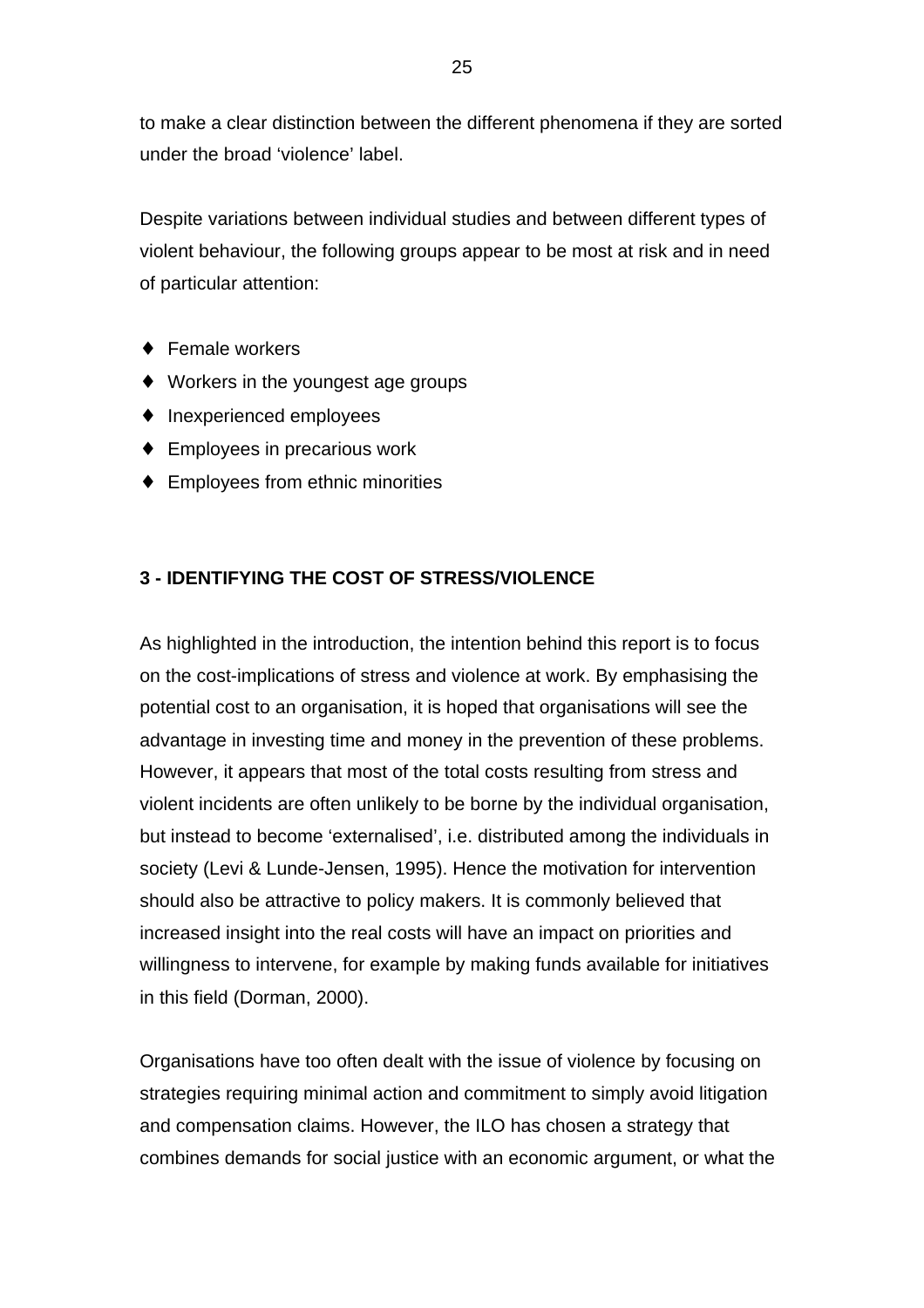to make a clear distinction between the different phenomena if they are sorted under the broad 'violence' label.

Despite variations between individual studies and between different types of violent behaviour, the following groups appear to be most at risk and in need of particular attention:

- ♦ Female workers
- ♦ Workers in the youngest age groups
- ♦ Inexperienced employees
- ♦ Employees in precarious work
- ♦ Employees from ethnic minorities

# **3 - IDENTIFYING THE COST OF STRESS/VIOLENCE**

As highlighted in the introduction, the intention behind this report is to focus on the cost-implications of stress and violence at work. By emphasising the potential cost to an organisation, it is hoped that organisations will see the advantage in investing time and money in the prevention of these problems. However, it appears that most of the total costs resulting from stress and violent incidents are often unlikely to be borne by the individual organisation, but instead to become 'externalised', i.e. distributed among the individuals in society (Levi & Lunde-Jensen, 1995). Hence the motivation for intervention should also be attractive to policy makers. It is commonly believed that increased insight into the real costs will have an impact on priorities and willingness to intervene, for example by making funds available for initiatives in this field (Dorman, 2000).

Organisations have too often dealt with the issue of violence by focusing on strategies requiring minimal action and commitment to simply avoid litigation and compensation claims. However, the ILO has chosen a strategy that combines demands for social justice with an economic argument, or what the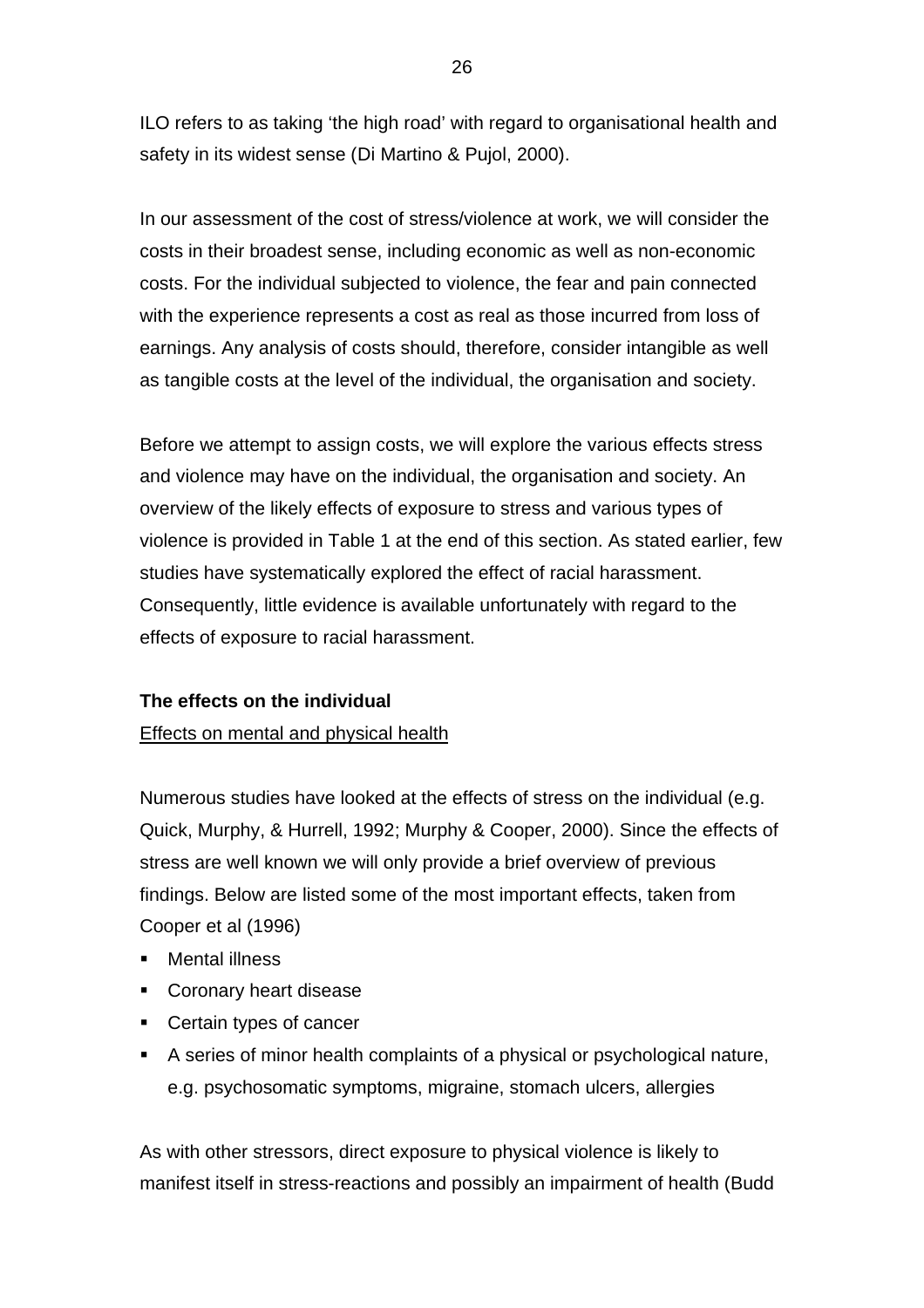ILO refers to as taking 'the high road' with regard to organisational health and safety in its widest sense (Di Martino & Pujol, 2000).

In our assessment of the cost of stress/violence at work, we will consider the costs in their broadest sense, including economic as well as non-economic costs. For the individual subjected to violence, the fear and pain connected with the experience represents a cost as real as those incurred from loss of earnings. Any analysis of costs should, therefore, consider intangible as well as tangible costs at the level of the individual, the organisation and society.

Before we attempt to assign costs, we will explore the various effects stress and violence may have on the individual, the organisation and society. An overview of the likely effects of exposure to stress and various types of violence is provided in Table 1 at the end of this section. As stated earlier, few studies have systematically explored the effect of racial harassment. Consequently, little evidence is available unfortunately with regard to the effects of exposure to racial harassment.

# **The effects on the individual**

# Effects on mental and physical health

Numerous studies have looked at the effects of stress on the individual (e.g. Quick, Murphy, & Hurrell, 1992; Murphy & Cooper, 2000). Since the effects of stress are well known we will only provide a brief overview of previous findings. Below are listed some of the most important effects, taken from Cooper et al (1996)

- **EXECUTE:** Mental illness
- Coronary heart disease
- Certain types of cancer
- A series of minor health complaints of a physical or psychological nature, e.g. psychosomatic symptoms, migraine, stomach ulcers, allergies

As with other stressors, direct exposure to physical violence is likely to manifest itself in stress-reactions and possibly an impairment of health (Budd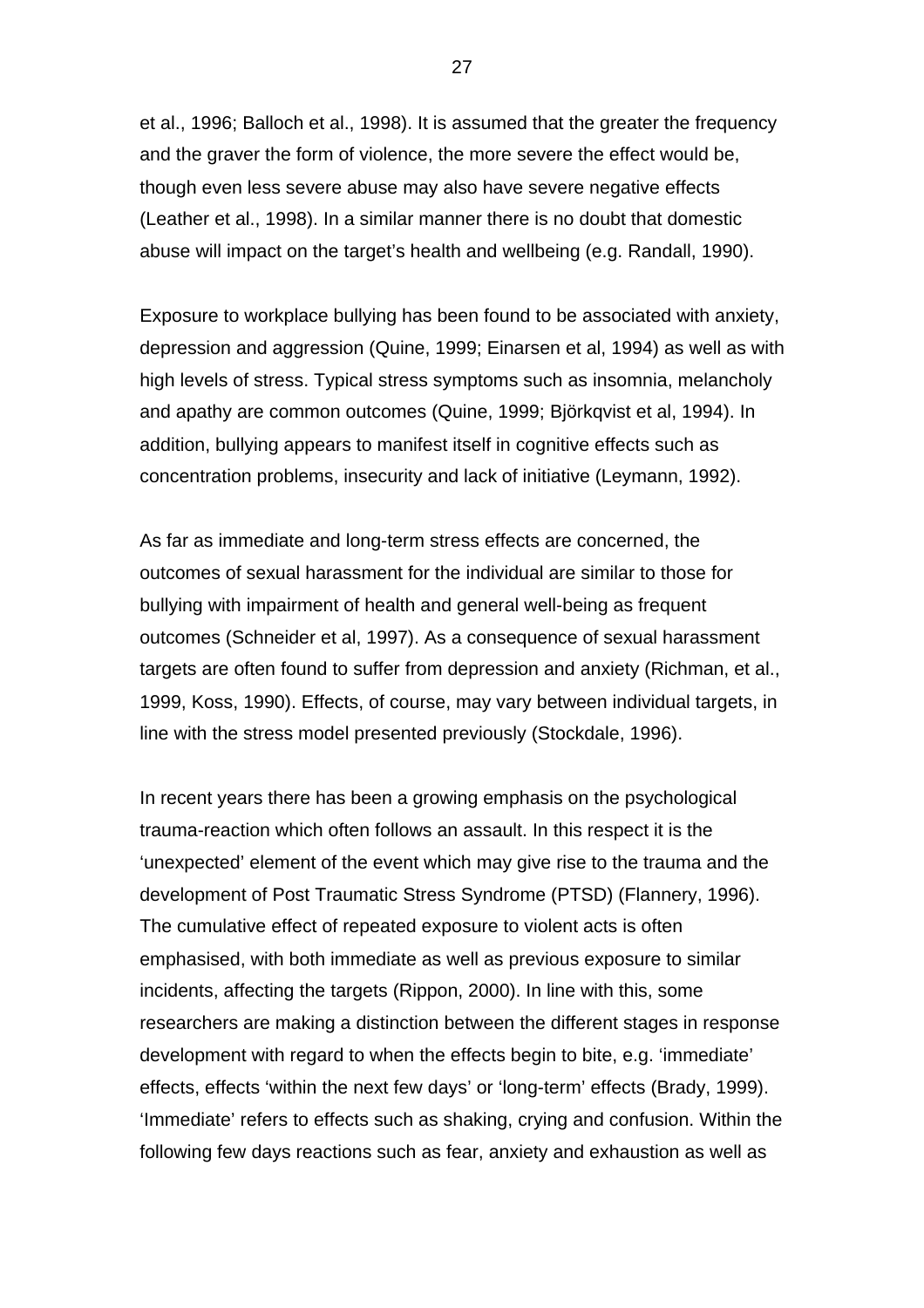et al., 1996; Balloch et al., 1998). It is assumed that the greater the frequency and the graver the form of violence, the more severe the effect would be, though even less severe abuse may also have severe negative effects (Leather et al., 1998). In a similar manner there is no doubt that domestic abuse will impact on the target's health and wellbeing (e.g. Randall, 1990).

Exposure to workplace bullying has been found to be associated with anxiety, depression and aggression (Quine, 1999; Einarsen et al, 1994) as well as with high levels of stress. Typical stress symptoms such as insomnia, melancholy and apathy are common outcomes (Quine, 1999; Björkqvist et al, 1994). In addition, bullying appears to manifest itself in cognitive effects such as concentration problems, insecurity and lack of initiative (Leymann, 1992).

As far as immediate and long-term stress effects are concerned, the outcomes of sexual harassment for the individual are similar to those for bullying with impairment of health and general well-being as frequent outcomes (Schneider et al, 1997). As a consequence of sexual harassment targets are often found to suffer from depression and anxiety (Richman, et al., 1999, Koss, 1990). Effects, of course, may vary between individual targets, in line with the stress model presented previously (Stockdale, 1996).

In recent years there has been a growing emphasis on the psychological trauma-reaction which often follows an assault. In this respect it is the 'unexpected' element of the event which may give rise to the trauma and the development of Post Traumatic Stress Syndrome (PTSD) (Flannery, 1996). The cumulative effect of repeated exposure to violent acts is often emphasised, with both immediate as well as previous exposure to similar incidents, affecting the targets (Rippon, 2000). In line with this, some researchers are making a distinction between the different stages in response development with regard to when the effects begin to bite, e.g. 'immediate' effects, effects 'within the next few days' or 'long-term' effects (Brady, 1999). 'Immediate' refers to effects such as shaking, crying and confusion. Within the following few days reactions such as fear, anxiety and exhaustion as well as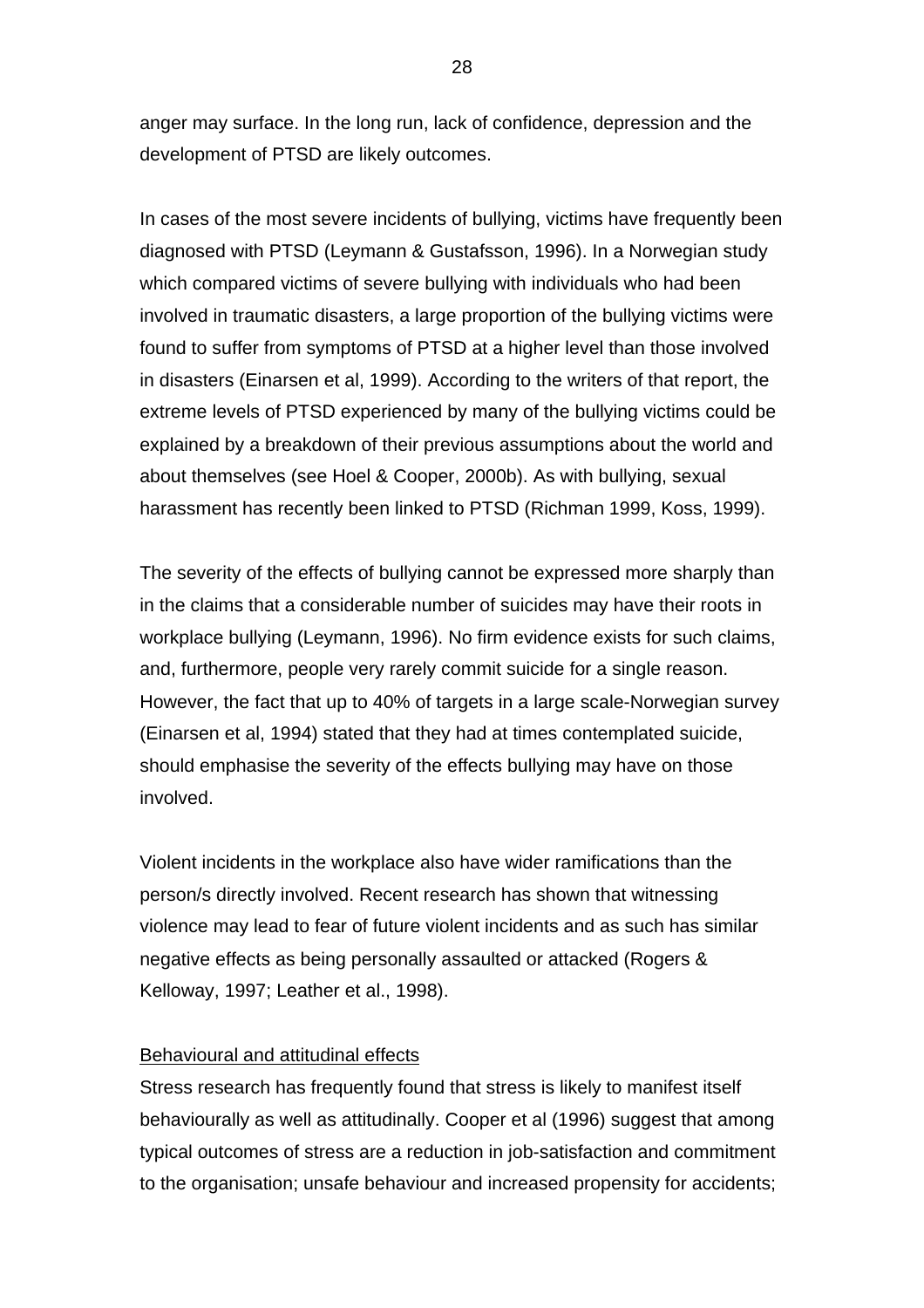anger may surface. In the long run, lack of confidence, depression and the development of PTSD are likely outcomes.

In cases of the most severe incidents of bullying, victims have frequently been diagnosed with PTSD (Leymann & Gustafsson, 1996). In a Norwegian study which compared victims of severe bullying with individuals who had been involved in traumatic disasters, a large proportion of the bullying victims were found to suffer from symptoms of PTSD at a higher level than those involved in disasters (Einarsen et al, 1999). According to the writers of that report, the extreme levels of PTSD experienced by many of the bullying victims could be explained by a breakdown of their previous assumptions about the world and about themselves (see Hoel & Cooper, 2000b). As with bullying, sexual harassment has recently been linked to PTSD (Richman 1999, Koss, 1999).

The severity of the effects of bullying cannot be expressed more sharply than in the claims that a considerable number of suicides may have their roots in workplace bullying (Leymann, 1996). No firm evidence exists for such claims, and, furthermore, people very rarely commit suicide for a single reason. However, the fact that up to 40% of targets in a large scale-Norwegian survey (Einarsen et al, 1994) stated that they had at times contemplated suicide, should emphasise the severity of the effects bullying may have on those involved.

Violent incidents in the workplace also have wider ramifications than the person/s directly involved. Recent research has shown that witnessing violence may lead to fear of future violent incidents and as such has similar negative effects as being personally assaulted or attacked (Rogers & Kelloway, 1997; Leather et al., 1998).

## Behavioural and attitudinal effects

Stress research has frequently found that stress is likely to manifest itself behaviourally as well as attitudinally. Cooper et al (1996) suggest that among typical outcomes of stress are a reduction in job-satisfaction and commitment to the organisation; unsafe behaviour and increased propensity for accidents;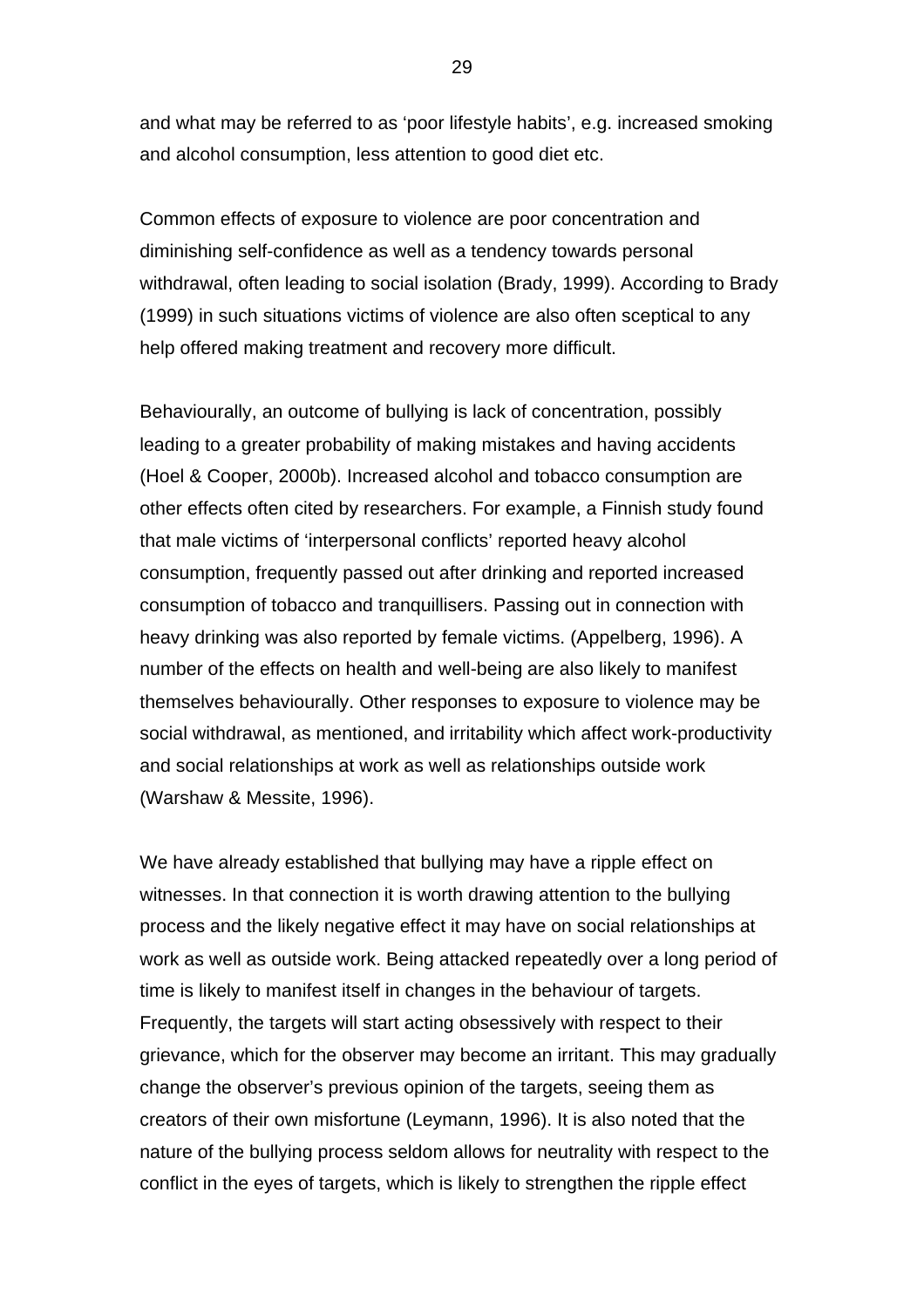and what may be referred to as 'poor lifestyle habits', e.g. increased smoking and alcohol consumption, less attention to good diet etc.

Common effects of exposure to violence are poor concentration and diminishing self-confidence as well as a tendency towards personal withdrawal, often leading to social isolation (Brady, 1999). According to Brady (1999) in such situations victims of violence are also often sceptical to any help offered making treatment and recovery more difficult.

Behaviourally, an outcome of bullying is lack of concentration, possibly leading to a greater probability of making mistakes and having accidents (Hoel & Cooper, 2000b). Increased alcohol and tobacco consumption are other effects often cited by researchers. For example, a Finnish study found that male victims of 'interpersonal conflicts' reported heavy alcohol consumption, frequently passed out after drinking and reported increased consumption of tobacco and tranquillisers. Passing out in connection with heavy drinking was also reported by female victims. (Appelberg, 1996). A number of the effects on health and well-being are also likely to manifest themselves behaviourally. Other responses to exposure to violence may be social withdrawal, as mentioned, and irritability which affect work-productivity and social relationships at work as well as relationships outside work (Warshaw & Messite, 1996).

We have already established that bullying may have a ripple effect on witnesses. In that connection it is worth drawing attention to the bullying process and the likely negative effect it may have on social relationships at work as well as outside work. Being attacked repeatedly over a long period of time is likely to manifest itself in changes in the behaviour of targets. Frequently, the targets will start acting obsessively with respect to their grievance, which for the observer may become an irritant. This may gradually change the observer's previous opinion of the targets, seeing them as creators of their own misfortune (Leymann, 1996). It is also noted that the nature of the bullying process seldom allows for neutrality with respect to the conflict in the eyes of targets, which is likely to strengthen the ripple effect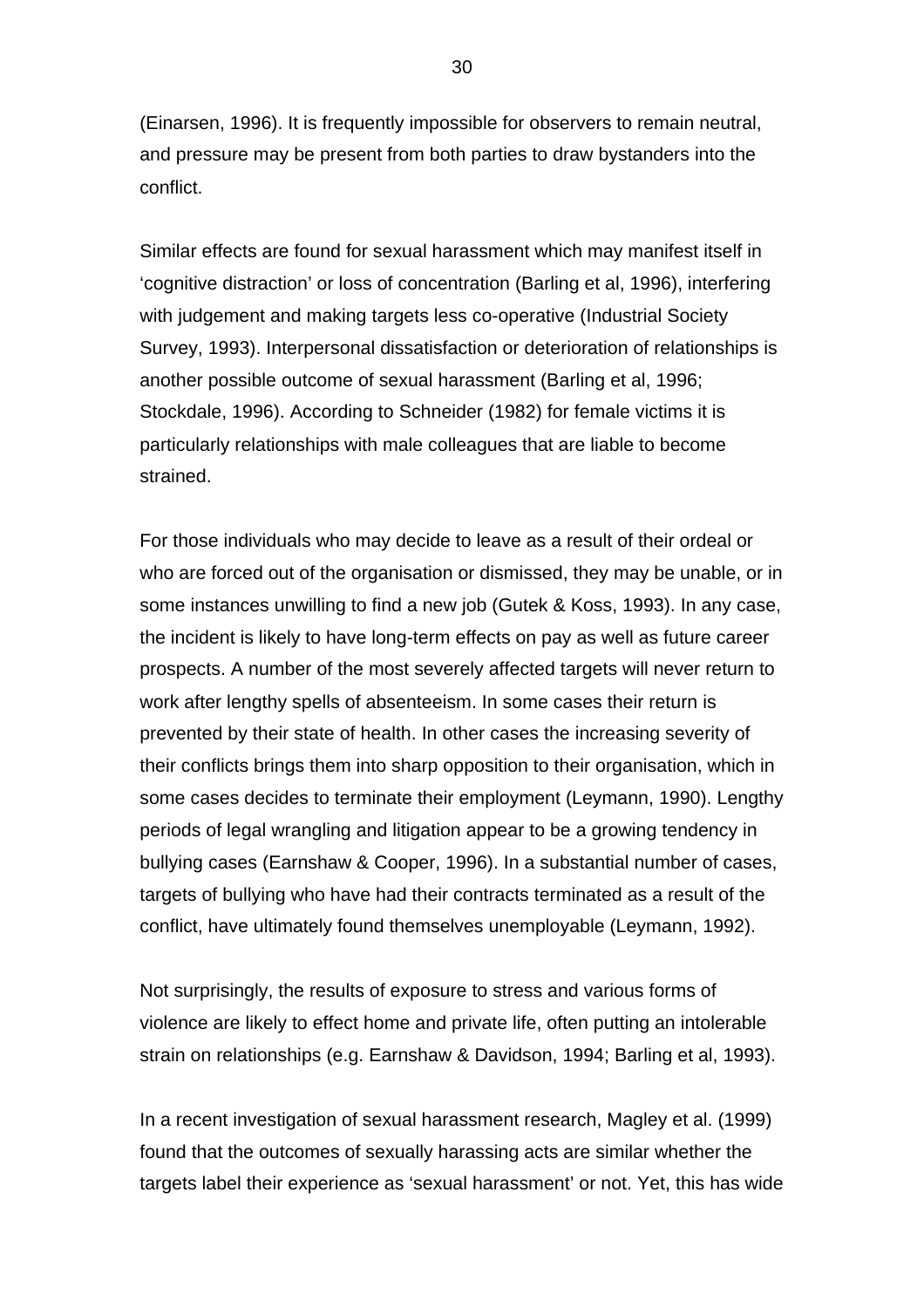30

(Einarsen, 1996). It is frequently impossible for observers to remain neutral, and pressure may be present from both parties to draw bystanders into the conflict.

Similar effects are found for sexual harassment which may manifest itself in 'cognitive distraction' or loss of concentration (Barling et al, 1996), interfering with judgement and making targets less co-operative (Industrial Society Survey, 1993). Interpersonal dissatisfaction or deterioration of relationships is another possible outcome of sexual harassment (Barling et al, 1996; Stockdale, 1996). According to Schneider (1982) for female victims it is particularly relationships with male colleagues that are liable to become strained.

For those individuals who may decide to leave as a result of their ordeal or who are forced out of the organisation or dismissed, they may be unable, or in some instances unwilling to find a new job (Gutek & Koss, 1993). In any case, the incident is likely to have long-term effects on pay as well as future career prospects. A number of the most severely affected targets will never return to work after lengthy spells of absenteeism. In some cases their return is prevented by their state of health. In other cases the increasing severity of their conflicts brings them into sharp opposition to their organisation, which in some cases decides to terminate their employment (Leymann, 1990). Lengthy periods of legal wrangling and litigation appear to be a growing tendency in bullying cases (Earnshaw & Cooper, 1996). In a substantial number of cases, targets of bullying who have had their contracts terminated as a result of the conflict, have ultimately found themselves unemployable (Leymann, 1992).

Not surprisingly, the results of exposure to stress and various forms of violence are likely to effect home and private life, often putting an intolerable strain on relationships (e.g. Earnshaw & Davidson, 1994; Barling et al, 1993).

In a recent investigation of sexual harassment research, Magley et al. (1999) found that the outcomes of sexually harassing acts are similar whether the targets label their experience as 'sexual harassment' or not. Yet, this has wide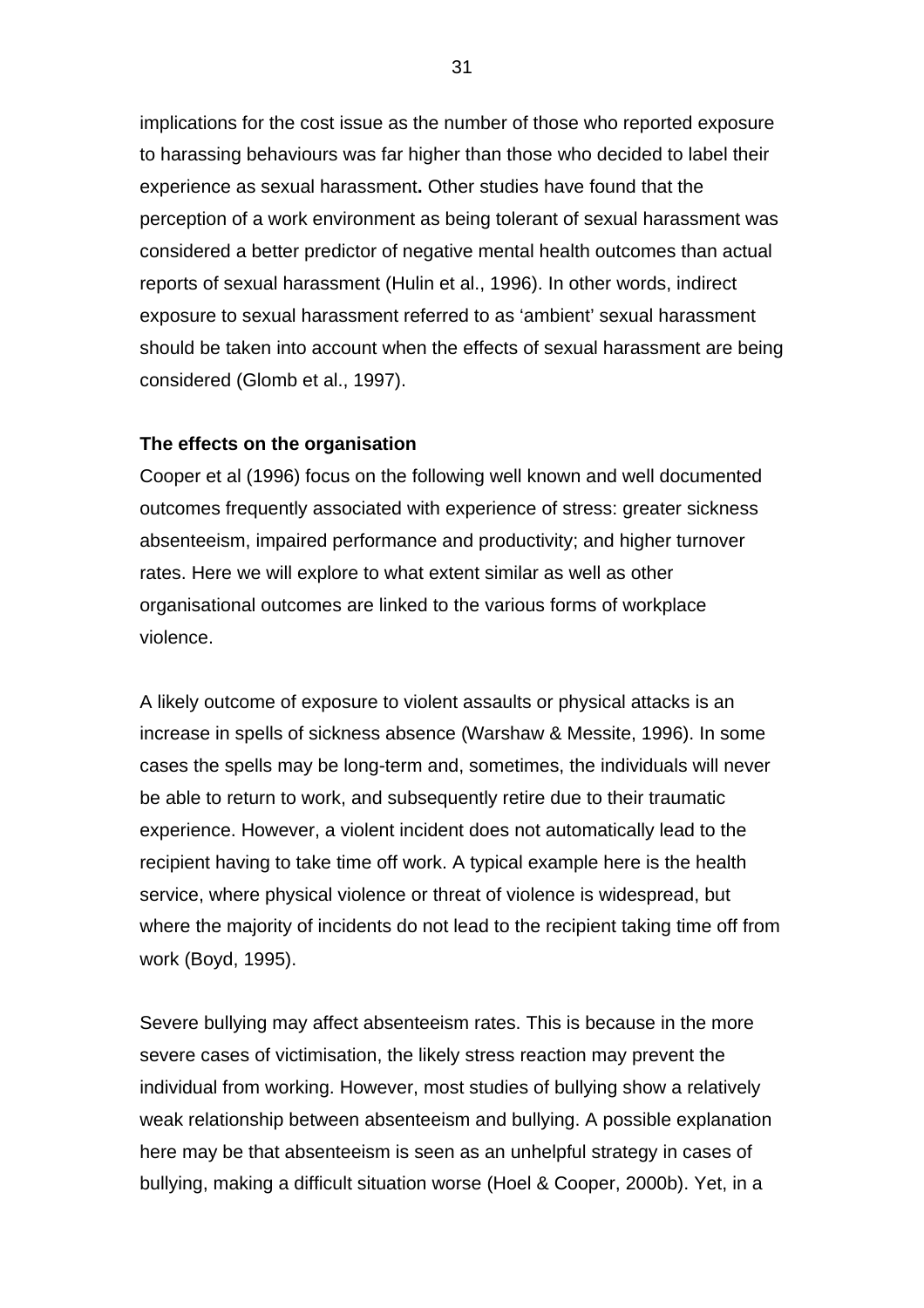implications for the cost issue as the number of those who reported exposure to harassing behaviours was far higher than those who decided to label their experience as sexual harassment**.** Other studies have found that the perception of a work environment as being tolerant of sexual harassment was considered a better predictor of negative mental health outcomes than actual reports of sexual harassment (Hulin et al., 1996). In other words, indirect exposure to sexual harassment referred to as 'ambient' sexual harassment should be taken into account when the effects of sexual harassment are being considered (Glomb et al., 1997).

#### **The effects on the organisation**

Cooper et al (1996) focus on the following well known and well documented outcomes frequently associated with experience of stress: greater sickness absenteeism, impaired performance and productivity; and higher turnover rates. Here we will explore to what extent similar as well as other organisational outcomes are linked to the various forms of workplace violence.

A likely outcome of exposure to violent assaults or physical attacks is an increase in spells of sickness absence (Warshaw & Messite, 1996). In some cases the spells may be long-term and, sometimes, the individuals will never be able to return to work, and subsequently retire due to their traumatic experience. However, a violent incident does not automatically lead to the recipient having to take time off work. A typical example here is the health service, where physical violence or threat of violence is widespread, but where the majority of incidents do not lead to the recipient taking time off from work (Boyd, 1995).

Severe bullying may affect absenteeism rates. This is because in the more severe cases of victimisation, the likely stress reaction may prevent the individual from working. However, most studies of bullying show a relatively weak relationship between absenteeism and bullying. A possible explanation here may be that absenteeism is seen as an unhelpful strategy in cases of bullying, making a difficult situation worse (Hoel & Cooper, 2000b). Yet, in a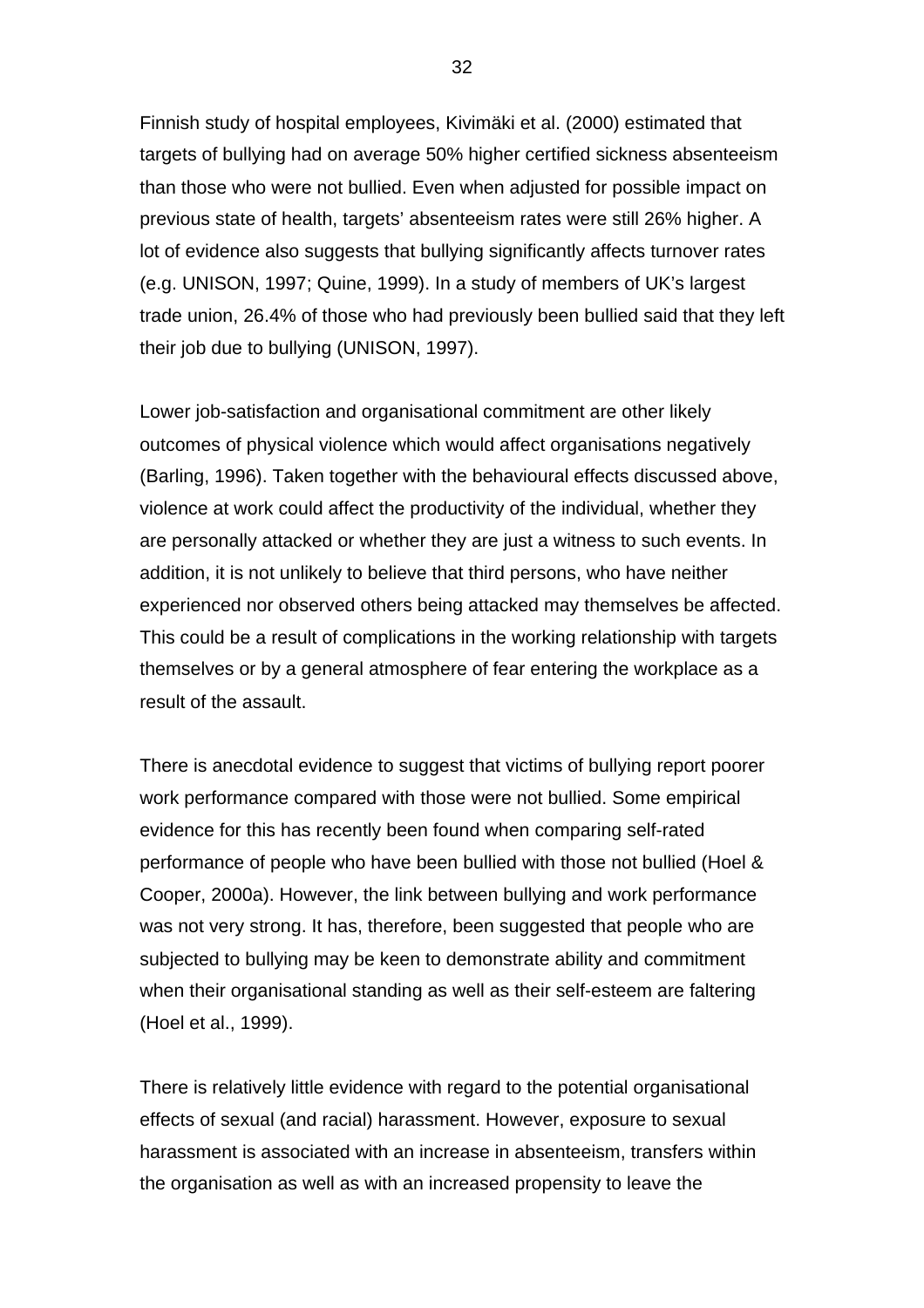Finnish study of hospital employees, Kivimäki et al. (2000) estimated that targets of bullying had on average 50% higher certified sickness absenteeism than those who were not bullied. Even when adjusted for possible impact on previous state of health, targets' absenteeism rates were still 26% higher. A lot of evidence also suggests that bullying significantly affects turnover rates (e.g. UNISON, 1997; Quine, 1999). In a study of members of UK's largest trade union, 26.4% of those who had previously been bullied said that they left their job due to bullying (UNISON, 1997).

Lower job-satisfaction and organisational commitment are other likely outcomes of physical violence which would affect organisations negatively (Barling, 1996). Taken together with the behavioural effects discussed above, violence at work could affect the productivity of the individual, whether they are personally attacked or whether they are just a witness to such events. In addition, it is not unlikely to believe that third persons, who have neither experienced nor observed others being attacked may themselves be affected. This could be a result of complications in the working relationship with targets themselves or by a general atmosphere of fear entering the workplace as a result of the assault.

There is anecdotal evidence to suggest that victims of bullying report poorer work performance compared with those were not bullied. Some empirical evidence for this has recently been found when comparing self-rated performance of people who have been bullied with those not bullied (Hoel & Cooper, 2000a). However, the link between bullying and work performance was not very strong. It has, therefore, been suggested that people who are subjected to bullying may be keen to demonstrate ability and commitment when their organisational standing as well as their self-esteem are faltering (Hoel et al., 1999).

There is relatively little evidence with regard to the potential organisational effects of sexual (and racial) harassment. However, exposure to sexual harassment is associated with an increase in absenteeism, transfers within the organisation as well as with an increased propensity to leave the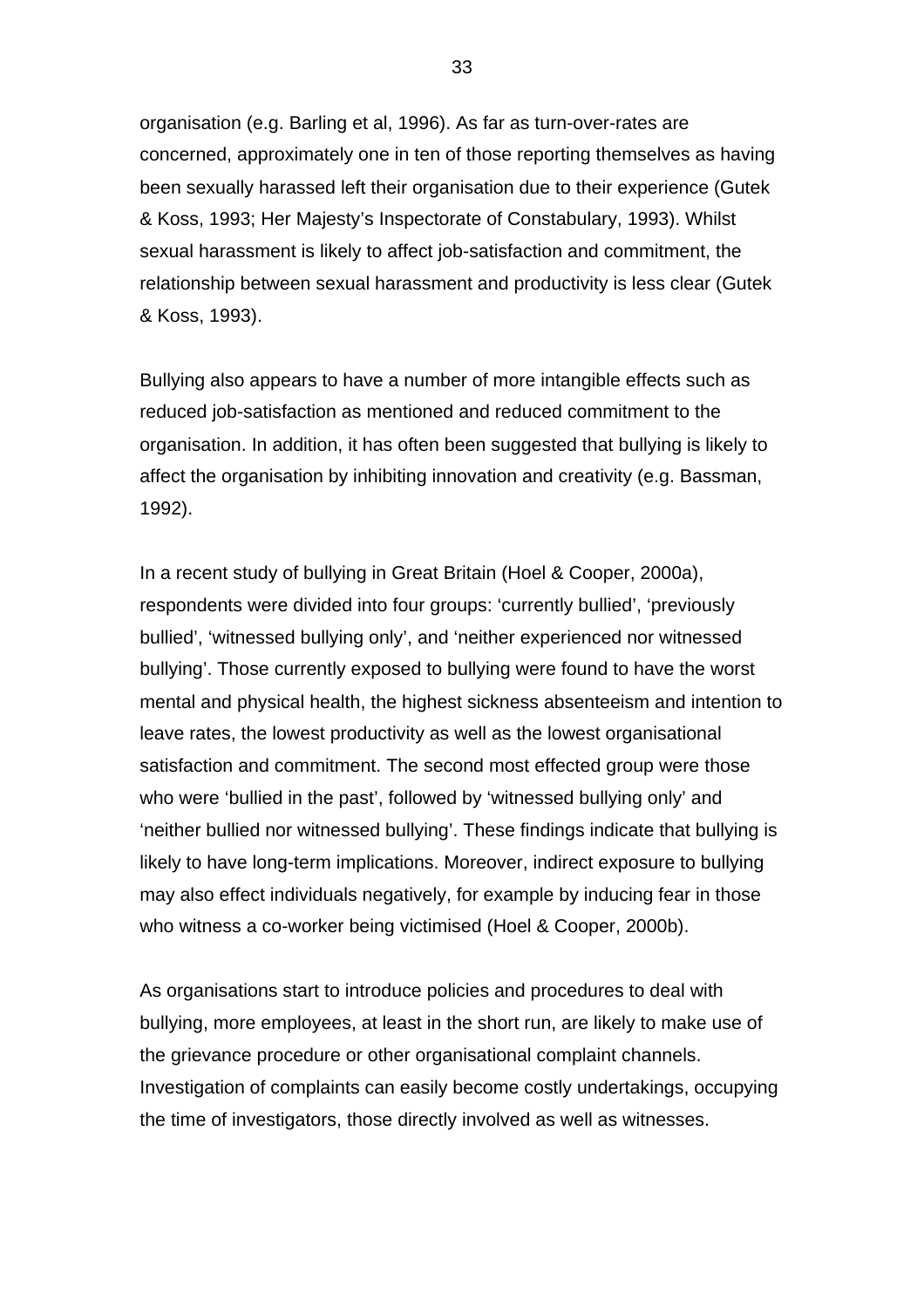organisation (e.g. Barling et al, 1996). As far as turn-over-rates are concerned, approximately one in ten of those reporting themselves as having been sexually harassed left their organisation due to their experience (Gutek & Koss, 1993; Her Majesty's Inspectorate of Constabulary, 1993). Whilst sexual harassment is likely to affect job-satisfaction and commitment, the relationship between sexual harassment and productivity is less clear (Gutek & Koss, 1993).

Bullying also appears to have a number of more intangible effects such as reduced job-satisfaction as mentioned and reduced commitment to the organisation. In addition, it has often been suggested that bullying is likely to affect the organisation by inhibiting innovation and creativity (e.g. Bassman, 1992).

In a recent study of bullying in Great Britain (Hoel & Cooper, 2000a), respondents were divided into four groups: 'currently bullied', 'previously bullied', 'witnessed bullying only', and 'neither experienced nor witnessed bullying'. Those currently exposed to bullying were found to have the worst mental and physical health, the highest sickness absenteeism and intention to leave rates, the lowest productivity as well as the lowest organisational satisfaction and commitment. The second most effected group were those who were 'bullied in the past', followed by 'witnessed bullying only' and 'neither bullied nor witnessed bullying'. These findings indicate that bullying is likely to have long-term implications. Moreover, indirect exposure to bullying may also effect individuals negatively, for example by inducing fear in those who witness a co-worker being victimised (Hoel & Cooper, 2000b).

As organisations start to introduce policies and procedures to deal with bullying, more employees, at least in the short run, are likely to make use of the grievance procedure or other organisational complaint channels. Investigation of complaints can easily become costly undertakings, occupying the time of investigators, those directly involved as well as witnesses.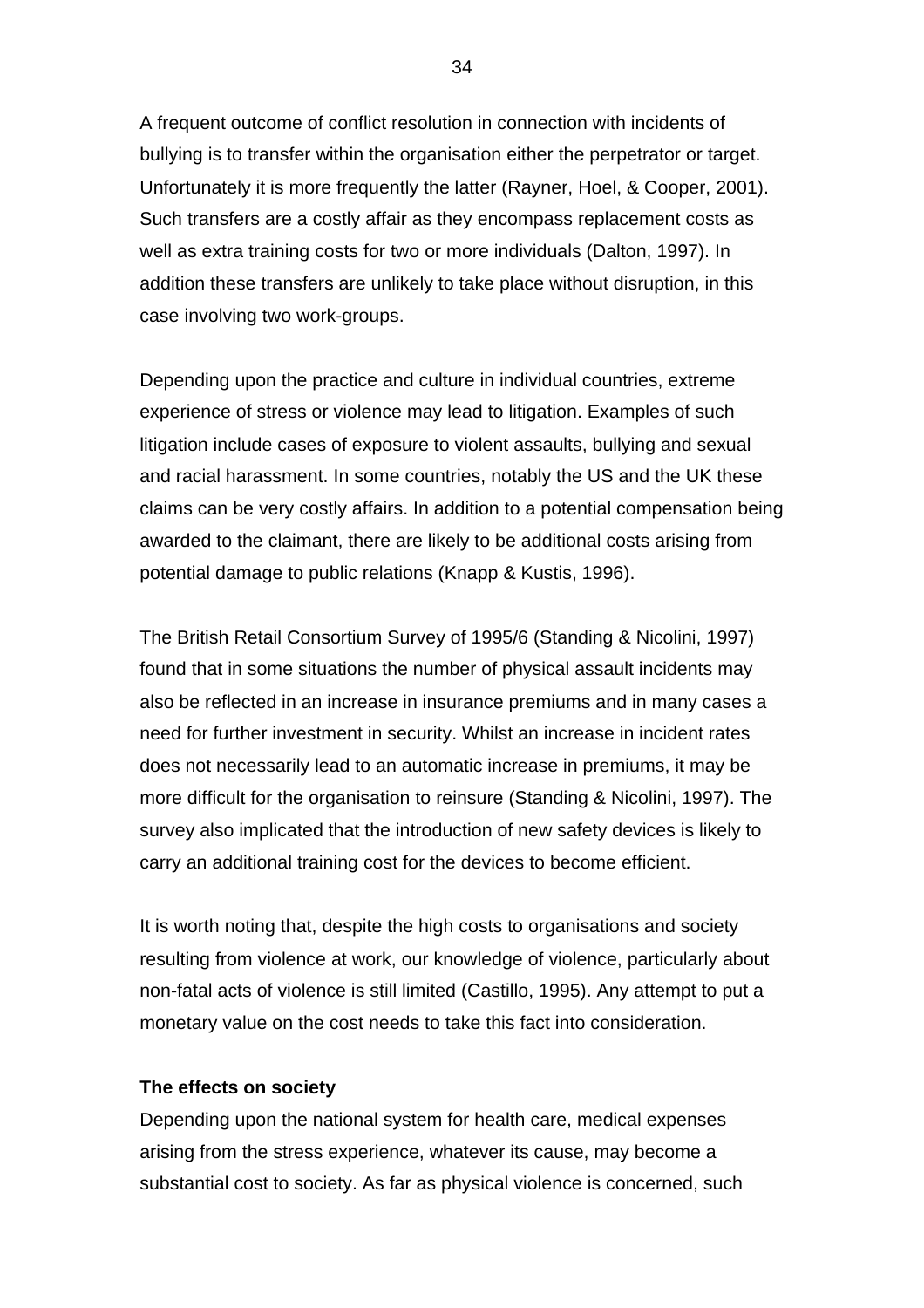A frequent outcome of conflict resolution in connection with incidents of bullying is to transfer within the organisation either the perpetrator or target. Unfortunately it is more frequently the latter (Rayner, Hoel, & Cooper, 2001). Such transfers are a costly affair as they encompass replacement costs as well as extra training costs for two or more individuals (Dalton, 1997). In addition these transfers are unlikely to take place without disruption, in this case involving two work-groups.

Depending upon the practice and culture in individual countries, extreme experience of stress or violence may lead to litigation. Examples of such litigation include cases of exposure to violent assaults, bullying and sexual and racial harassment. In some countries, notably the US and the UK these claims can be very costly affairs. In addition to a potential compensation being awarded to the claimant, there are likely to be additional costs arising from potential damage to public relations (Knapp & Kustis, 1996).

The British Retail Consortium Survey of 1995/6 (Standing & Nicolini, 1997) found that in some situations the number of physical assault incidents may also be reflected in an increase in insurance premiums and in many cases a need for further investment in security. Whilst an increase in incident rates does not necessarily lead to an automatic increase in premiums, it may be more difficult for the organisation to reinsure (Standing & Nicolini, 1997). The survey also implicated that the introduction of new safety devices is likely to carry an additional training cost for the devices to become efficient.

It is worth noting that, despite the high costs to organisations and society resulting from violence at work, our knowledge of violence, particularly about non-fatal acts of violence is still limited (Castillo, 1995). Any attempt to put a monetary value on the cost needs to take this fact into consideration.

#### **The effects on society**

Depending upon the national system for health care, medical expenses arising from the stress experience, whatever its cause, may become a substantial cost to society. As far as physical violence is concerned, such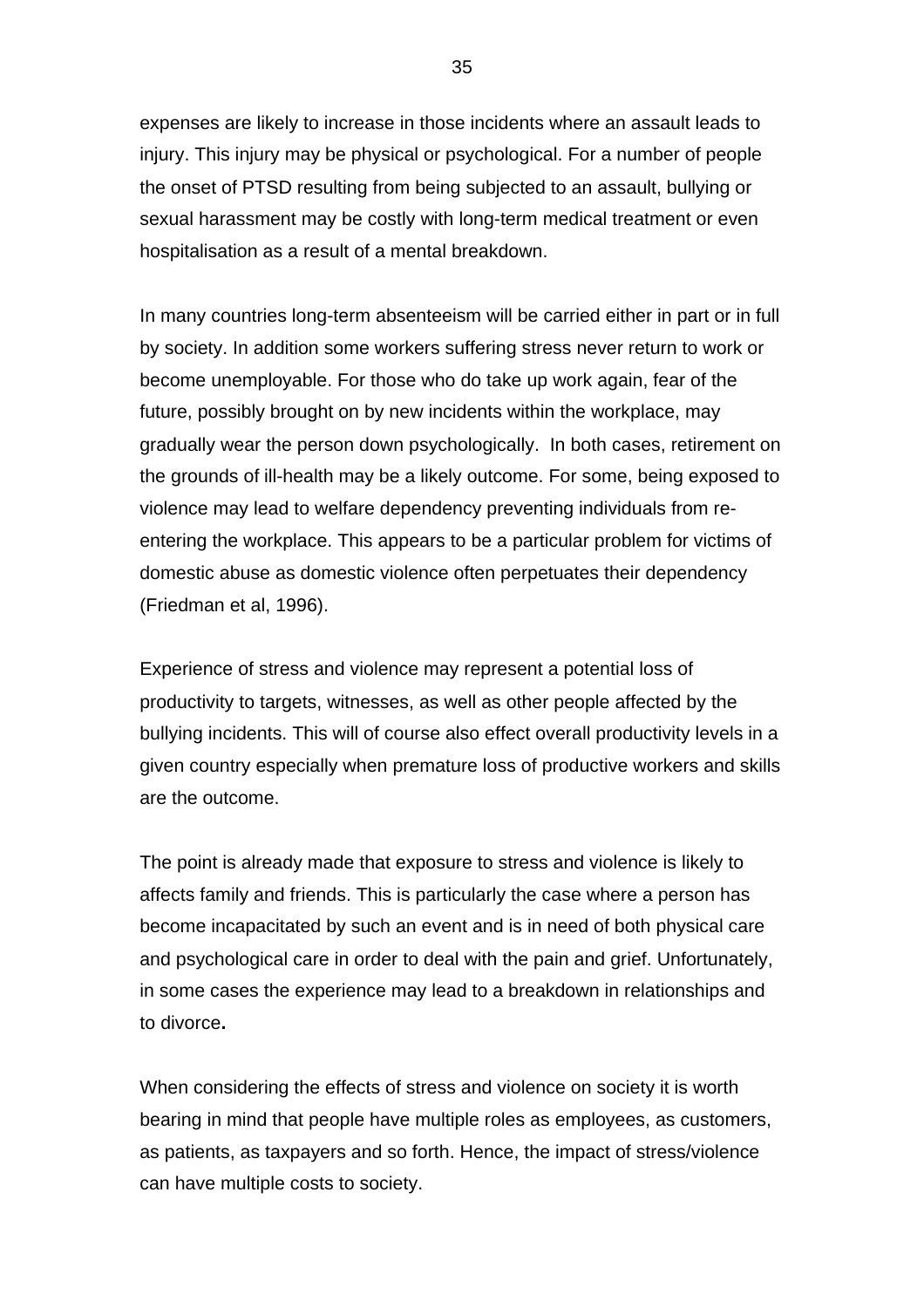expenses are likely to increase in those incidents where an assault leads to injury. This injury may be physical or psychological. For a number of people the onset of PTSD resulting from being subjected to an assault, bullying or sexual harassment may be costly with long-term medical treatment or even hospitalisation as a result of a mental breakdown.

In many countries long-term absenteeism will be carried either in part or in full by society. In addition some workers suffering stress never return to work or become unemployable. For those who do take up work again, fear of the future, possibly brought on by new incidents within the workplace, may gradually wear the person down psychologically. In both cases, retirement on the grounds of ill-health may be a likely outcome. For some, being exposed to violence may lead to welfare dependency preventing individuals from reentering the workplace. This appears to be a particular problem for victims of domestic abuse as domestic violence often perpetuates their dependency (Friedman et al, 1996).

Experience of stress and violence may represent a potential loss of productivity to targets, witnesses, as well as other people affected by the bullying incidents. This will of course also effect overall productivity levels in a given country especially when premature loss of productive workers and skills are the outcome.

The point is already made that exposure to stress and violence is likely to affects family and friends. This is particularly the case where a person has become incapacitated by such an event and is in need of both physical care and psychological care in order to deal with the pain and grief. Unfortunately, in some cases the experience may lead to a breakdown in relationships and to divorce**.**

When considering the effects of stress and violence on society it is worth bearing in mind that people have multiple roles as employees, as customers, as patients, as taxpayers and so forth. Hence, the impact of stress/violence can have multiple costs to society.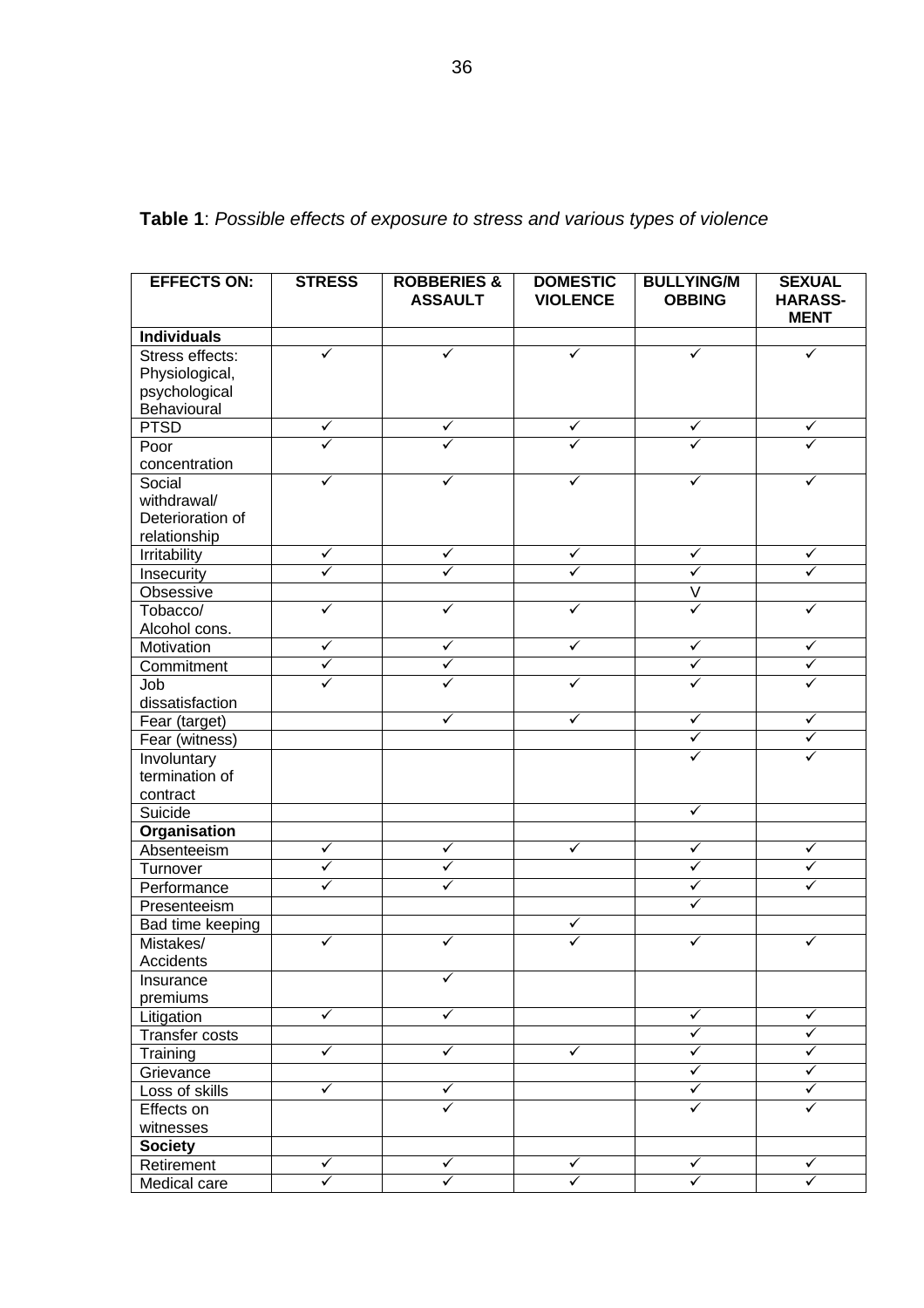**EFFECTS ON: STRESS ROBBERIES & ASSAULT DOMESTIC VIOLENCE BULLYING/M OBBING SEXUAL HARASS-MENT Individuals** Stress effects: Physiological, psychological **Behavioural**  $\checkmark$  ,  $\checkmark$  ,  $\checkmark$  ,  $\checkmark$  ,  $\checkmark$  ,  $\checkmark$  ,  $\checkmark$ PTSD ¸ ¸ ¸ ¸ ¸ Poor concentration  $\checkmark$  ,  $\checkmark$  ,  $\checkmark$  ,  $\checkmark$  ,  $\checkmark$  ,  $\checkmark$ **Social** withdrawal/ Deterioration of relationship  $\checkmark$  ,  $\checkmark$  ,  $\checkmark$  ,  $\checkmark$  ,  $\checkmark$  ,  $\checkmark$  ,  $\checkmark$ Irritability , and  $\vert \quad \checkmark \quad \vert \quad \checkmark \quad \vert \quad \checkmark \quad \vert \quad \checkmark$ Insecurity  $|\quad \checkmark \quad |\quad \checkmark \quad |\quad \checkmark \quad |\quad \checkmark \quad |$ Obsessive V Tobacco/ Alcohol cons.  $\checkmark$  ,  $\checkmark$  ,  $\checkmark$  ,  $\checkmark$  ,  $\checkmark$  ,  $\checkmark$ Motivation ¸ ¸ ¸ ¸ ¸  $\n *Commitment*$   $\n *ightharpoonup*$   $\n *ightharpoonup*$   $\n *ightharpoonup*$ Job dissatisfaction  $\checkmark$  ,  $\checkmark$  ,  $\checkmark$  ,  $\checkmark$  ,  $\checkmark$  ,  $\checkmark$  ,  $\checkmark$ Fear (target) ¸ ¸ ¸ ¸  $\frac{1}{\sqrt{2}}$  Fear (witness)  $\sqrt{2}$  ,  $\frac{1}{\sqrt{2}}$ **Involuntary** termination of contract<br>Suicide  $\checkmark$ Suicide ¸ **Organisation** Absenteeism  $\checkmark$   $\checkmark$   $\checkmark$   $\checkmark$   $\checkmark$ Turnover , and  $\vert$  , and  $\vert$  , and  $\vert$  , and  $\vert$  , and  $\vert$  , and  $\vert$  , and  $\vert$  , and  $\vert$  , and  $\vert$  , and  $\vert$  , and  $\vert$  , and  $\vert$  , and  $\vert$  , and  $\vert$  , and  $\vert$  , and  $\vert$  , and  $\vert$  , and  $\vert$  , and  $\vert$  , a  $P$ erformance  $\checkmark$   $\checkmark$   $\checkmark$   $\checkmark$ **Presenteeism** Bad time keeping states of the second states of the second states of the second states of the second states of the second states of the second states of the second states of the second states of the second states of the se Mistakes/ **Accidents**  $\checkmark$  ,  $\checkmark$  ,  $\checkmark$  ,  $\checkmark$  ,  $\checkmark$  ,  $\checkmark$ **Insurance** premiums ¸ Litigation  $\qquad \qquad | \qquad \checkmark \qquad | \qquad \qquad \checkmark \qquad | \qquad \checkmark$  $\frac{1}{\text{Transfer costs}}$  ,  $\frac{1}{\sqrt{1-\frac{1}{\sqrt{1-\frac{1}{\sqrt{1-\frac{1}{\sqrt{1-\frac{1}{\sqrt{1-\frac{1}{\sqrt{1-\frac{1}{\sqrt{1-\frac{1}{\sqrt{1-\frac{1}{\sqrt{1-\frac{1}{\sqrt{1-\frac{1}{\sqrt{1-\frac{1}{\sqrt{1-\frac{1}{\sqrt{1-\frac{1}{\sqrt{1-\frac{1}{\sqrt{1-\frac{1}{\sqrt{1-\frac{1}{\sqrt{1-\frac{1}{\sqrt{1-\frac{1}{\sqrt{1-\frac{1}{\sqrt{1-\frac{1}{\sqrt{1-\frac{1}{\sqrt{1-\frac{1}{\$ Training , and  $\begin{array}{|c|c|c|c|c|}\hline \text{ }} & \checkmark & \text{ } & \checkmark \ \hline \end{array} \qquad \begin{array}{|c|c|c|c|c|c|}\hline \text{ }} & \checkmark & \text{ } & \checkmark \ \hline \end{array} \qquad \begin{array}{|c|c|c|c|c|c|c|c|}\hline \text{ }} & \checkmark & \text{ } & \checkmark \ \hline \end{array}$ Grievance  $\sqrt{2}$ Loss of skills ¸ ¸ ¸ ¸ Effects on witnesses  $\checkmark$  , we set that  $\checkmark$  is the set of  $\checkmark$ **Society** Retirement ¸ ¸ ¸ ¸ ¸ Medical care

**Table 1**: *Possible effects of exposure to stress and various types of violence*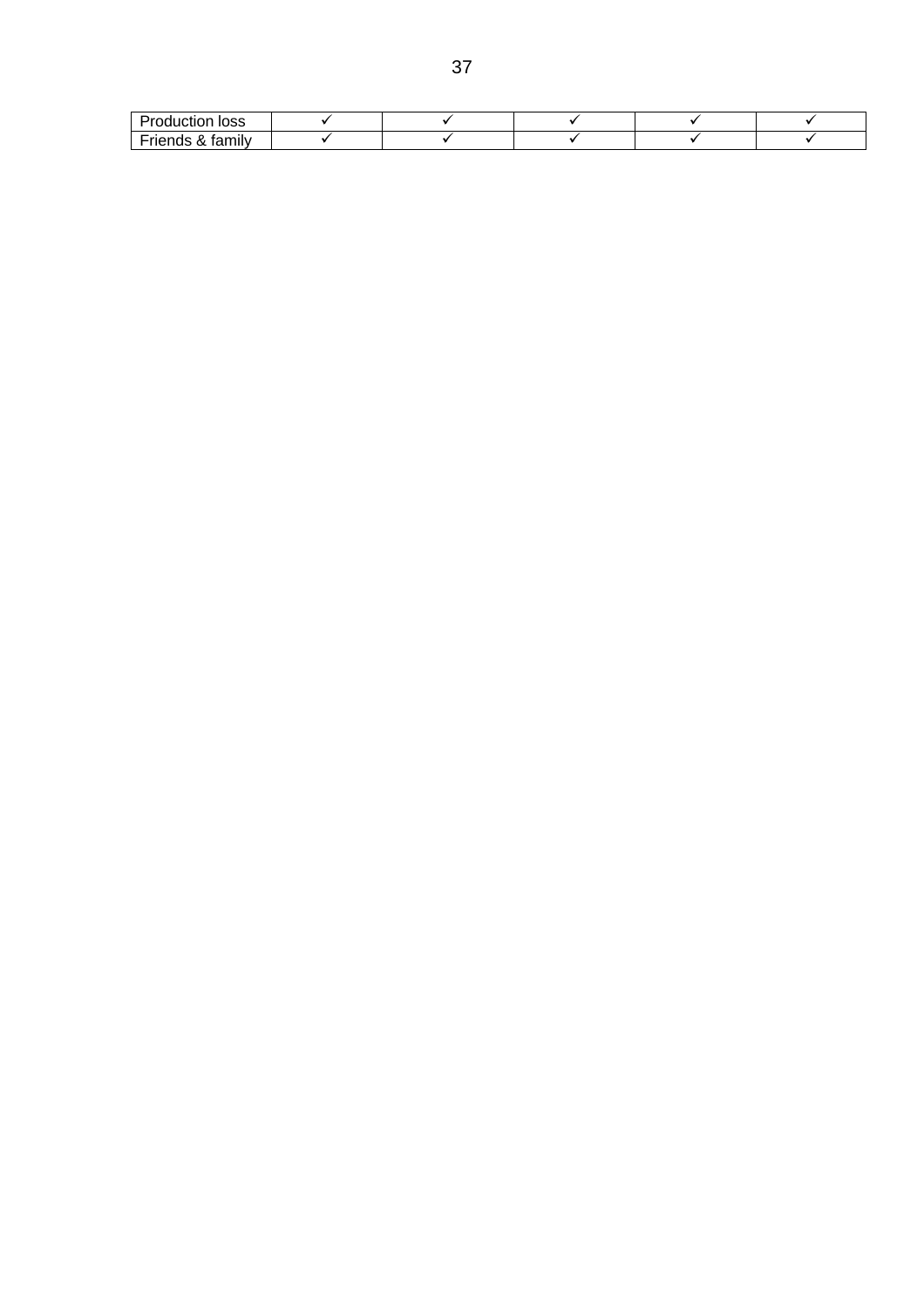| loss<br>лклг<br>,,,, |  |  |  |
|----------------------|--|--|--|
| tamily<br>           |  |  |  |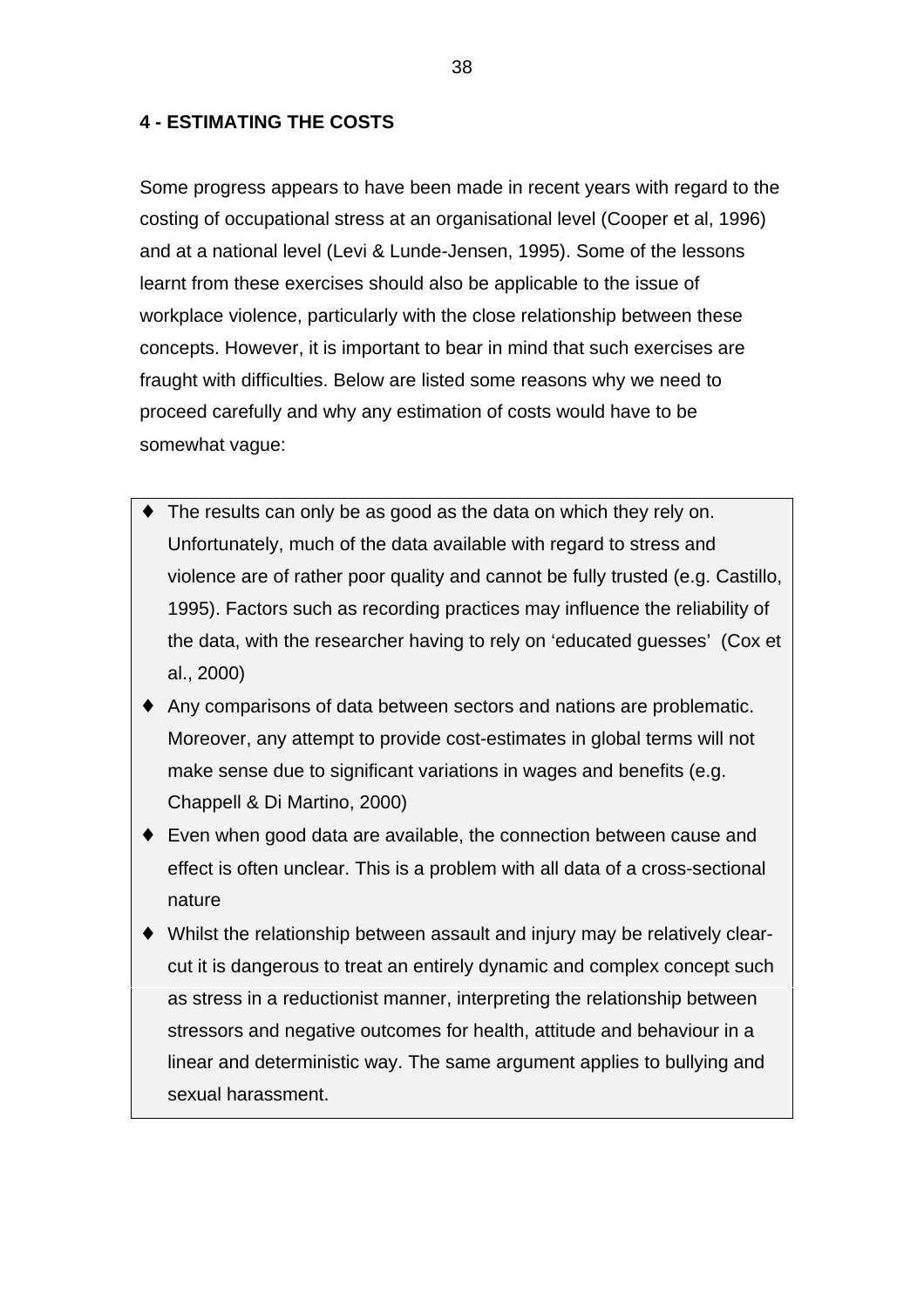## **4 - ESTIMATING THE COSTS**

Some progress appears to have been made in recent years with regard to the costing of occupational stress at an organisational level (Cooper et al, 1996) and at a national level (Levi & Lunde-Jensen, 1995). Some of the lessons learnt from these exercises should also be applicable to the issue of workplace violence, particularly with the close relationship between these concepts. However, it is important to bear in mind that such exercises are fraught with difficulties. Below are listed some reasons why we need to proceed carefully and why any estimation of costs would have to be somewhat vague:

- ♦ The results can only be as good as the data on which they rely on. Unfortunately, much of the data available with regard to stress and violence are of rather poor quality and cannot be fully trusted (e.g. Castillo, 1995). Factors such as recording practices may influence the reliability of the data, with the researcher having to rely on 'educated guesses' (Cox et al., 2000)
- ♦ Any comparisons of data between sectors and nations are problematic. Moreover, any attempt to provide cost-estimates in global terms will not make sense due to significant variations in wages and benefits (e.g. Chappell & Di Martino, 2000)
- ♦ Even when good data are available, the connection between cause and effect is often unclear. This is a problem with all data of a cross-sectional nature
- ♦ Whilst the relationship between assault and injury may be relatively clearcut it is dangerous to treat an entirely dynamic and complex concept such as stress in a reductionist manner, interpreting the relationship between stressors and negative outcomes for health, attitude and behaviour in a linear and deterministic way. The same argument applies to bullying and sexual harassment.

38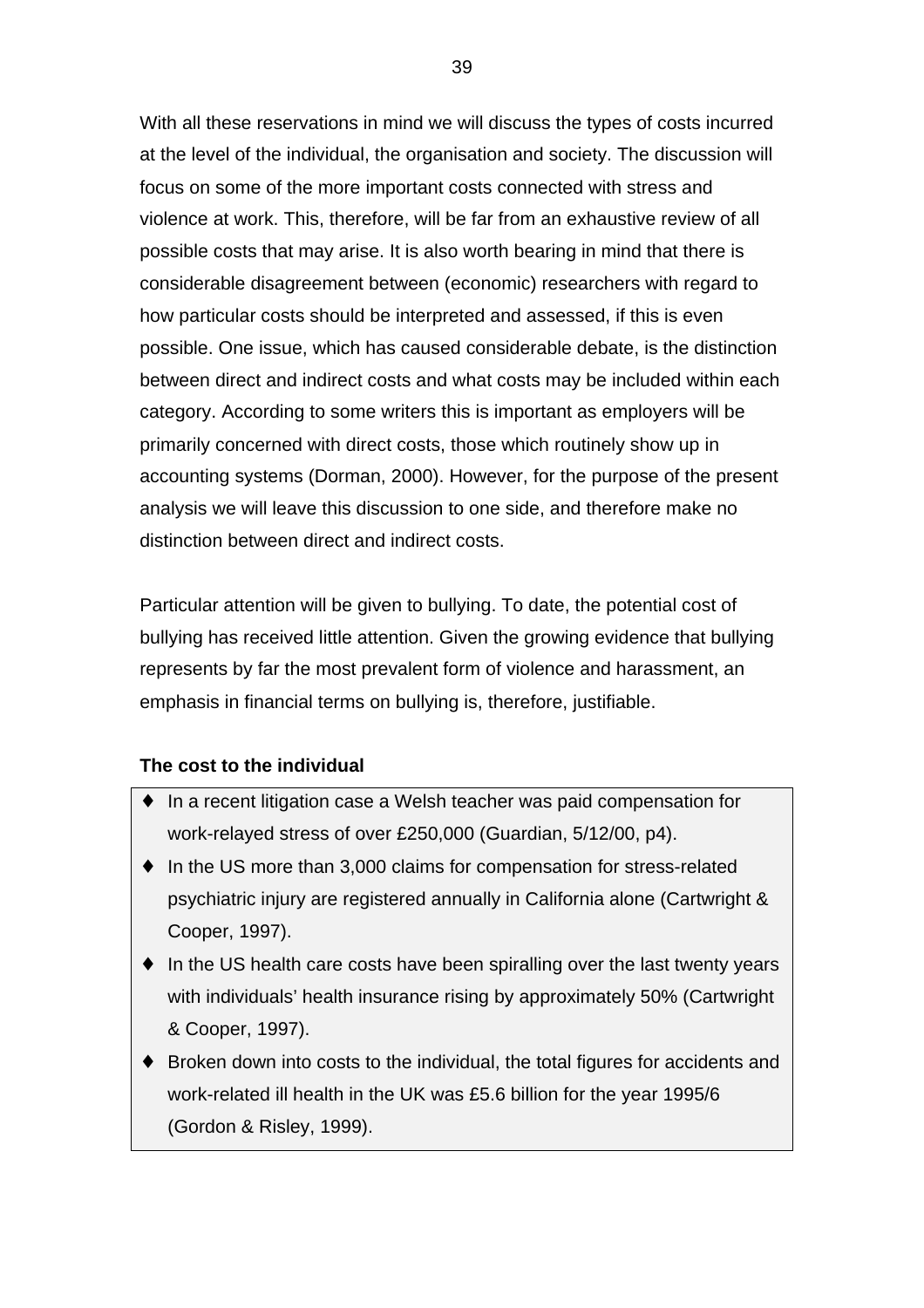With all these reservations in mind we will discuss the types of costs incurred at the level of the individual, the organisation and society. The discussion will focus on some of the more important costs connected with stress and violence at work. This, therefore, will be far from an exhaustive review of all possible costs that may arise. It is also worth bearing in mind that there is considerable disagreement between (economic) researchers with regard to how particular costs should be interpreted and assessed, if this is even possible. One issue, which has caused considerable debate, is the distinction between direct and indirect costs and what costs may be included within each category. According to some writers this is important as employers will be primarily concerned with direct costs, those which routinely show up in accounting systems (Dorman, 2000). However, for the purpose of the present analysis we will leave this discussion to one side, and therefore make no distinction between direct and indirect costs.

Particular attention will be given to bullying. To date, the potential cost of bullying has received little attention. Given the growing evidence that bullying represents by far the most prevalent form of violence and harassment, an emphasis in financial terms on bullying is, therefore, justifiable.

## **The cost to the individual**

- ♦ In a recent litigation case a Welsh teacher was paid compensation for work-relayed stress of over £250,000 (Guardian, 5/12/00, p4).
- ♦ In the US more than 3,000 claims for compensation for stress-related psychiatric injury are registered annually in California alone (Cartwright & Cooper, 1997).
- ♦ In the US health care costs have been spiralling over the last twenty years with individuals' health insurance rising by approximately 50% (Cartwright & Cooper, 1997).
- ♦ Broken down into costs to the individual, the total figures for accidents and work-related ill health in the UK was £5.6 billion for the year 1995/6 (Gordon & Risley, 1999).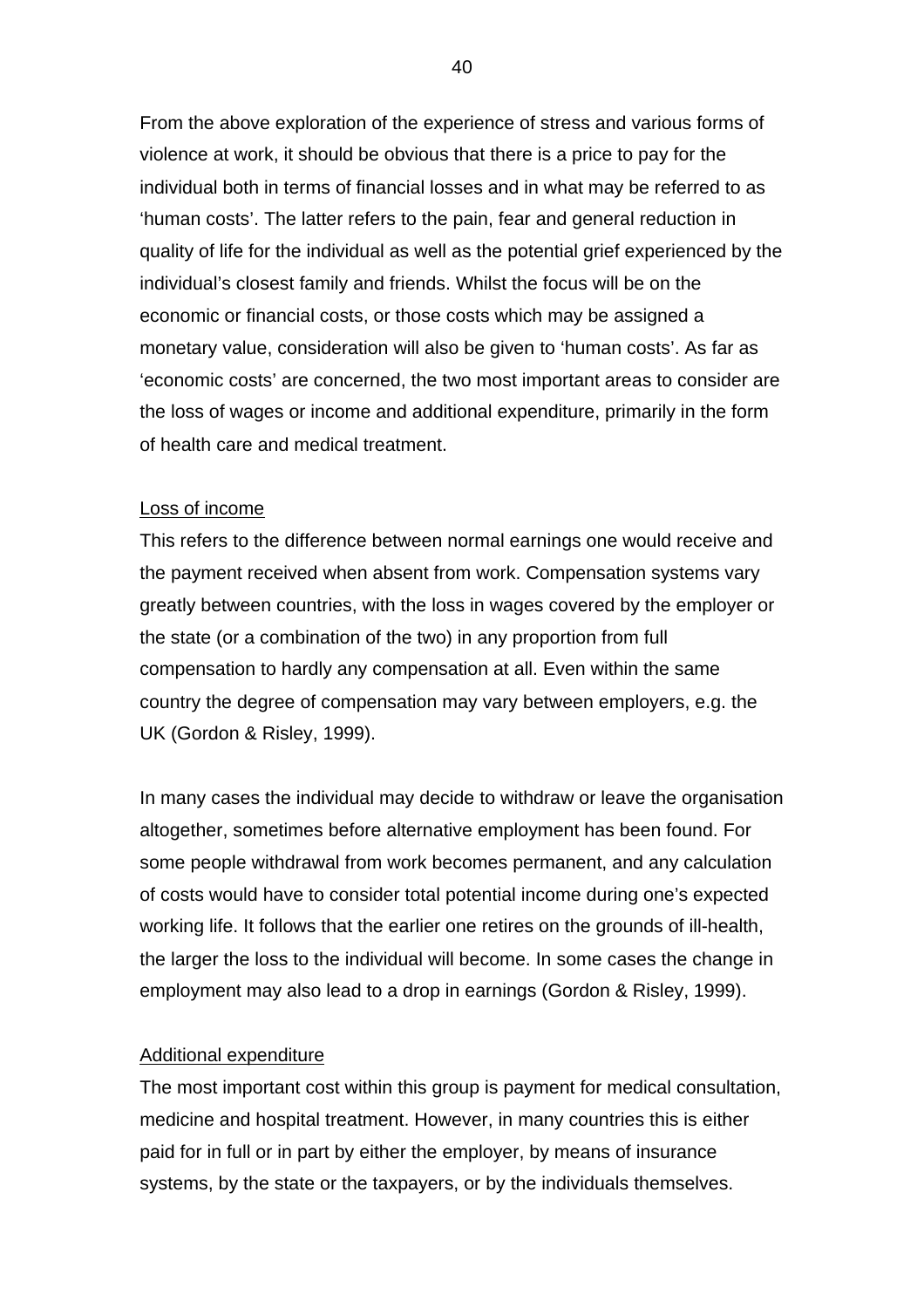From the above exploration of the experience of stress and various forms of violence at work, it should be obvious that there is a price to pay for the individual both in terms of financial losses and in what may be referred to as 'human costs'. The latter refers to the pain, fear and general reduction in quality of life for the individual as well as the potential grief experienced by the individual's closest family and friends. Whilst the focus will be on the economic or financial costs, or those costs which may be assigned a monetary value, consideration will also be given to 'human costs'. As far as 'economic costs' are concerned, the two most important areas to consider are the loss of wages or income and additional expenditure, primarily in the form of health care and medical treatment.

#### Loss of income

This refers to the difference between normal earnings one would receive and the payment received when absent from work. Compensation systems vary greatly between countries, with the loss in wages covered by the employer or the state (or a combination of the two) in any proportion from full compensation to hardly any compensation at all. Even within the same country the degree of compensation may vary between employers, e.g. the UK (Gordon & Risley, 1999).

In many cases the individual may decide to withdraw or leave the organisation altogether, sometimes before alternative employment has been found. For some people withdrawal from work becomes permanent, and any calculation of costs would have to consider total potential income during one's expected working life. It follows that the earlier one retires on the grounds of ill-health, the larger the loss to the individual will become. In some cases the change in employment may also lead to a drop in earnings (Gordon & Risley, 1999).

#### Additional expenditure

The most important cost within this group is payment for medical consultation, medicine and hospital treatment. However, in many countries this is either paid for in full or in part by either the employer, by means of insurance systems, by the state or the taxpayers, or by the individuals themselves.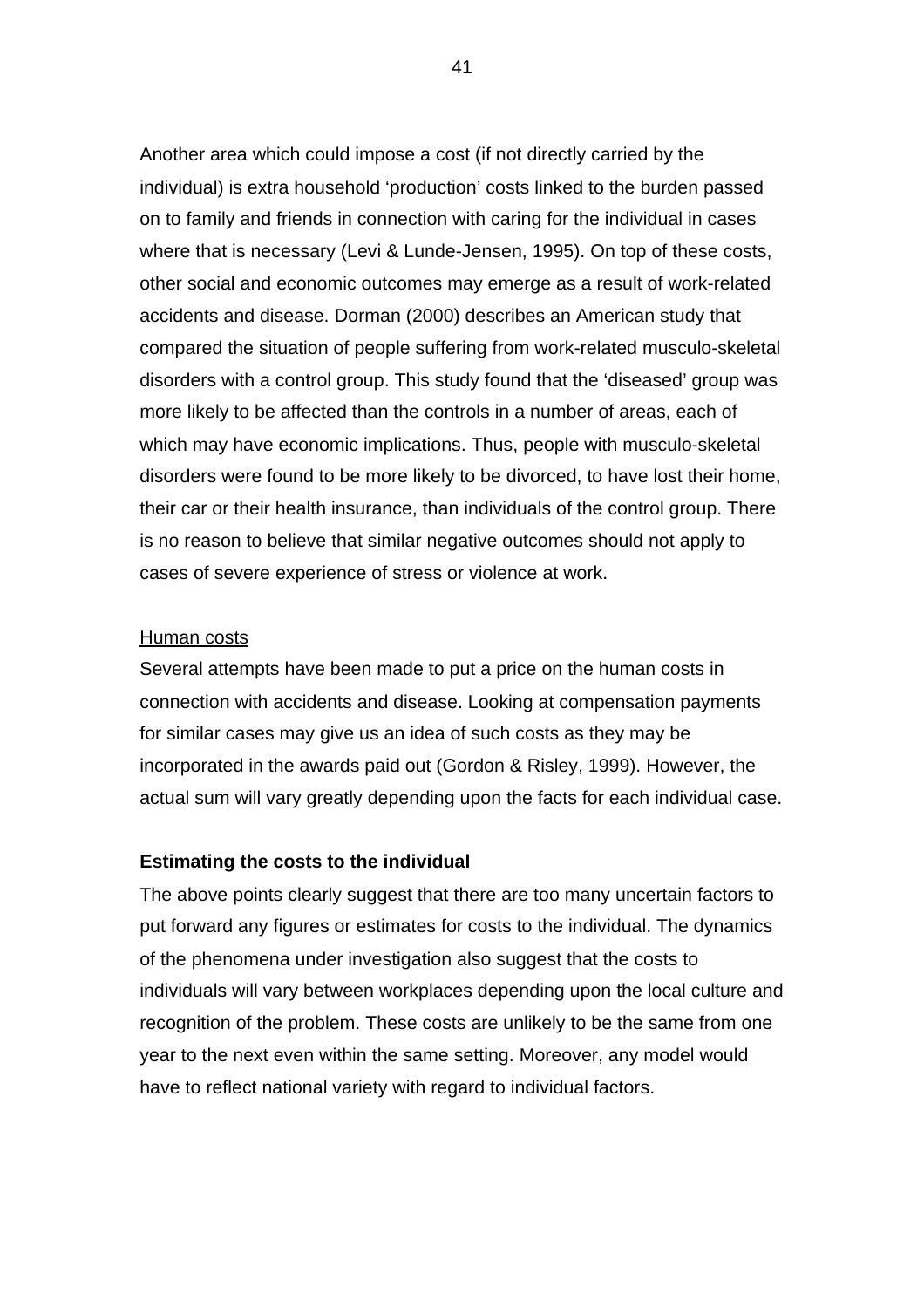Another area which could impose a cost (if not directly carried by the individual) is extra household 'production' costs linked to the burden passed on to family and friends in connection with caring for the individual in cases where that is necessary (Levi & Lunde-Jensen, 1995). On top of these costs, other social and economic outcomes may emerge as a result of work-related accidents and disease. Dorman (2000) describes an American study that compared the situation of people suffering from work-related musculo-skeletal disorders with a control group. This study found that the 'diseased' group was more likely to be affected than the controls in a number of areas, each of which may have economic implications. Thus, people with musculo-skeletal disorders were found to be more likely to be divorced, to have lost their home, their car or their health insurance, than individuals of the control group. There is no reason to believe that similar negative outcomes should not apply to cases of severe experience of stress or violence at work.

### Human costs

Several attempts have been made to put a price on the human costs in connection with accidents and disease. Looking at compensation payments for similar cases may give us an idea of such costs as they may be incorporated in the awards paid out (Gordon & Risley, 1999). However, the actual sum will vary greatly depending upon the facts for each individual case.

### **Estimating the costs to the individual**

The above points clearly suggest that there are too many uncertain factors to put forward any figures or estimates for costs to the individual. The dynamics of the phenomena under investigation also suggest that the costs to individuals will vary between workplaces depending upon the local culture and recognition of the problem. These costs are unlikely to be the same from one year to the next even within the same setting. Moreover, any model would have to reflect national variety with regard to individual factors.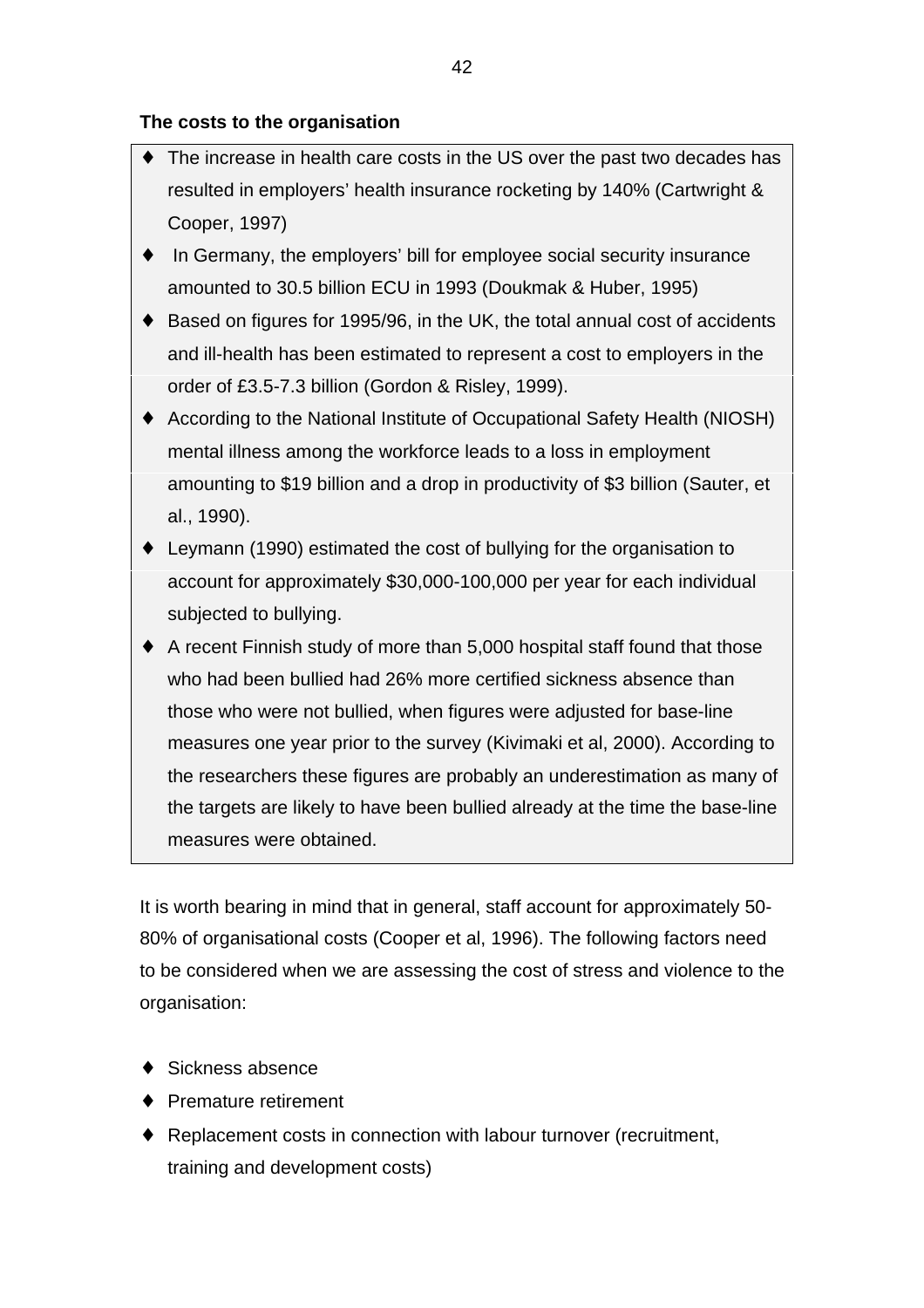# **The costs to the organisation**

- ♦ The increase in health care costs in the US over the past two decades has resulted in employers' health insurance rocketing by 140% (Cartwright & Cooper, 1997)
- ♦ In Germany, the employers' bill for employee social security insurance amounted to 30.5 billion ECU in 1993 (Doukmak & Huber, 1995)
- ♦ Based on figures for 1995/96, in the UK, the total annual cost of accidents and ill-health has been estimated to represent a cost to employers in the order of £3.5-7.3 billion (Gordon & Risley, 1999).
- ♦ According to the National Institute of Occupational Safety Health (NIOSH) mental illness among the workforce leads to a loss in employment amounting to \$19 billion and a drop in productivity of \$3 billion (Sauter, et al., 1990).
- ♦ Leymann (1990) estimated the cost of bullying for the organisation to account for approximately \$30,000-100,000 per year for each individual subjected to bullying.
- ♦ A recent Finnish study of more than 5,000 hospital staff found that those who had been bullied had 26% more certified sickness absence than those who were not bullied, when figures were adjusted for base-line measures one year prior to the survey (Kivimaki et al, 2000). According to the researchers these figures are probably an underestimation as many of the targets are likely to have been bullied already at the time the base-line measures were obtained.

It is worth bearing in mind that in general, staff account for approximately 50- 80% of organisational costs (Cooper et al, 1996). The following factors need to be considered when we are assessing the cost of stress and violence to the organisation:

- Sickness absence
- **Premature retirement**
- ♦ Replacement costs in connection with labour turnover (recruitment, training and development costs)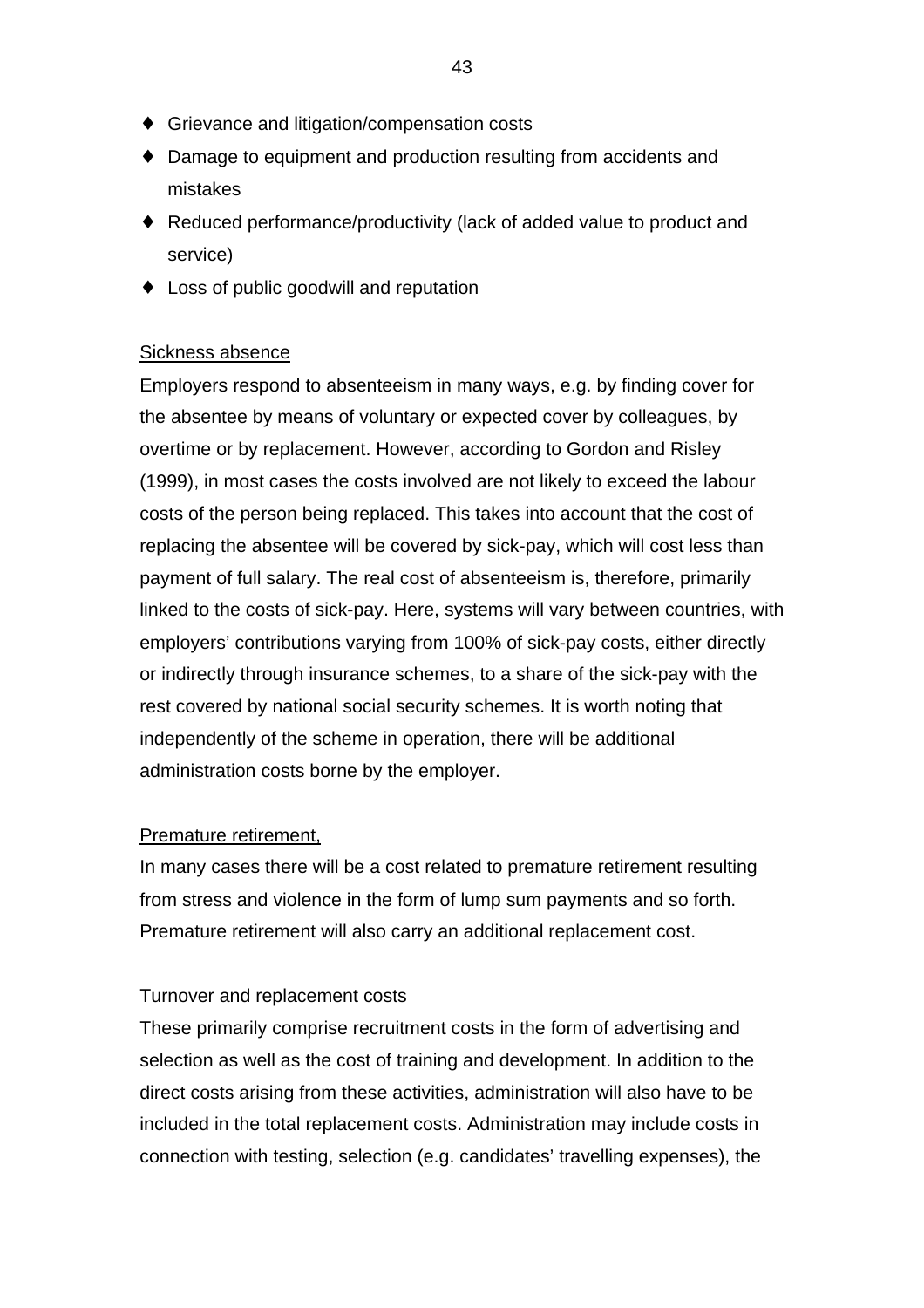- ♦ Grievance and litigation/compensation costs
- ♦ Damage to equipment and production resulting from accidents and mistakes
- ♦ Reduced performance/productivity (lack of added value to product and service)
- ♦ Loss of public goodwill and reputation

## Sickness absence

Employers respond to absenteeism in many ways, e.g. by finding cover for the absentee by means of voluntary or expected cover by colleagues, by overtime or by replacement. However, according to Gordon and Risley (1999), in most cases the costs involved are not likely to exceed the labour costs of the person being replaced. This takes into account that the cost of replacing the absentee will be covered by sick-pay, which will cost less than payment of full salary. The real cost of absenteeism is, therefore, primarily linked to the costs of sick-pay. Here, systems will vary between countries, with employers' contributions varying from 100% of sick-pay costs, either directly or indirectly through insurance schemes, to a share of the sick-pay with the rest covered by national social security schemes. It is worth noting that independently of the scheme in operation, there will be additional administration costs borne by the employer.

## Premature retirement,

In many cases there will be a cost related to premature retirement resulting from stress and violence in the form of lump sum payments and so forth. Premature retirement will also carry an additional replacement cost.

## Turnover and replacement costs

These primarily comprise recruitment costs in the form of advertising and selection as well as the cost of training and development. In addition to the direct costs arising from these activities, administration will also have to be included in the total replacement costs. Administration may include costs in connection with testing, selection (e.g. candidates' travelling expenses), the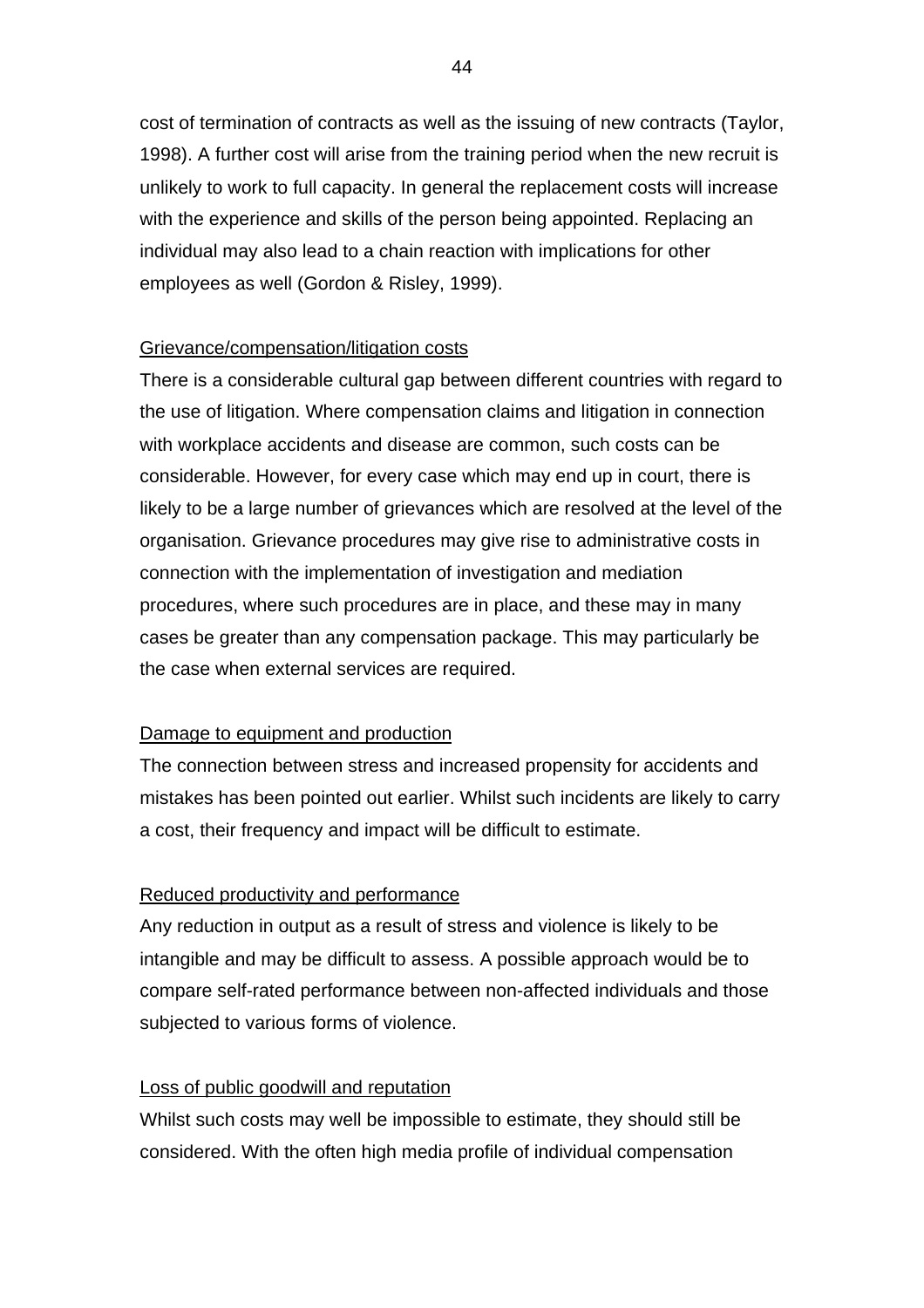cost of termination of contracts as well as the issuing of new contracts (Taylor, 1998). A further cost will arise from the training period when the new recruit is unlikely to work to full capacity. In general the replacement costs will increase with the experience and skills of the person being appointed. Replacing an individual may also lead to a chain reaction with implications for other employees as well (Gordon & Risley, 1999).

# Grievance/compensation/litigation costs

There is a considerable cultural gap between different countries with regard to the use of litigation. Where compensation claims and litigation in connection with workplace accidents and disease are common, such costs can be considerable. However, for every case which may end up in court, there is likely to be a large number of grievances which are resolved at the level of the organisation. Grievance procedures may give rise to administrative costs in connection with the implementation of investigation and mediation procedures, where such procedures are in place, and these may in many cases be greater than any compensation package. This may particularly be the case when external services are required.

## Damage to equipment and production

The connection between stress and increased propensity for accidents and mistakes has been pointed out earlier. Whilst such incidents are likely to carry a cost, their frequency and impact will be difficult to estimate.

# Reduced productivity and performance

Any reduction in output as a result of stress and violence is likely to be intangible and may be difficult to assess. A possible approach would be to compare self-rated performance between non-affected individuals and those subjected to various forms of violence.

# Loss of public goodwill and reputation

Whilst such costs may well be impossible to estimate, they should still be considered. With the often high media profile of individual compensation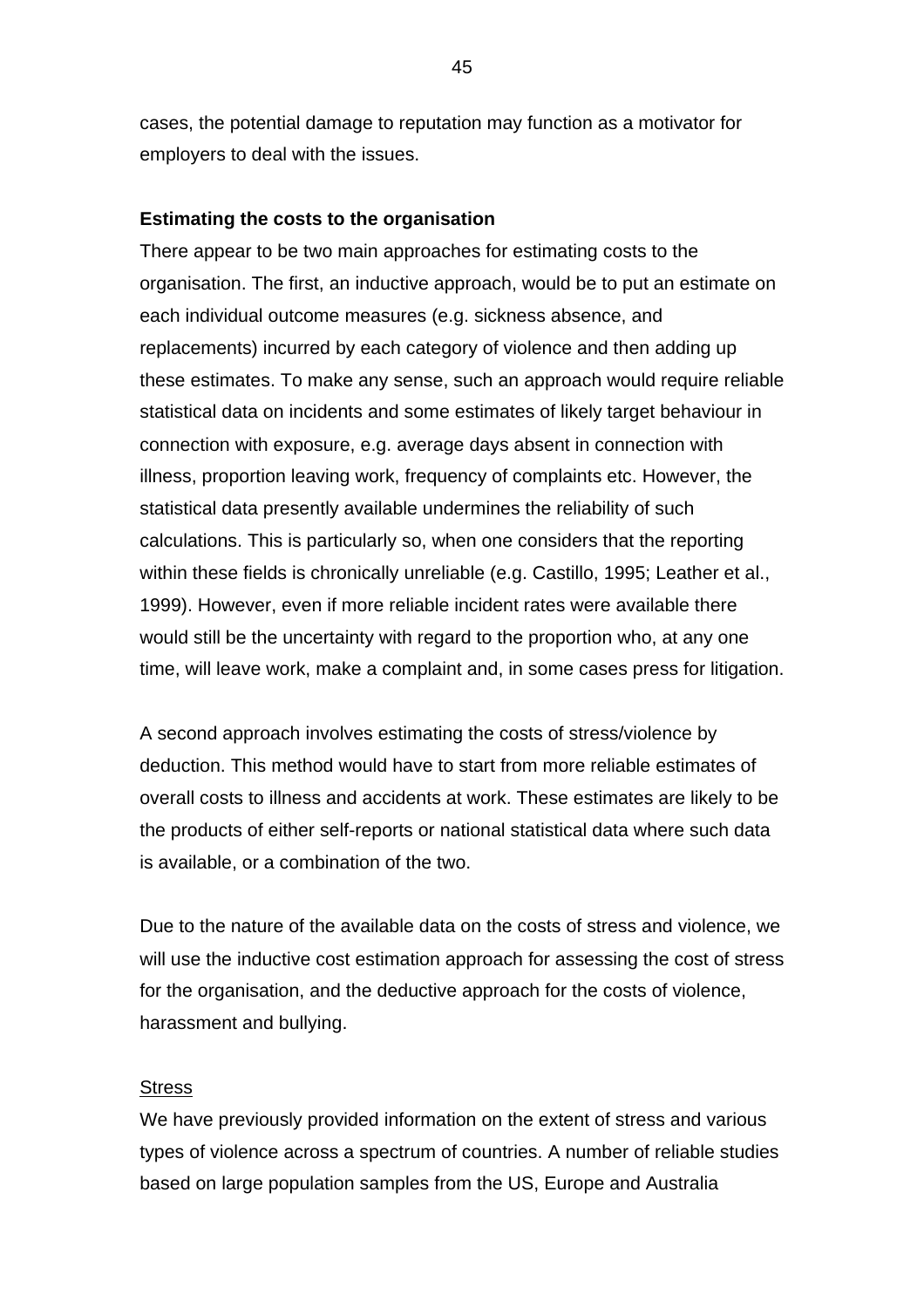cases, the potential damage to reputation may function as a motivator for employers to deal with the issues.

## **Estimating the costs to the organisation**

There appear to be two main approaches for estimating costs to the organisation. The first, an inductive approach, would be to put an estimate on each individual outcome measures (e.g. sickness absence, and replacements) incurred by each category of violence and then adding up these estimates. To make any sense, such an approach would require reliable statistical data on incidents and some estimates of likely target behaviour in connection with exposure, e.g. average days absent in connection with illness, proportion leaving work, frequency of complaints etc. However, the statistical data presently available undermines the reliability of such calculations. This is particularly so, when one considers that the reporting within these fields is chronically unreliable (e.g. Castillo, 1995; Leather et al., 1999). However, even if more reliable incident rates were available there would still be the uncertainty with regard to the proportion who, at any one time, will leave work, make a complaint and, in some cases press for litigation.

A second approach involves estimating the costs of stress/violence by deduction. This method would have to start from more reliable estimates of overall costs to illness and accidents at work. These estimates are likely to be the products of either self-reports or national statistical data where such data is available, or a combination of the two.

Due to the nature of the available data on the costs of stress and violence, we will use the inductive cost estimation approach for assessing the cost of stress for the organisation, and the deductive approach for the costs of violence, harassment and bullying.

### **Stress**

We have previously provided information on the extent of stress and various types of violence across a spectrum of countries. A number of reliable studies based on large population samples from the US, Europe and Australia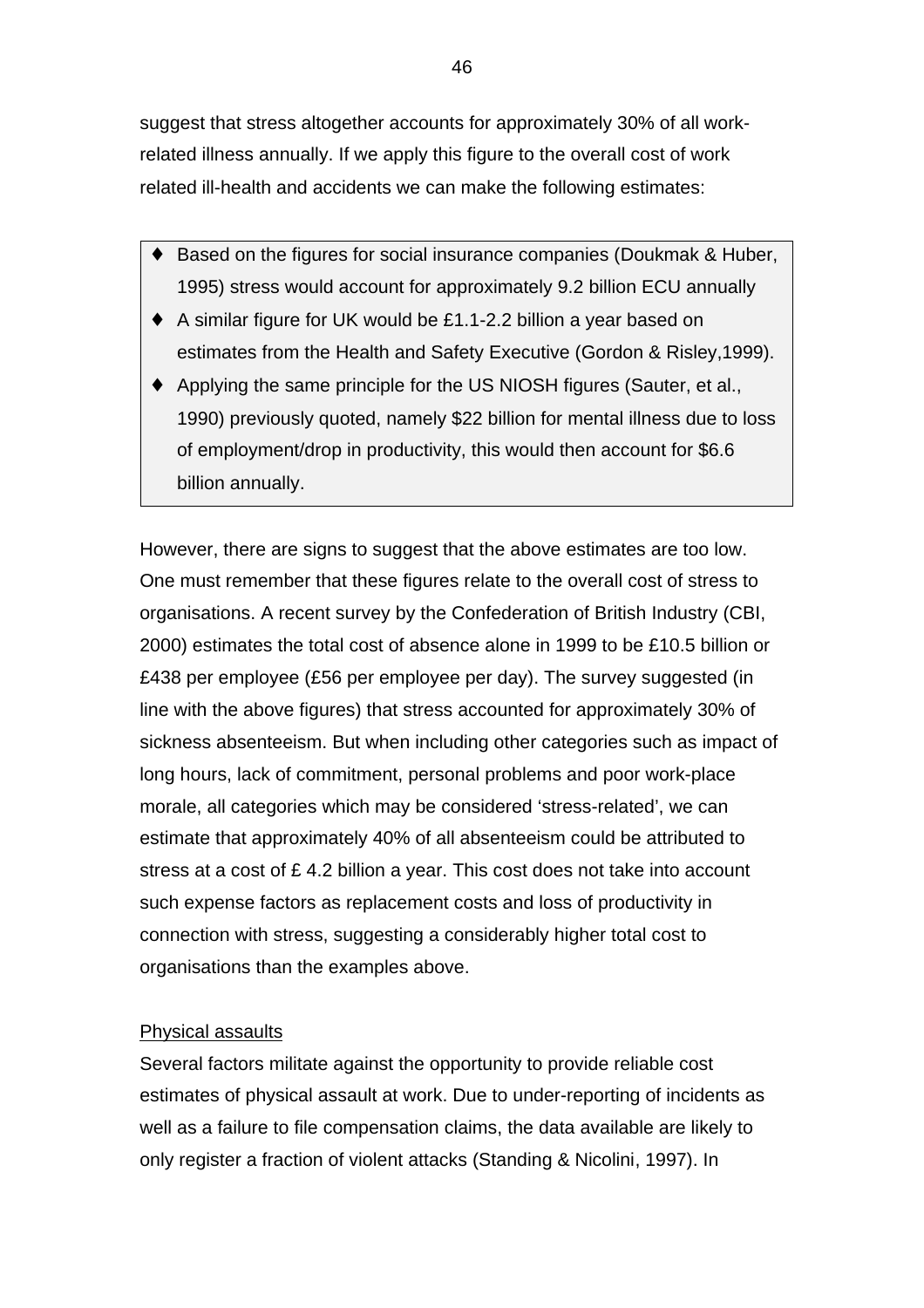suggest that stress altogether accounts for approximately 30% of all workrelated illness annually. If we apply this figure to the overall cost of work related ill-health and accidents we can make the following estimates:

- Based on the figures for social insurance companies (Doukmak & Huber, 1995) stress would account for approximately 9.2 billion ECU annually
- ♦ A similar figure for UK would be £1.1-2.2 billion a year based on estimates from the Health and Safety Executive (Gordon & Risley,1999).
- ♦ Applying the same principle for the US NIOSH figures (Sauter, et al., 1990) previously quoted, namely \$22 billion for mental illness due to loss of employment/drop in productivity, this would then account for \$6.6 billion annually.

However, there are signs to suggest that the above estimates are too low. One must remember that these figures relate to the overall cost of stress to organisations. A recent survey by the Confederation of British Industry (CBI, 2000) estimates the total cost of absence alone in 1999 to be £10.5 billion or £438 per employee (£56 per employee per day). The survey suggested (in line with the above figures) that stress accounted for approximately 30% of sickness absenteeism. But when including other categories such as impact of long hours, lack of commitment, personal problems and poor work-place morale, all categories which may be considered 'stress-related', we can estimate that approximately 40% of all absenteeism could be attributed to stress at a cost of £ 4.2 billion a year. This cost does not take into account such expense factors as replacement costs and loss of productivity in connection with stress, suggesting a considerably higher total cost to organisations than the examples above.

## Physical assaults

Several factors militate against the opportunity to provide reliable cost estimates of physical assault at work. Due to under-reporting of incidents as well as a failure to file compensation claims, the data available are likely to only register a fraction of violent attacks (Standing & Nicolini, 1997). In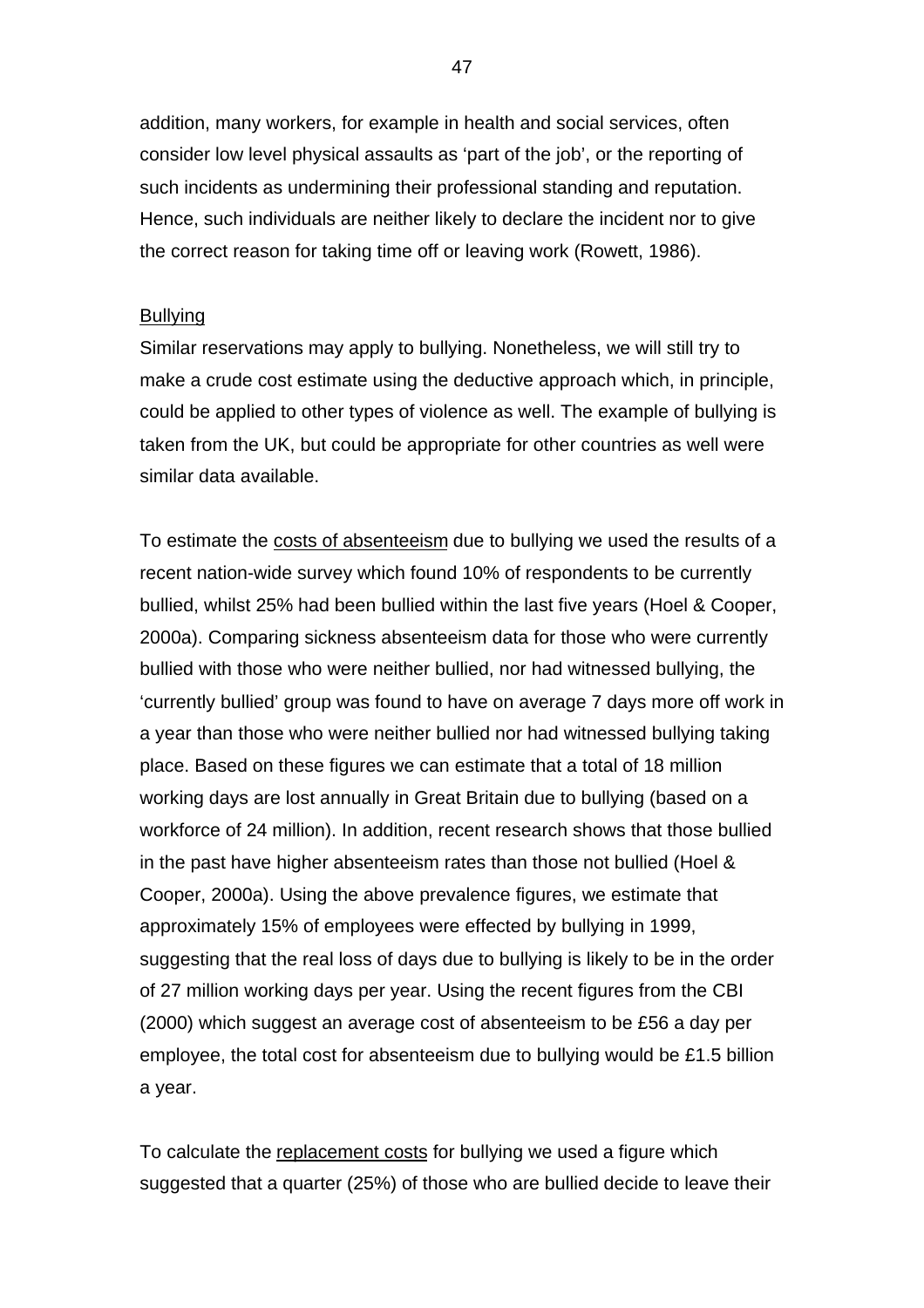addition, many workers, for example in health and social services, often consider low level physical assaults as 'part of the job', or the reporting of such incidents as undermining their professional standing and reputation. Hence, such individuals are neither likely to declare the incident nor to give the correct reason for taking time off or leaving work (Rowett, 1986).

#### Bullying

Similar reservations may apply to bullying. Nonetheless, we will still try to make a crude cost estimate using the deductive approach which, in principle, could be applied to other types of violence as well. The example of bullying is taken from the UK, but could be appropriate for other countries as well were similar data available.

To estimate the costs of absenteeism due to bullying we used the results of a recent nation-wide survey which found 10% of respondents to be currently bullied, whilst 25% had been bullied within the last five years (Hoel & Cooper, 2000a). Comparing sickness absenteeism data for those who were currently bullied with those who were neither bullied, nor had witnessed bullying, the 'currently bullied' group was found to have on average 7 days more off work in a year than those who were neither bullied nor had witnessed bullying taking place. Based on these figures we can estimate that a total of 18 million working days are lost annually in Great Britain due to bullying (based on a workforce of 24 million). In addition, recent research shows that those bullied in the past have higher absenteeism rates than those not bullied (Hoel & Cooper, 2000a). Using the above prevalence figures, we estimate that approximately 15% of employees were effected by bullying in 1999, suggesting that the real loss of days due to bullying is likely to be in the order of 27 million working days per year. Using the recent figures from the CBI (2000) which suggest an average cost of absenteeism to be £56 a day per employee, the total cost for absenteeism due to bullying would be £1.5 billion a year.

To calculate the replacement costs for bullying we used a figure which suggested that a quarter (25%) of those who are bullied decide to leave their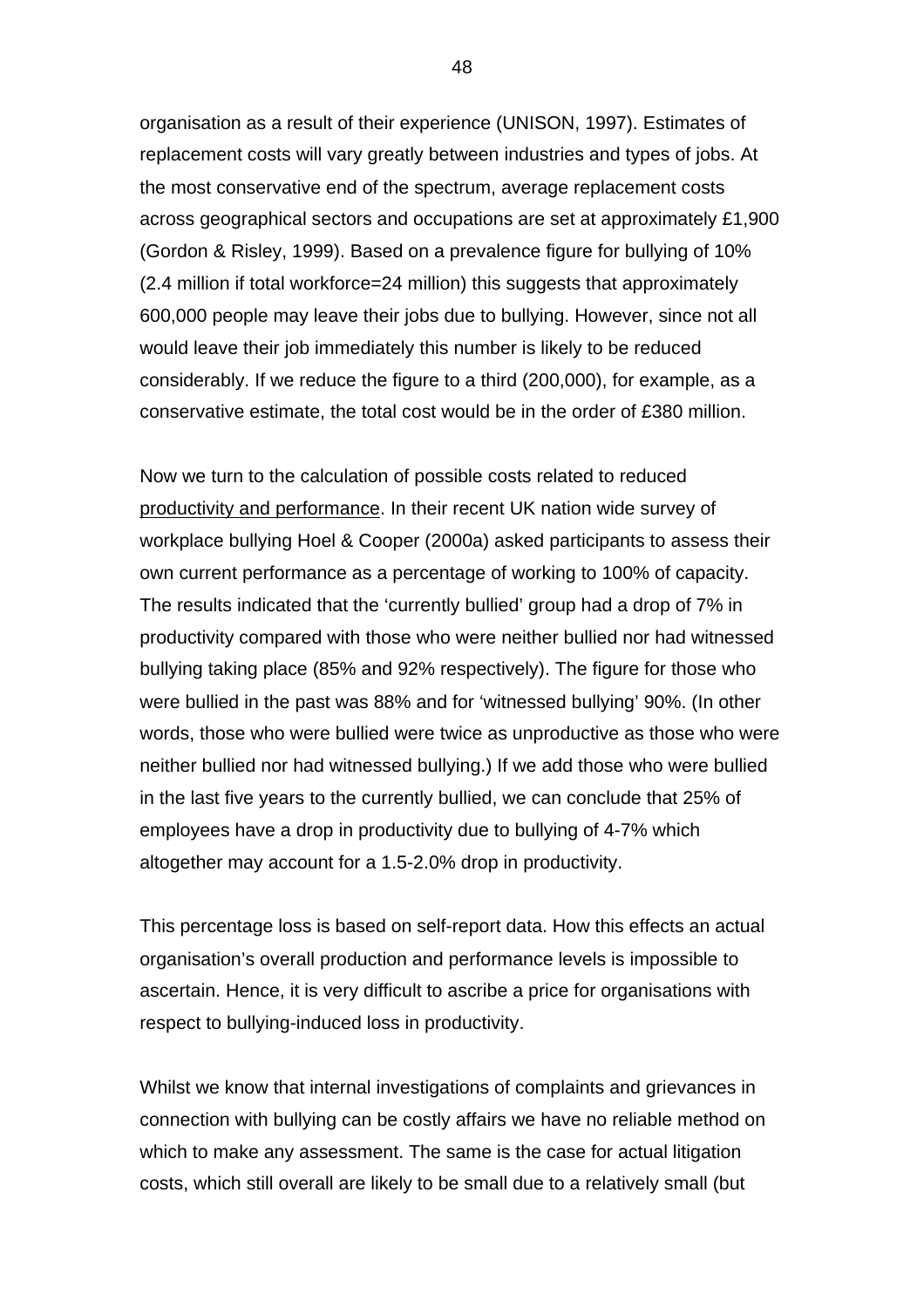organisation as a result of their experience (UNISON, 1997). Estimates of replacement costs will vary greatly between industries and types of jobs. At the most conservative end of the spectrum, average replacement costs across geographical sectors and occupations are set at approximately £1,900 (Gordon & Risley, 1999). Based on a prevalence figure for bullying of 10% (2.4 million if total workforce=24 million) this suggests that approximately 600,000 people may leave their jobs due to bullying. However, since not all would leave their job immediately this number is likely to be reduced considerably. If we reduce the figure to a third (200,000), for example, as a conservative estimate, the total cost would be in the order of £380 million.

Now we turn to the calculation of possible costs related to reduced productivity and performance. In their recent UK nation wide survey of workplace bullying Hoel & Cooper (2000a) asked participants to assess their own current performance as a percentage of working to 100% of capacity. The results indicated that the 'currently bullied' group had a drop of 7% in productivity compared with those who were neither bullied nor had witnessed bullying taking place (85% and 92% respectively). The figure for those who were bullied in the past was 88% and for 'witnessed bullying' 90%. (In other words, those who were bullied were twice as unproductive as those who were neither bullied nor had witnessed bullying.) If we add those who were bullied in the last five years to the currently bullied, we can conclude that 25% of employees have a drop in productivity due to bullying of 4-7% which altogether may account for a 1.5-2.0% drop in productivity.

This percentage loss is based on self-report data. How this effects an actual organisation's overall production and performance levels is impossible to ascertain. Hence, it is very difficult to ascribe a price for organisations with respect to bullying-induced loss in productivity.

Whilst we know that internal investigations of complaints and grievances in connection with bullying can be costly affairs we have no reliable method on which to make any assessment. The same is the case for actual litigation costs, which still overall are likely to be small due to a relatively small (but

48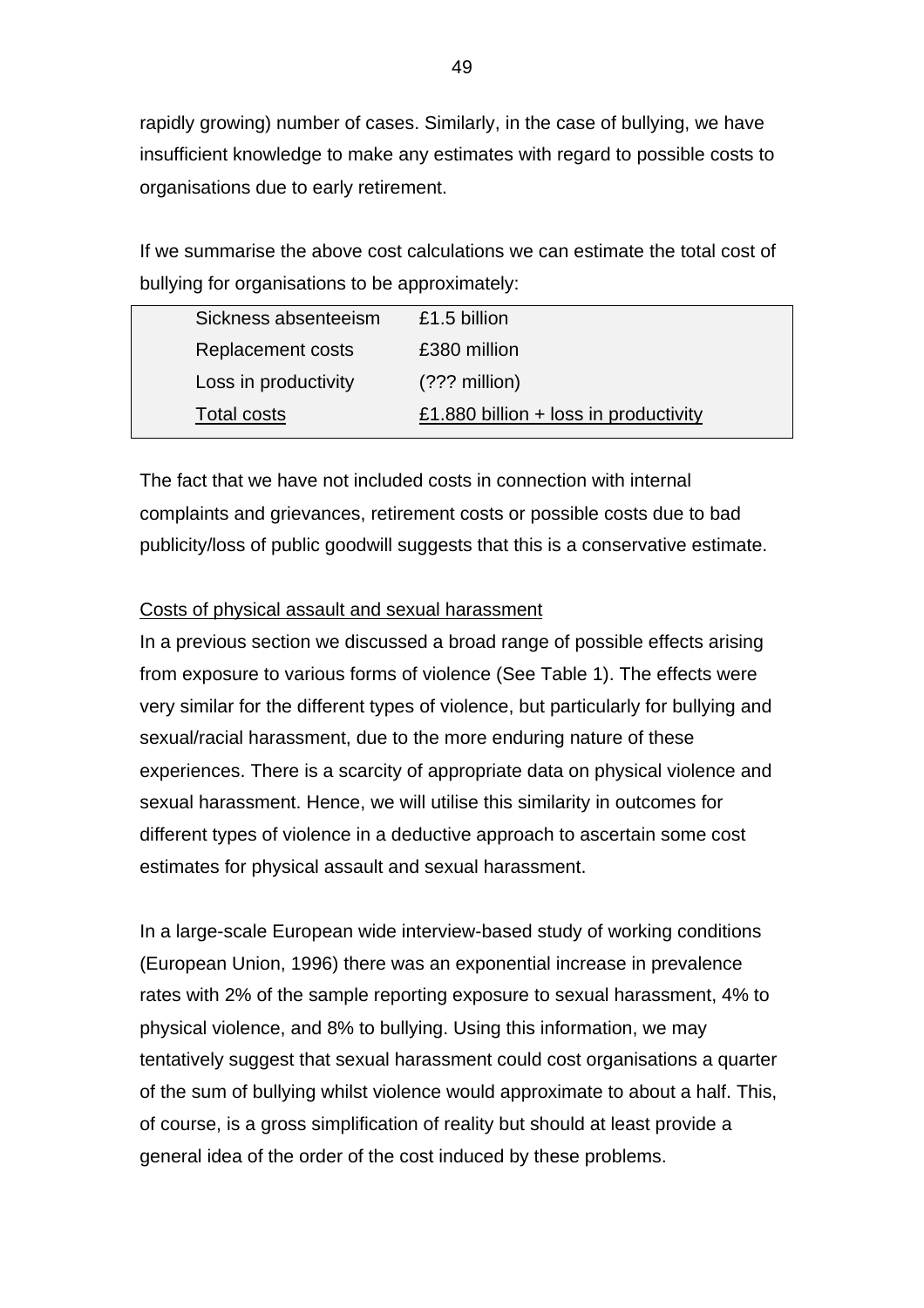rapidly growing) number of cases. Similarly, in the case of bullying, we have insufficient knowledge to make any estimates with regard to possible costs to organisations due to early retirement.

If we summarise the above cost calculations we can estimate the total cost of bullying for organisations to be approximately:

| Sickness absenteeism | £1.5 billion                          |
|----------------------|---------------------------------------|
| Replacement costs    | £380 million                          |
| Loss in productivity | $(???$ million)                       |
| Total costs          | £1.880 billion + loss in productivity |
|                      |                                       |

The fact that we have not included costs in connection with internal complaints and grievances, retirement costs or possible costs due to bad publicity/loss of public goodwill suggests that this is a conservative estimate.

## Costs of physical assault and sexual harassment

In a previous section we discussed a broad range of possible effects arising from exposure to various forms of violence (See Table 1). The effects were very similar for the different types of violence, but particularly for bullying and sexual/racial harassment, due to the more enduring nature of these experiences. There is a scarcity of appropriate data on physical violence and sexual harassment. Hence, we will utilise this similarity in outcomes for different types of violence in a deductive approach to ascertain some cost estimates for physical assault and sexual harassment.

In a large-scale European wide interview-based study of working conditions (European Union, 1996) there was an exponential increase in prevalence rates with 2% of the sample reporting exposure to sexual harassment, 4% to physical violence, and 8% to bullying. Using this information, we may tentatively suggest that sexual harassment could cost organisations a quarter of the sum of bullying whilst violence would approximate to about a half. This, of course, is a gross simplification of reality but should at least provide a general idea of the order of the cost induced by these problems.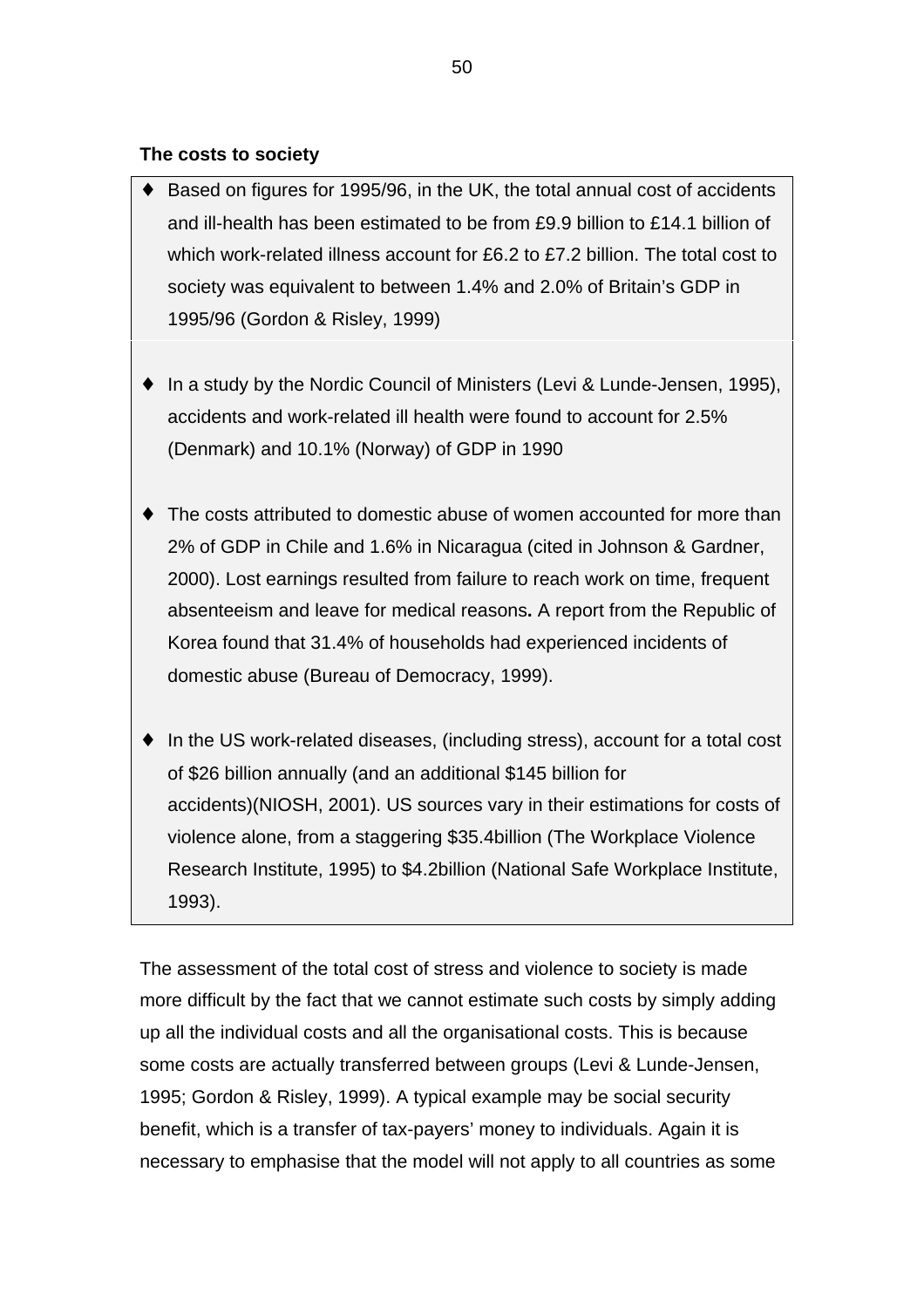## **The costs to society**

- Based on figures for 1995/96, in the UK, the total annual cost of accidents and ill-health has been estimated to be from £9.9 billion to £14.1 billion of which work-related illness account for £6.2 to £7.2 billion. The total cost to society was equivalent to between 1.4% and 2.0% of Britain's GDP in 1995/96 (Gordon & Risley, 1999)
- ♦ In a study by the Nordic Council of Ministers (Levi & Lunde-Jensen, 1995), accidents and work-related ill health were found to account for 2.5% (Denmark) and 10.1% (Norway) of GDP in 1990
- The costs attributed to domestic abuse of women accounted for more than 2% of GDP in Chile and 1.6% in Nicaragua (cited in Johnson & Gardner, 2000). Lost earnings resulted from failure to reach work on time, frequent absenteeism and leave for medical reasons**.** A report from the Republic of Korea found that 31.4% of households had experienced incidents of domestic abuse (Bureau of Democracy, 1999).
- ♦ In the US work-related diseases, (including stress), account for a total cost of \$26 billion annually (and an additional \$145 billion for accidents)(NIOSH, 2001). US sources vary in their estimations for costs of violence alone, from a staggering \$35.4billion (The Workplace Violence Research Institute, 1995) to \$4.2billion (National Safe Workplace Institute, 1993).

The assessment of the total cost of stress and violence to society is made more difficult by the fact that we cannot estimate such costs by simply adding up all the individual costs and all the organisational costs. This is because some costs are actually transferred between groups (Levi & Lunde-Jensen, 1995; Gordon & Risley, 1999). A typical example may be social security benefit, which is a transfer of tax-payers' money to individuals. Again it is necessary to emphasise that the model will not apply to all countries as some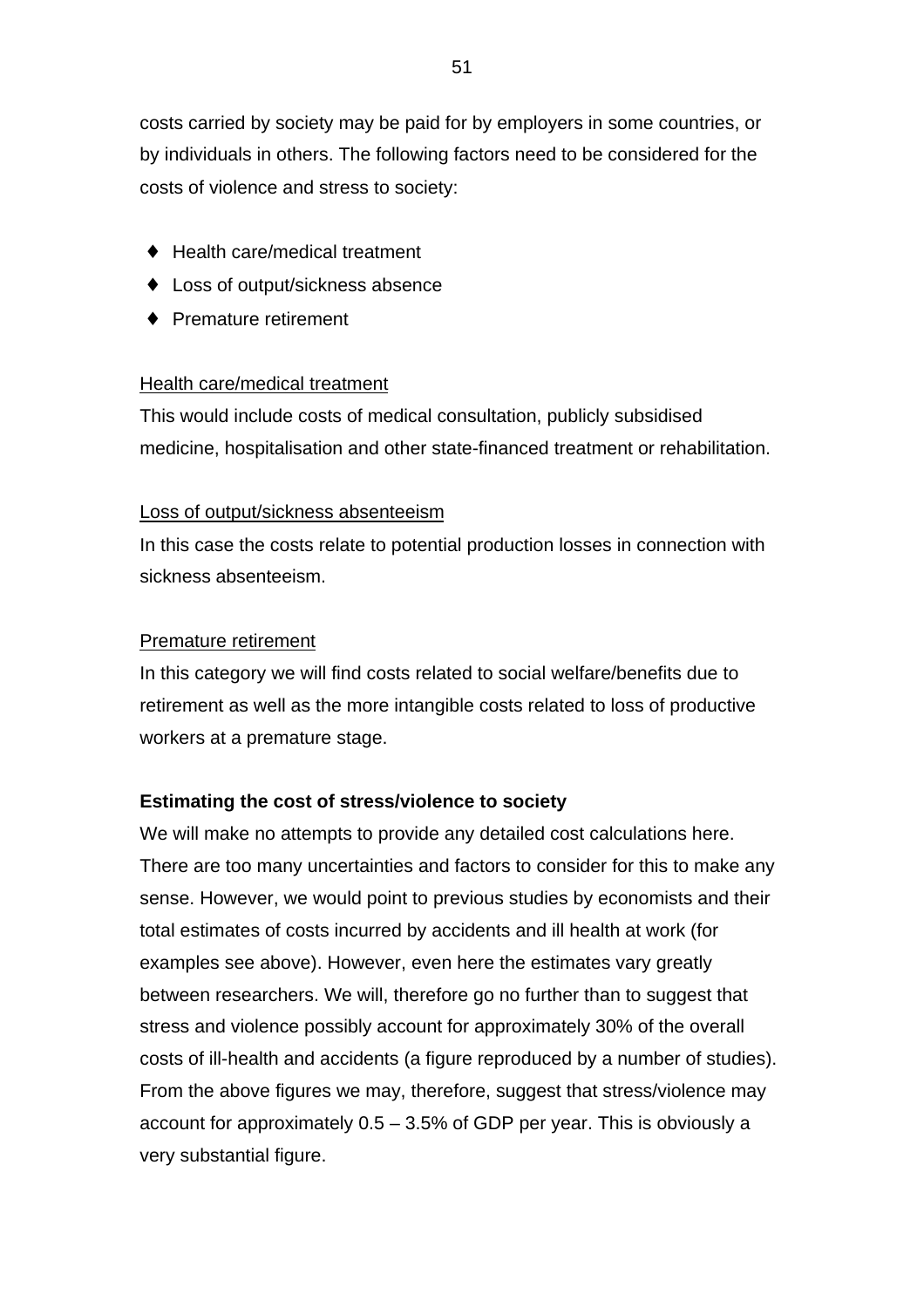costs carried by society may be paid for by employers in some countries, or by individuals in others. The following factors need to be considered for the costs of violence and stress to society:

- ♦ Health care/medical treatment
- ♦ Loss of output/sickness absence
- ♦ Premature retirement

#### Health care/medical treatment

This would include costs of medical consultation, publicly subsidised medicine, hospitalisation and other state-financed treatment or rehabilitation.

#### Loss of output/sickness absenteeism

In this case the costs relate to potential production losses in connection with sickness absenteeism.

#### Premature retirement

In this category we will find costs related to social welfare/benefits due to retirement as well as the more intangible costs related to loss of productive workers at a premature stage.

### **Estimating the cost of stress/violence to society**

We will make no attempts to provide any detailed cost calculations here. There are too many uncertainties and factors to consider for this to make any sense. However, we would point to previous studies by economists and their total estimates of costs incurred by accidents and ill health at work (for examples see above). However, even here the estimates vary greatly between researchers. We will, therefore go no further than to suggest that stress and violence possibly account for approximately 30% of the overall costs of ill-health and accidents (a figure reproduced by a number of studies). From the above figures we may, therefore, suggest that stress/violence may account for approximately 0.5 – 3.5% of GDP per year. This is obviously a very substantial figure.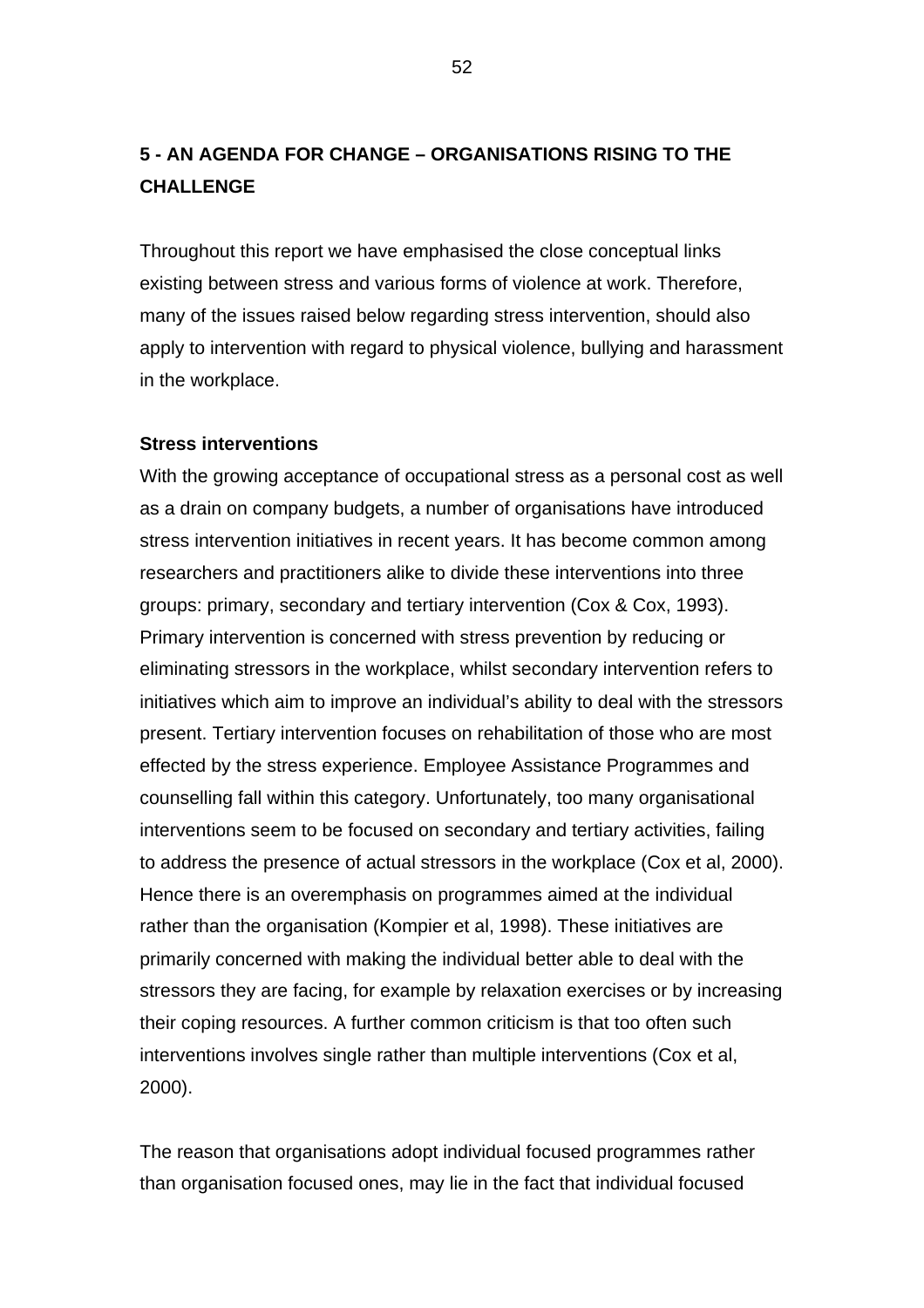# **5 - AN AGENDA FOR CHANGE – ORGANISATIONS RISING TO THE CHALLENGE**

Throughout this report we have emphasised the close conceptual links existing between stress and various forms of violence at work. Therefore, many of the issues raised below regarding stress intervention, should also apply to intervention with regard to physical violence, bullying and harassment in the workplace.

#### **Stress interventions**

With the growing acceptance of occupational stress as a personal cost as well as a drain on company budgets, a number of organisations have introduced stress intervention initiatives in recent years. It has become common among researchers and practitioners alike to divide these interventions into three groups: primary, secondary and tertiary intervention (Cox & Cox, 1993). Primary intervention is concerned with stress prevention by reducing or eliminating stressors in the workplace, whilst secondary intervention refers to initiatives which aim to improve an individual's ability to deal with the stressors present. Tertiary intervention focuses on rehabilitation of those who are most effected by the stress experience. Employee Assistance Programmes and counselling fall within this category. Unfortunately, too many organisational interventions seem to be focused on secondary and tertiary activities, failing to address the presence of actual stressors in the workplace (Cox et al, 2000). Hence there is an overemphasis on programmes aimed at the individual rather than the organisation (Kompier et al, 1998). These initiatives are primarily concerned with making the individual better able to deal with the stressors they are facing, for example by relaxation exercises or by increasing their coping resources. A further common criticism is that too often such interventions involves single rather than multiple interventions (Cox et al, 2000).

The reason that organisations adopt individual focused programmes rather than organisation focused ones, may lie in the fact that individual focused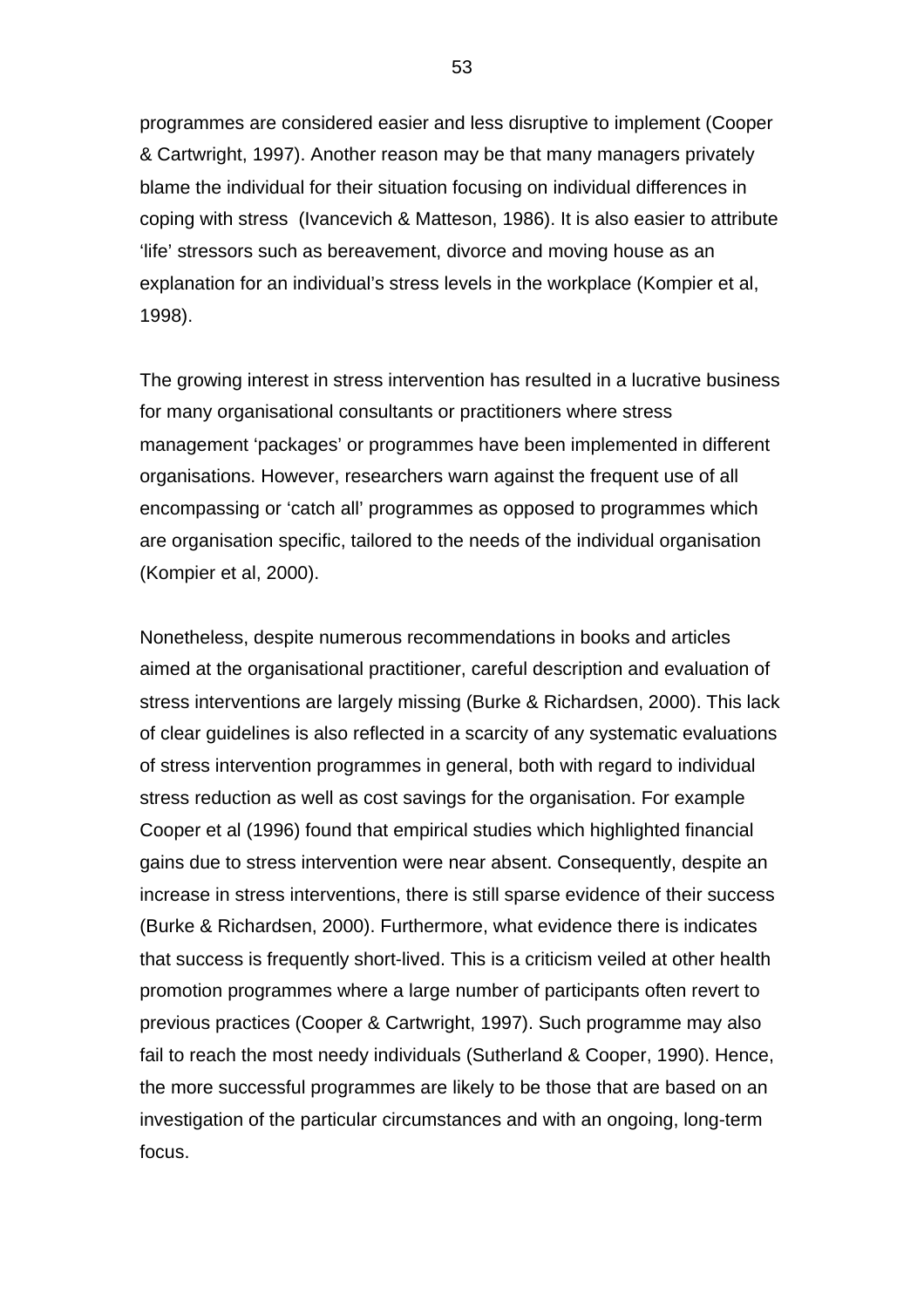programmes are considered easier and less disruptive to implement (Cooper & Cartwright, 1997). Another reason may be that many managers privately blame the individual for their situation focusing on individual differences in coping with stress (Ivancevich & Matteson, 1986). It is also easier to attribute 'life' stressors such as bereavement, divorce and moving house as an explanation for an individual's stress levels in the workplace (Kompier et al, 1998).

The growing interest in stress intervention has resulted in a lucrative business for many organisational consultants or practitioners where stress management 'packages' or programmes have been implemented in different organisations. However, researchers warn against the frequent use of all encompassing or 'catch all' programmes as opposed to programmes which are organisation specific, tailored to the needs of the individual organisation (Kompier et al, 2000).

Nonetheless, despite numerous recommendations in books and articles aimed at the organisational practitioner, careful description and evaluation of stress interventions are largely missing (Burke & Richardsen, 2000). This lack of clear guidelines is also reflected in a scarcity of any systematic evaluations of stress intervention programmes in general, both with regard to individual stress reduction as well as cost savings for the organisation. For example Cooper et al (1996) found that empirical studies which highlighted financial gains due to stress intervention were near absent. Consequently, despite an increase in stress interventions, there is still sparse evidence of their success (Burke & Richardsen, 2000). Furthermore, what evidence there is indicates that success is frequently short-lived. This is a criticism veiled at other health promotion programmes where a large number of participants often revert to previous practices (Cooper & Cartwright, 1997). Such programme may also fail to reach the most needy individuals (Sutherland & Cooper, 1990). Hence, the more successful programmes are likely to be those that are based on an investigation of the particular circumstances and with an ongoing, long-term focus.

53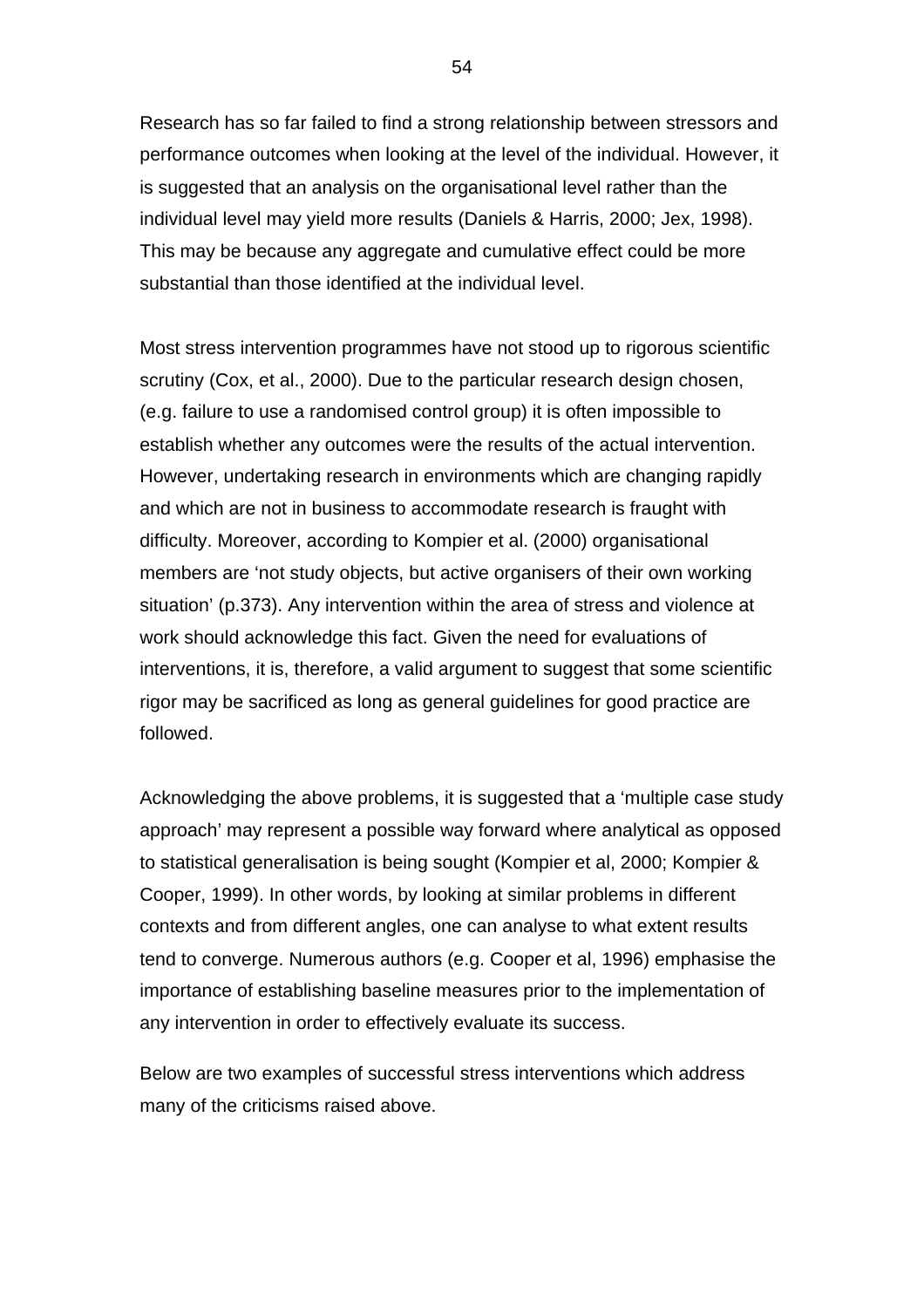Research has so far failed to find a strong relationship between stressors and performance outcomes when looking at the level of the individual. However, it is suggested that an analysis on the organisational level rather than the individual level may yield more results (Daniels & Harris, 2000; Jex, 1998). This may be because any aggregate and cumulative effect could be more substantial than those identified at the individual level.

Most stress intervention programmes have not stood up to rigorous scientific scrutiny (Cox, et al., 2000). Due to the particular research design chosen, (e.g. failure to use a randomised control group) it is often impossible to establish whether any outcomes were the results of the actual intervention. However, undertaking research in environments which are changing rapidly and which are not in business to accommodate research is fraught with difficulty. Moreover, according to Kompier et al. (2000) organisational members are 'not study objects, but active organisers of their own working situation' (p.373). Any intervention within the area of stress and violence at work should acknowledge this fact. Given the need for evaluations of interventions, it is, therefore, a valid argument to suggest that some scientific rigor may be sacrificed as long as general guidelines for good practice are followed.

Acknowledging the above problems, it is suggested that a 'multiple case study approach' may represent a possible way forward where analytical as opposed to statistical generalisation is being sought (Kompier et al, 2000; Kompier & Cooper, 1999). In other words, by looking at similar problems in different contexts and from different angles, one can analyse to what extent results tend to converge. Numerous authors (e.g. Cooper et al, 1996) emphasise the importance of establishing baseline measures prior to the implementation of any intervention in order to effectively evaluate its success.

Below are two examples of successful stress interventions which address many of the criticisms raised above.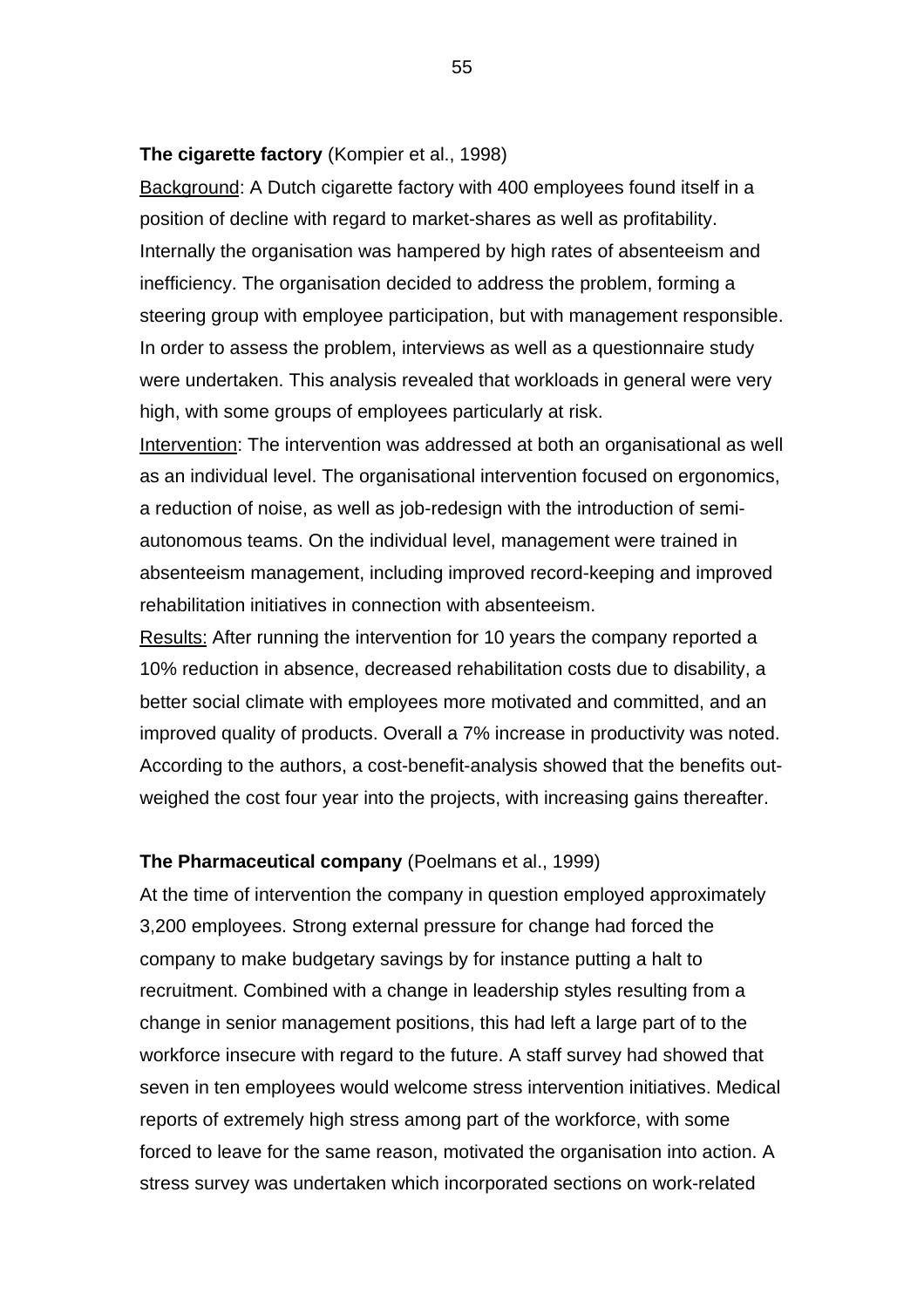#### **The cigarette factory** (Kompier et al., 1998)

Background: A Dutch cigarette factory with 400 employees found itself in a position of decline with regard to market-shares as well as profitability. Internally the organisation was hampered by high rates of absenteeism and inefficiency. The organisation decided to address the problem, forming a steering group with employee participation, but with management responsible. In order to assess the problem, interviews as well as a questionnaire study were undertaken. This analysis revealed that workloads in general were very high, with some groups of employees particularly at risk.

Intervention: The intervention was addressed at both an organisational as well as an individual level. The organisational intervention focused on ergonomics, a reduction of noise, as well as job-redesign with the introduction of semiautonomous teams. On the individual level, management were trained in absenteeism management, including improved record-keeping and improved rehabilitation initiatives in connection with absenteeism.

Results: After running the intervention for 10 years the company reported a 10% reduction in absence, decreased rehabilitation costs due to disability, a better social climate with employees more motivated and committed, and an improved quality of products. Overall a 7% increase in productivity was noted. According to the authors, a cost-benefit-analysis showed that the benefits outweighed the cost four year into the projects, with increasing gains thereafter.

### **The Pharmaceutical company** (Poelmans et al., 1999)

At the time of intervention the company in question employed approximately 3,200 employees. Strong external pressure for change had forced the company to make budgetary savings by for instance putting a halt to recruitment. Combined with a change in leadership styles resulting from a change in senior management positions, this had left a large part of to the workforce insecure with regard to the future. A staff survey had showed that seven in ten employees would welcome stress intervention initiatives. Medical reports of extremely high stress among part of the workforce, with some forced to leave for the same reason, motivated the organisation into action. A stress survey was undertaken which incorporated sections on work-related

55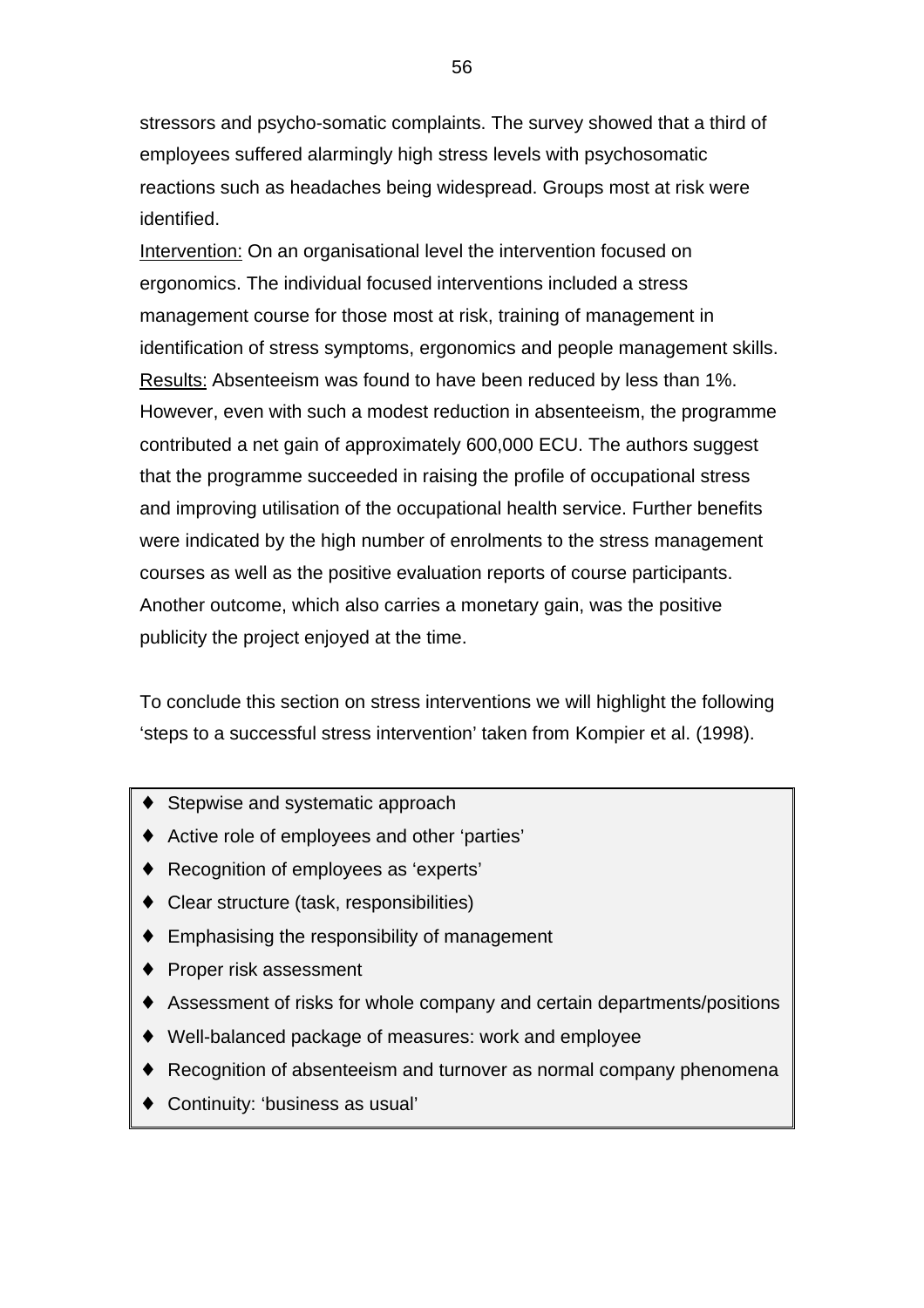stressors and psycho-somatic complaints. The survey showed that a third of employees suffered alarmingly high stress levels with psychosomatic reactions such as headaches being widespread. Groups most at risk were identified.

Intervention: On an organisational level the intervention focused on ergonomics. The individual focused interventions included a stress management course for those most at risk, training of management in identification of stress symptoms, ergonomics and people management skills. Results: Absenteeism was found to have been reduced by less than 1%. However, even with such a modest reduction in absenteeism, the programme contributed a net gain of approximately 600,000 ECU. The authors suggest that the programme succeeded in raising the profile of occupational stress and improving utilisation of the occupational health service. Further benefits were indicated by the high number of enrolments to the stress management courses as well as the positive evaluation reports of course participants. Another outcome, which also carries a monetary gain, was the positive publicity the project enjoyed at the time.

To conclude this section on stress interventions we will highlight the following 'steps to a successful stress intervention' taken from Kompier et al. (1998).

- ♦ Stepwise and systematic approach
- ♦ Active role of employees and other 'parties'
- ♦ Recognition of employees as 'experts'
- ♦ Clear structure (task, responsibilities)
- $\bullet$  Emphasising the responsibility of management
- ♦ Proper risk assessment
- ♦ Assessment of risks for whole company and certain departments/positions
- ♦ Well-balanced package of measures: work and employee
- ♦ Recognition of absenteeism and turnover as normal company phenomena
- ♦ Continuity: 'business as usual'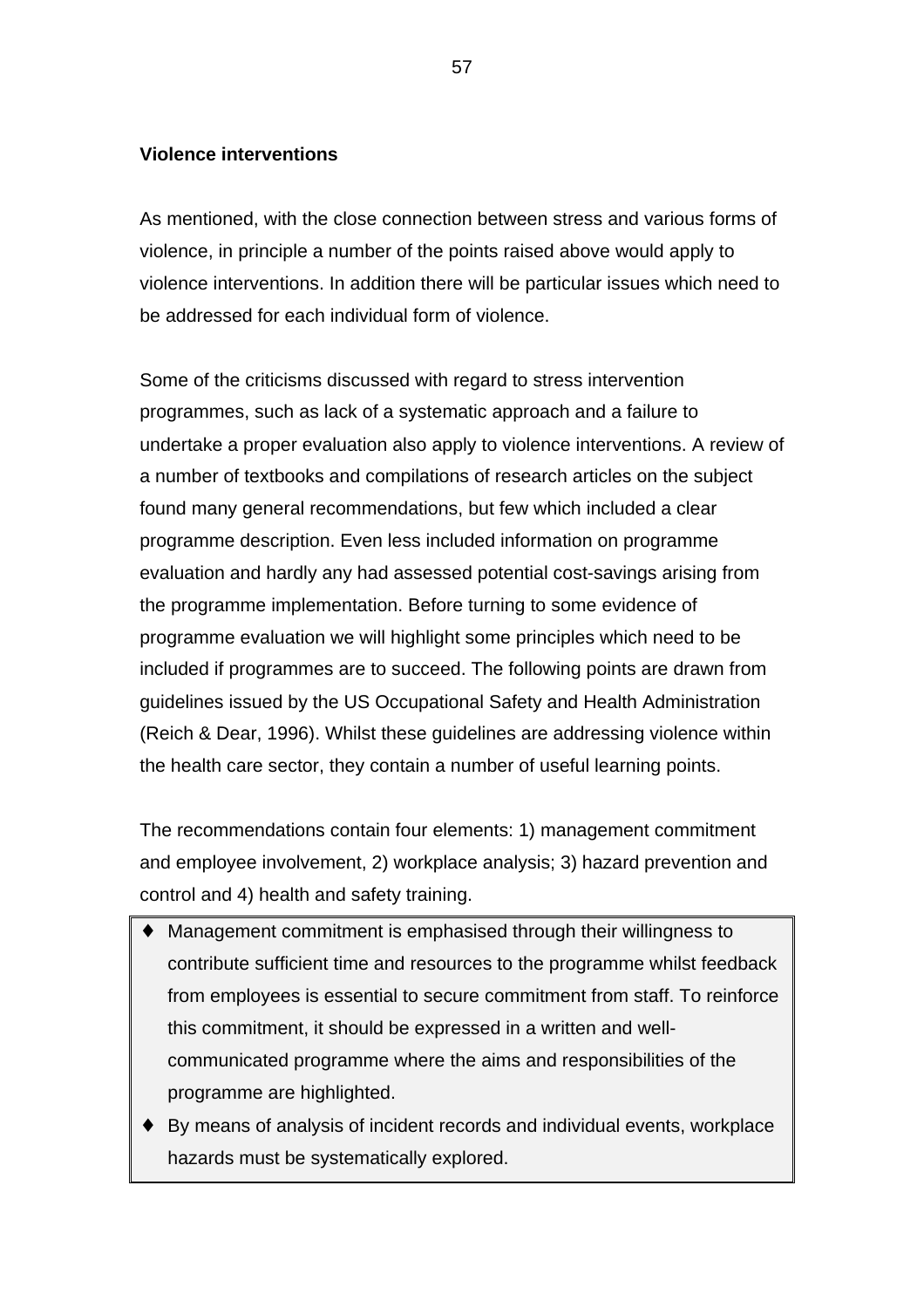## **Violence interventions**

As mentioned, with the close connection between stress and various forms of violence, in principle a number of the points raised above would apply to violence interventions. In addition there will be particular issues which need to be addressed for each individual form of violence.

Some of the criticisms discussed with regard to stress intervention programmes, such as lack of a systematic approach and a failure to undertake a proper evaluation also apply to violence interventions. A review of a number of textbooks and compilations of research articles on the subject found many general recommendations, but few which included a clear programme description. Even less included information on programme evaluation and hardly any had assessed potential cost-savings arising from the programme implementation. Before turning to some evidence of programme evaluation we will highlight some principles which need to be included if programmes are to succeed. The following points are drawn from guidelines issued by the US Occupational Safety and Health Administration (Reich & Dear, 1996). Whilst these guidelines are addressing violence within the health care sector, they contain a number of useful learning points.

The recommendations contain four elements: 1) management commitment and employee involvement, 2) workplace analysis; 3) hazard prevention and control and 4) health and safety training.

- ♦ Management commitment is emphasised through their willingness to contribute sufficient time and resources to the programme whilst feedback from employees is essential to secure commitment from staff. To reinforce this commitment, it should be expressed in a written and wellcommunicated programme where the aims and responsibilities of the programme are highlighted.
- ♦ By means of analysis of incident records and individual events, workplace hazards must be systematically explored.

57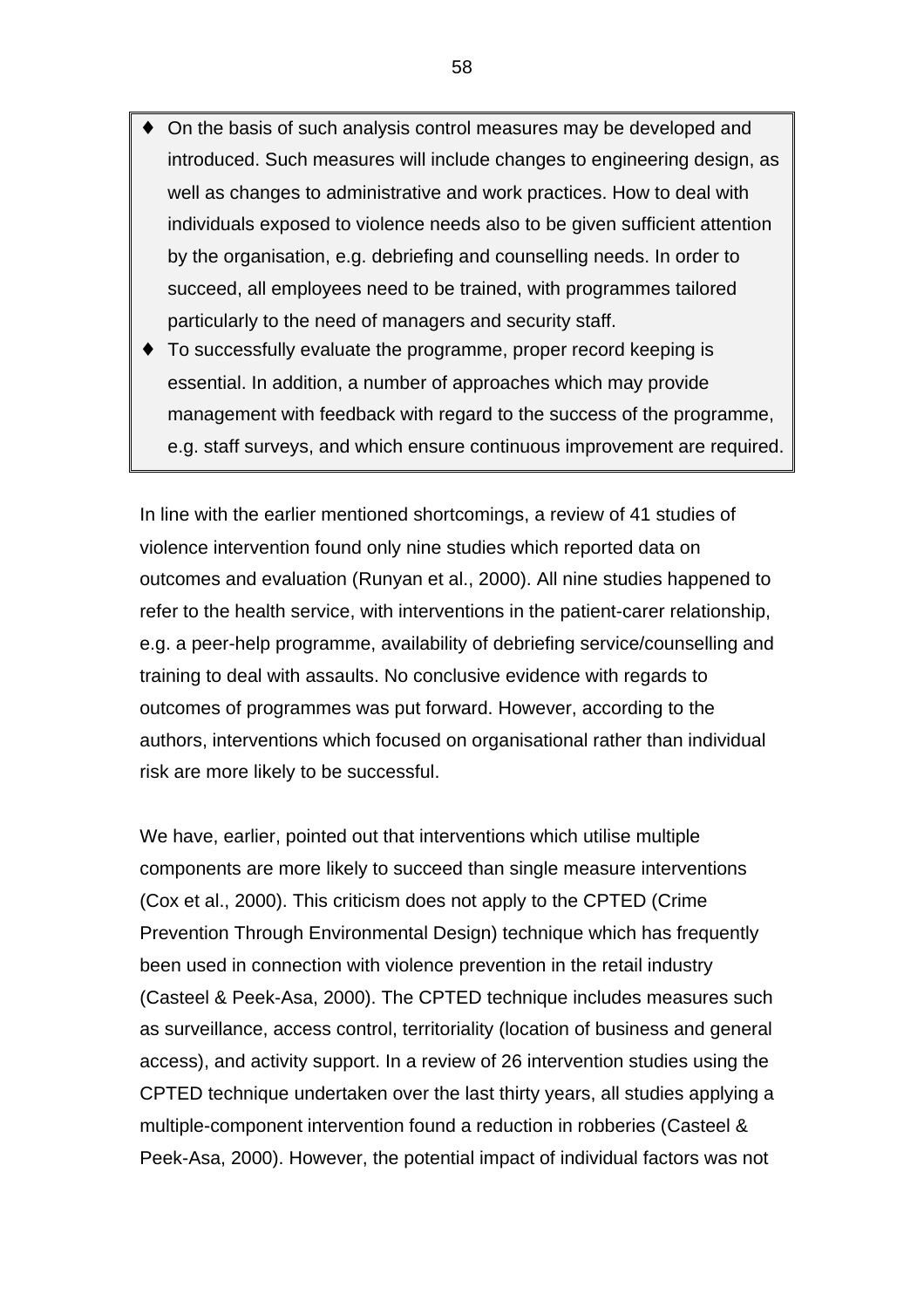- On the basis of such analysis control measures may be developed and introduced. Such measures will include changes to engineering design, as well as changes to administrative and work practices. How to deal with individuals exposed to violence needs also to be given sufficient attention by the organisation, e.g. debriefing and counselling needs. In order to succeed, all employees need to be trained, with programmes tailored particularly to the need of managers and security staff.
- ♦ To successfully evaluate the programme, proper record keeping is essential. In addition, a number of approaches which may provide management with feedback with regard to the success of the programme, e.g. staff surveys, and which ensure continuous improvement are required.

In line with the earlier mentioned shortcomings, a review of 41 studies of violence intervention found only nine studies which reported data on outcomes and evaluation (Runyan et al., 2000). All nine studies happened to refer to the health service, with interventions in the patient-carer relationship, e.g. a peer-help programme, availability of debriefing service/counselling and training to deal with assaults. No conclusive evidence with regards to outcomes of programmes was put forward. However, according to the authors, interventions which focused on organisational rather than individual risk are more likely to be successful.

We have, earlier, pointed out that interventions which utilise multiple components are more likely to succeed than single measure interventions (Cox et al., 2000). This criticism does not apply to the CPTED (Crime Prevention Through Environmental Design) technique which has frequently been used in connection with violence prevention in the retail industry (Casteel & Peek-Asa, 2000). The CPTED technique includes measures such as surveillance, access control, territoriality (location of business and general access), and activity support. In a review of 26 intervention studies using the CPTED technique undertaken over the last thirty years, all studies applying a multiple-component intervention found a reduction in robberies (Casteel & Peek-Asa, 2000). However, the potential impact of individual factors was not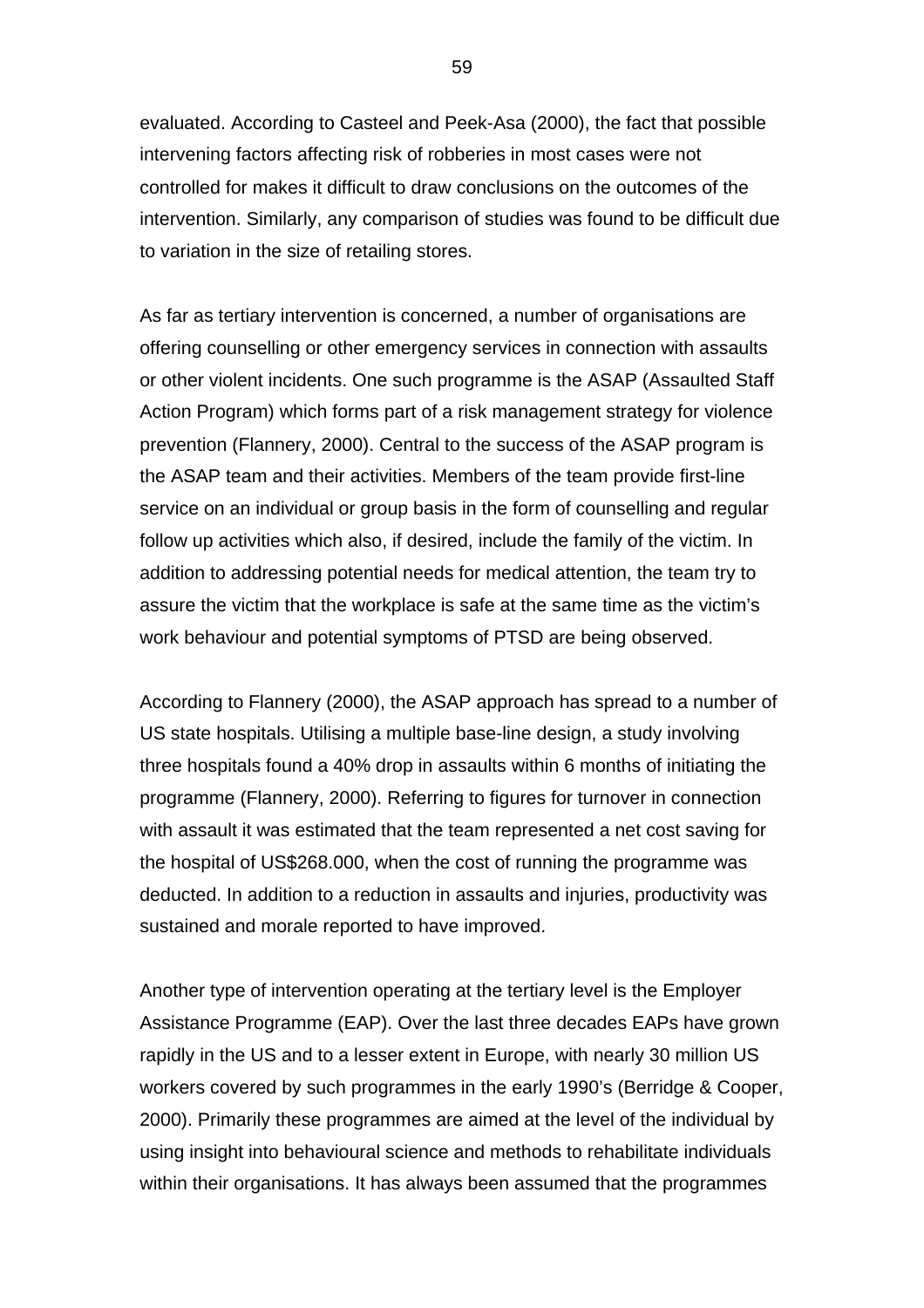evaluated. According to Casteel and Peek-Asa (2000), the fact that possible intervening factors affecting risk of robberies in most cases were not controlled for makes it difficult to draw conclusions on the outcomes of the intervention. Similarly, any comparison of studies was found to be difficult due to variation in the size of retailing stores.

As far as tertiary intervention is concerned, a number of organisations are offering counselling or other emergency services in connection with assaults or other violent incidents. One such programme is the ASAP (Assaulted Staff Action Program) which forms part of a risk management strategy for violence prevention (Flannery, 2000). Central to the success of the ASAP program is the ASAP team and their activities. Members of the team provide first-line service on an individual or group basis in the form of counselling and regular follow up activities which also, if desired, include the family of the victim. In addition to addressing potential needs for medical attention, the team try to assure the victim that the workplace is safe at the same time as the victim's work behaviour and potential symptoms of PTSD are being observed.

According to Flannery (2000), the ASAP approach has spread to a number of US state hospitals. Utilising a multiple base-line design, a study involving three hospitals found a 40% drop in assaults within 6 months of initiating the programme (Flannery, 2000). Referring to figures for turnover in connection with assault it was estimated that the team represented a net cost saving for the hospital of US\$268.000, when the cost of running the programme was deducted. In addition to a reduction in assaults and injuries, productivity was sustained and morale reported to have improved.

Another type of intervention operating at the tertiary level is the Employer Assistance Programme (EAP). Over the last three decades EAPs have grown rapidly in the US and to a lesser extent in Europe, with nearly 30 million US workers covered by such programmes in the early 1990's (Berridge & Cooper, 2000). Primarily these programmes are aimed at the level of the individual by using insight into behavioural science and methods to rehabilitate individuals within their organisations. It has always been assumed that the programmes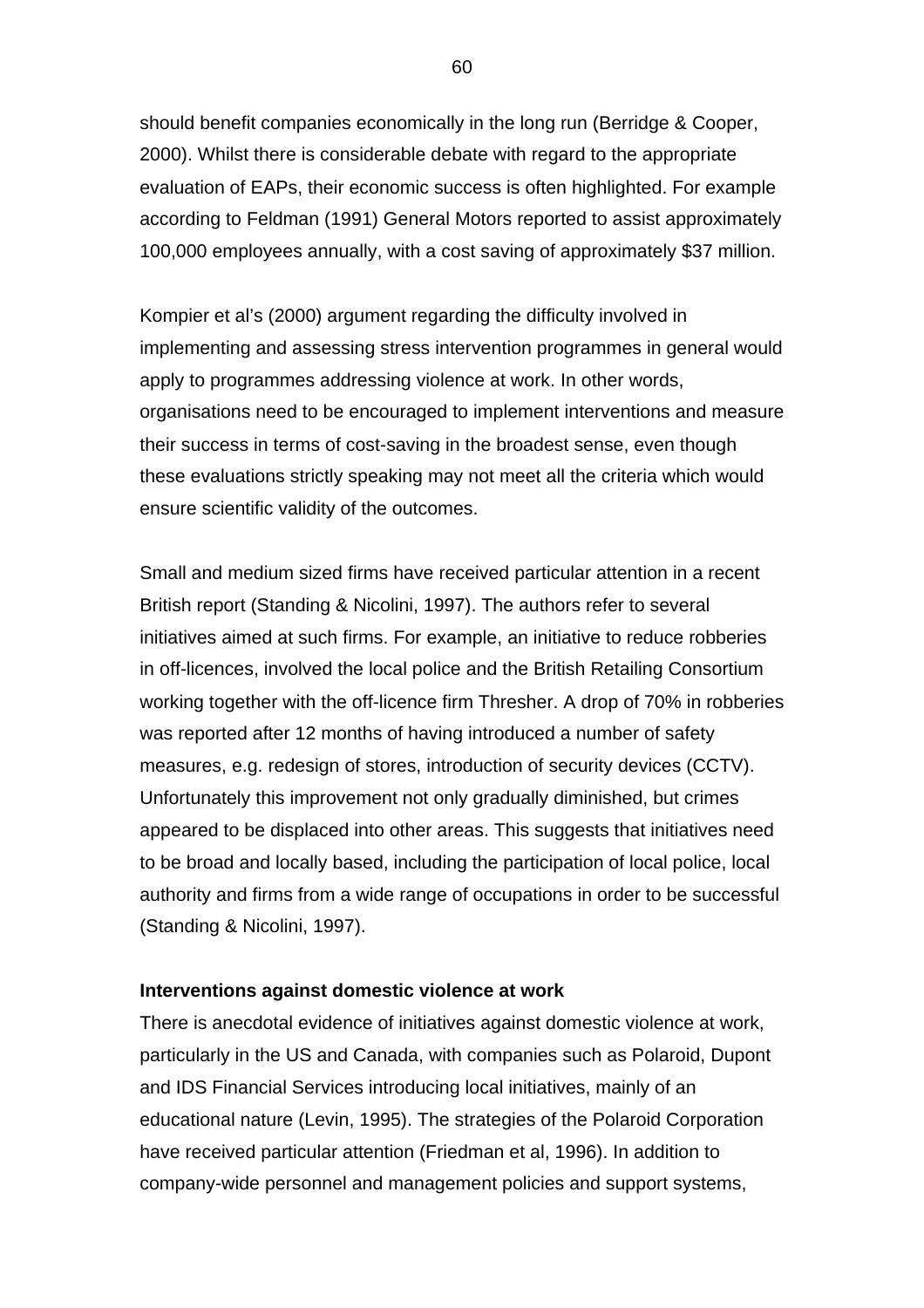should benefit companies economically in the long run (Berridge & Cooper, 2000). Whilst there is considerable debate with regard to the appropriate evaluation of EAPs, their economic success is often highlighted. For example according to Feldman (1991) General Motors reported to assist approximately 100,000 employees annually, with a cost saving of approximately \$37 million.

Kompier et al's (2000) argument regarding the difficulty involved in implementing and assessing stress intervention programmes in general would apply to programmes addressing violence at work. In other words, organisations need to be encouraged to implement interventions and measure their success in terms of cost-saving in the broadest sense, even though these evaluations strictly speaking may not meet all the criteria which would ensure scientific validity of the outcomes.

Small and medium sized firms have received particular attention in a recent British report (Standing & Nicolini, 1997). The authors refer to several initiatives aimed at such firms. For example, an initiative to reduce robberies in off-licences, involved the local police and the British Retailing Consortium working together with the off-licence firm Thresher. A drop of 70% in robberies was reported after 12 months of having introduced a number of safety measures, e.g. redesign of stores, introduction of security devices (CCTV). Unfortunately this improvement not only gradually diminished, but crimes appeared to be displaced into other areas. This suggests that initiatives need to be broad and locally based, including the participation of local police, local authority and firms from a wide range of occupations in order to be successful (Standing & Nicolini, 1997).

#### **Interventions against domestic violence at work**

There is anecdotal evidence of initiatives against domestic violence at work, particularly in the US and Canada, with companies such as Polaroid, Dupont and IDS Financial Services introducing local initiatives, mainly of an educational nature (Levin, 1995). The strategies of the Polaroid Corporation have received particular attention (Friedman et al, 1996). In addition to company-wide personnel and management policies and support systems,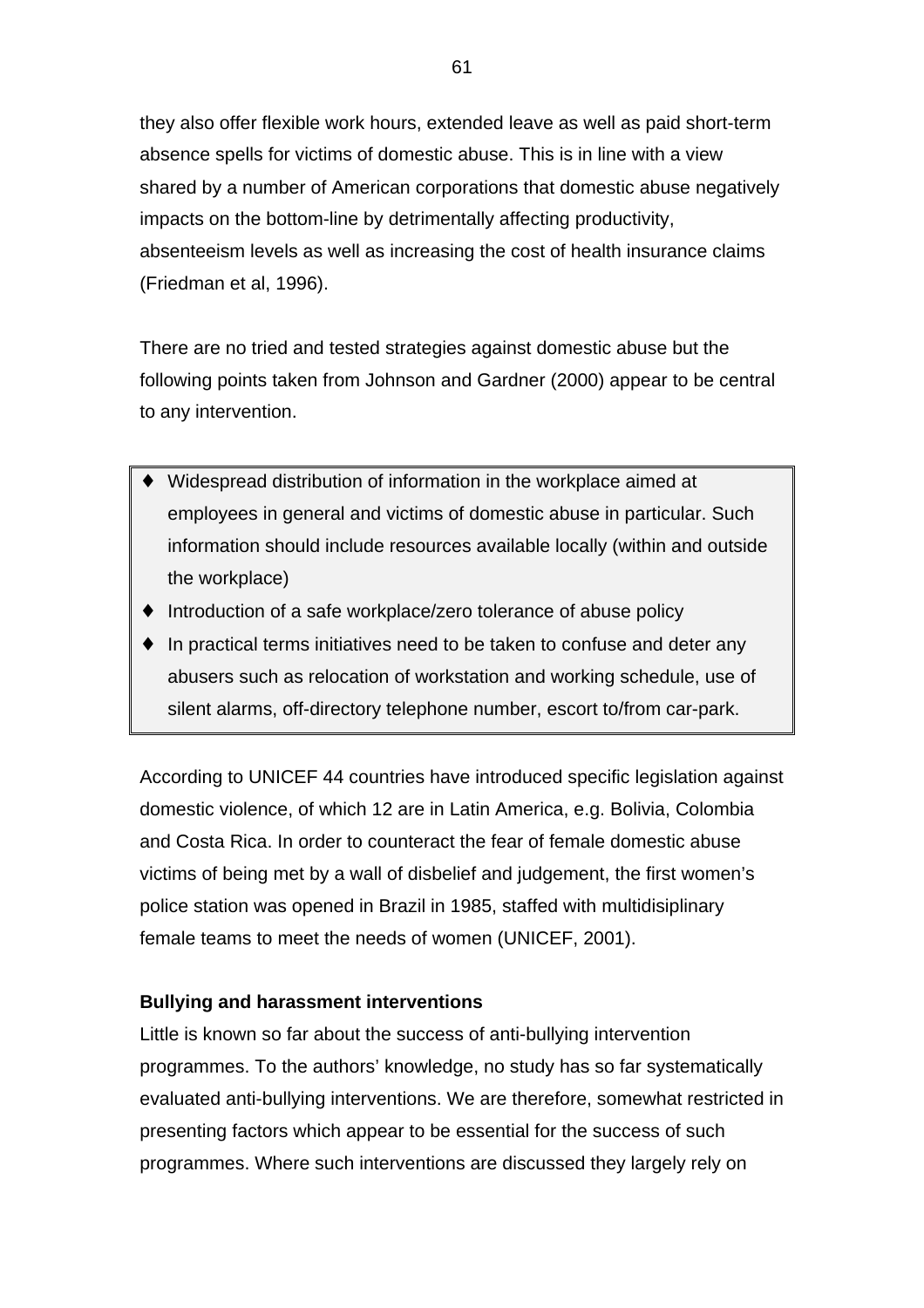they also offer flexible work hours, extended leave as well as paid short-term absence spells for victims of domestic abuse. This is in line with a view shared by a number of American corporations that domestic abuse negatively impacts on the bottom-line by detrimentally affecting productivity, absenteeism levels as well as increasing the cost of health insurance claims (Friedman et al, 1996).

There are no tried and tested strategies against domestic abuse but the following points taken from Johnson and Gardner (2000) appear to be central to any intervention.

- Widespread distribution of information in the workplace aimed at employees in general and victims of domestic abuse in particular. Such information should include resources available locally (within and outside the workplace)
- ♦ Introduction of a safe workplace/zero tolerance of abuse policy
- ♦ In practical terms initiatives need to be taken to confuse and deter any abusers such as relocation of workstation and working schedule, use of silent alarms, off-directory telephone number, escort to/from car-park.

According to UNICEF 44 countries have introduced specific legislation against domestic violence, of which 12 are in Latin America, e.g. Bolivia, Colombia and Costa Rica. In order to counteract the fear of female domestic abuse victims of being met by a wall of disbelief and judgement, the first women's police station was opened in Brazil in 1985, staffed with multidisiplinary female teams to meet the needs of women (UNICEF, 2001).

## **Bullying and harassment interventions**

Little is known so far about the success of anti-bullying intervention programmes. To the authors' knowledge, no study has so far systematically evaluated anti-bullying interventions. We are therefore, somewhat restricted in presenting factors which appear to be essential for the success of such programmes. Where such interventions are discussed they largely rely on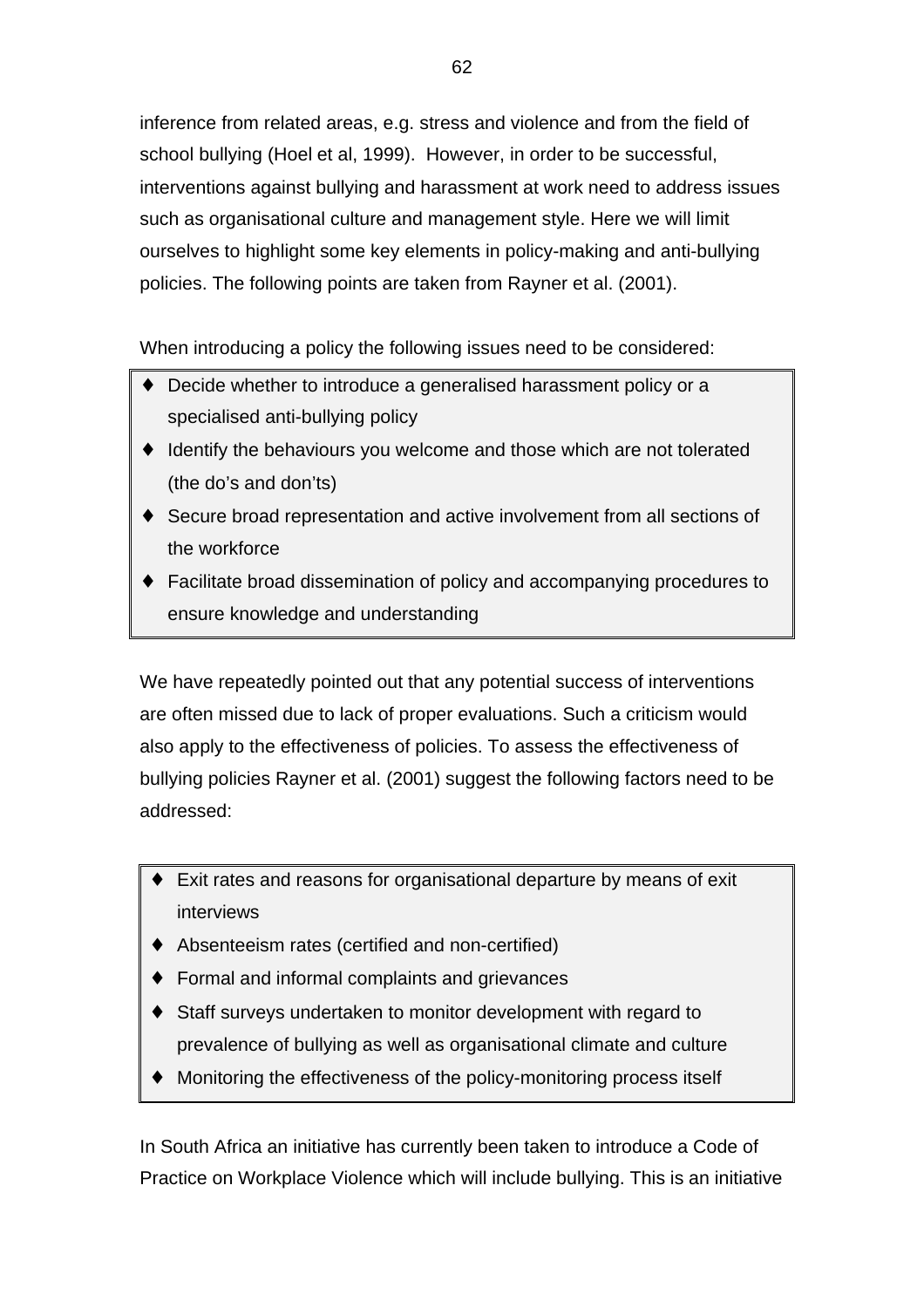inference from related areas, e.g. stress and violence and from the field of school bullying (Hoel et al, 1999). However, in order to be successful, interventions against bullying and harassment at work need to address issues such as organisational culture and management style. Here we will limit ourselves to highlight some key elements in policy-making and anti-bullying policies. The following points are taken from Rayner et al. (2001).

When introducing a policy the following issues need to be considered:

- ♦ Decide whether to introduce a generalised harassment policy or a specialised anti-bullying policy
- ♦ Identify the behaviours you welcome and those which are not tolerated (the do's and don'ts)
- ♦ Secure broad representation and active involvement from all sections of the workforce
- ♦ Facilitate broad dissemination of policy and accompanying procedures to ensure knowledge and understanding

We have repeatedly pointed out that any potential success of interventions are often missed due to lack of proper evaluations. Such a criticism would also apply to the effectiveness of policies. To assess the effectiveness of bullying policies Rayner et al. (2001) suggest the following factors need to be addressed:

- Exit rates and reasons for organisational departure by means of exit interviews
- Absenteeism rates (certified and non-certified)
- Formal and informal complaints and grievances
- ♦ Staff surveys undertaken to monitor development with regard to prevalence of bullying as well as organisational climate and culture
- Monitoring the effectiveness of the policy-monitoring process itself

In South Africa an initiative has currently been taken to introduce a Code of Practice on Workplace Violence which will include bullying. This is an initiative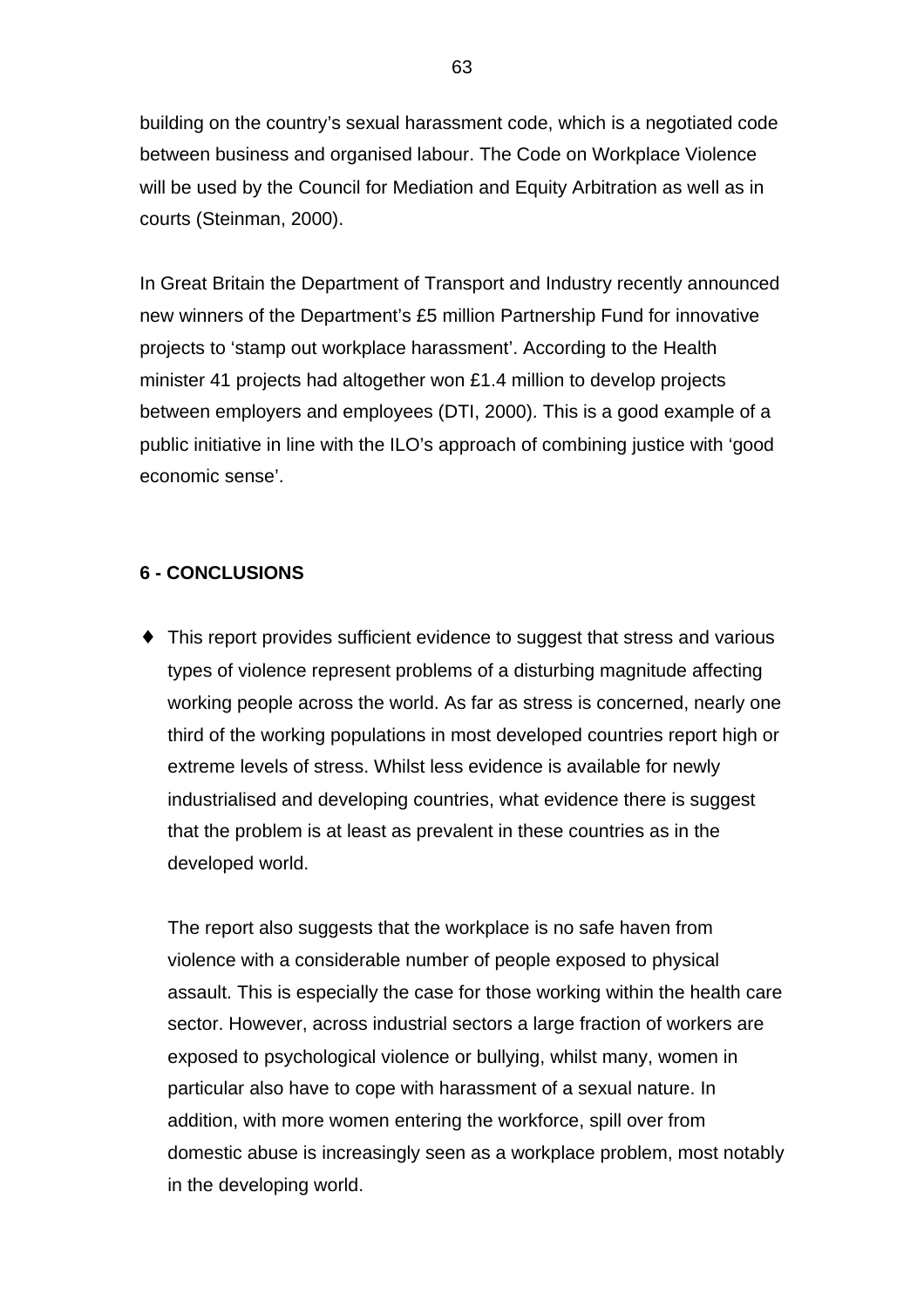building on the country's sexual harassment code, which is a negotiated code between business and organised labour. The Code on Workplace Violence will be used by the Council for Mediation and Equity Arbitration as well as in courts (Steinman, 2000).

In Great Britain the Department of Transport and Industry recently announced new winners of the Department's £5 million Partnership Fund for innovative projects to 'stamp out workplace harassment'. According to the Health minister 41 projects had altogether won £1.4 million to develop projects between employers and employees (DTI, 2000). This is a good example of a public initiative in line with the ILO's approach of combining justice with 'good economic sense'.

# **6 - CONCLUSIONS**

♦ This report provides sufficient evidence to suggest that stress and various types of violence represent problems of a disturbing magnitude affecting working people across the world. As far as stress is concerned, nearly one third of the working populations in most developed countries report high or extreme levels of stress. Whilst less evidence is available for newly industrialised and developing countries, what evidence there is suggest that the problem is at least as prevalent in these countries as in the developed world.

The report also suggests that the workplace is no safe haven from violence with a considerable number of people exposed to physical assault. This is especially the case for those working within the health care sector. However, across industrial sectors a large fraction of workers are exposed to psychological violence or bullying, whilst many, women in particular also have to cope with harassment of a sexual nature. In addition, with more women entering the workforce, spill over from domestic abuse is increasingly seen as a workplace problem, most notably in the developing world.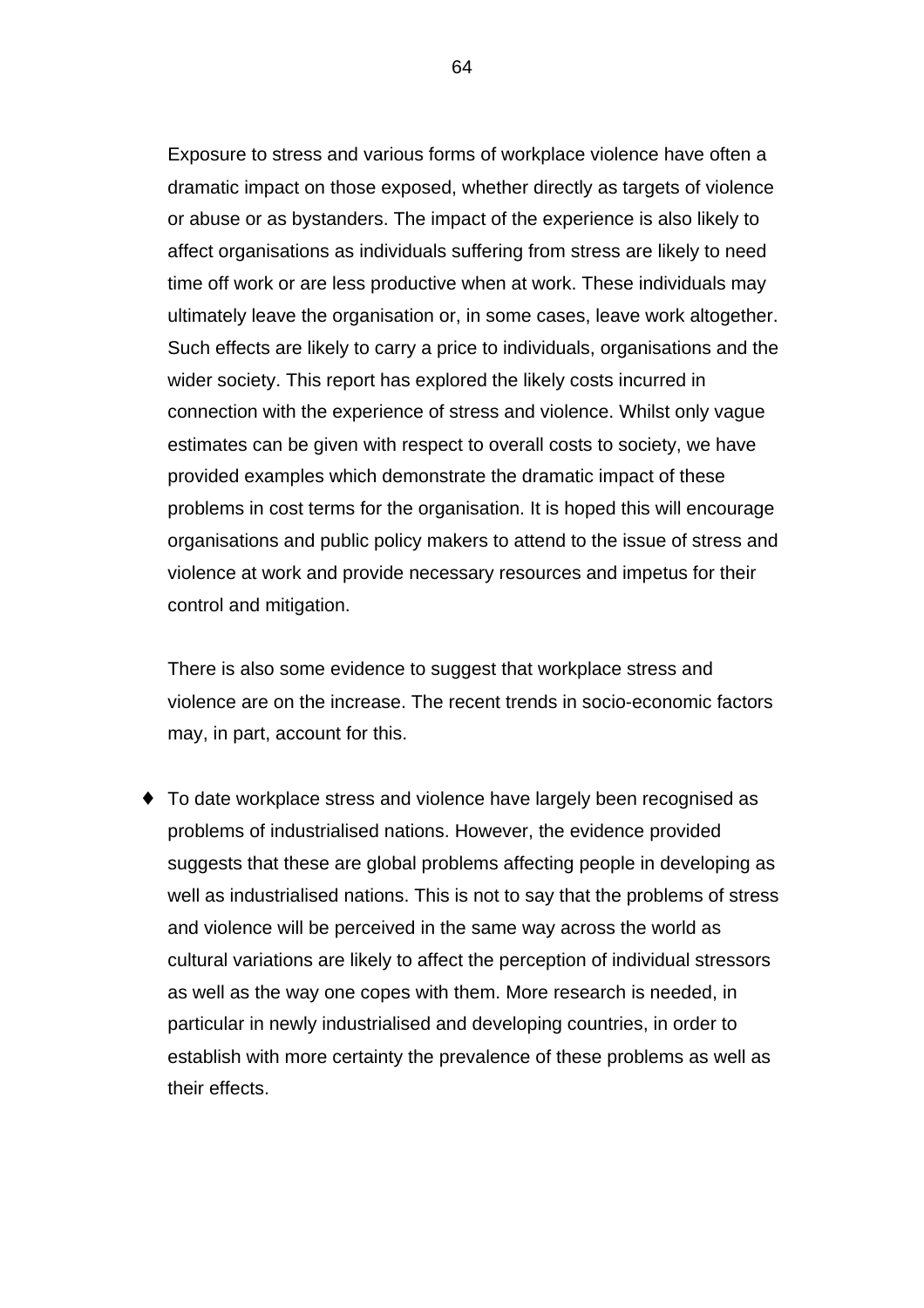Exposure to stress and various forms of workplace violence have often a dramatic impact on those exposed, whether directly as targets of violence or abuse or as bystanders. The impact of the experience is also likely to affect organisations as individuals suffering from stress are likely to need time off work or are less productive when at work. These individuals may ultimately leave the organisation or, in some cases, leave work altogether. Such effects are likely to carry a price to individuals, organisations and the wider society. This report has explored the likely costs incurred in connection with the experience of stress and violence. Whilst only vague estimates can be given with respect to overall costs to society, we have provided examples which demonstrate the dramatic impact of these problems in cost terms for the organisation. It is hoped this will encourage organisations and public policy makers to attend to the issue of stress and violence at work and provide necessary resources and impetus for their control and mitigation.

There is also some evidence to suggest that workplace stress and violence are on the increase. The recent trends in socio-economic factors may, in part, account for this.

♦ To date workplace stress and violence have largely been recognised as problems of industrialised nations. However, the evidence provided suggests that these are global problems affecting people in developing as well as industrialised nations. This is not to say that the problems of stress and violence will be perceived in the same way across the world as cultural variations are likely to affect the perception of individual stressors as well as the way one copes with them. More research is needed, in particular in newly industrialised and developing countries, in order to establish with more certainty the prevalence of these problems as well as their effects.

64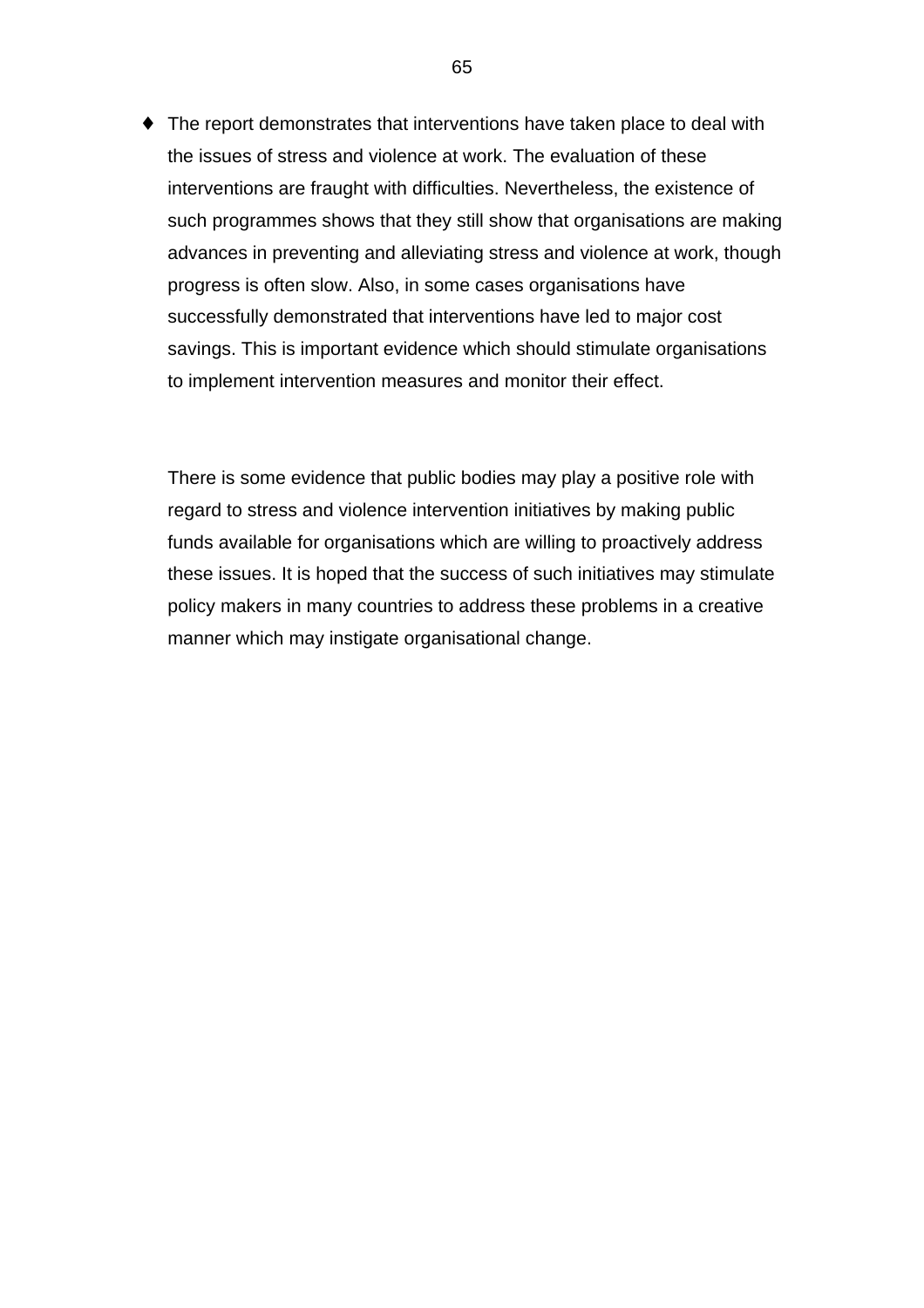♦ The report demonstrates that interventions have taken place to deal with the issues of stress and violence at work. The evaluation of these interventions are fraught with difficulties. Nevertheless, the existence of such programmes shows that they still show that organisations are making advances in preventing and alleviating stress and violence at work, though progress is often slow. Also, in some cases organisations have successfully demonstrated that interventions have led to major cost savings. This is important evidence which should stimulate organisations to implement intervention measures and monitor their effect.

There is some evidence that public bodies may play a positive role with regard to stress and violence intervention initiatives by making public funds available for organisations which are willing to proactively address these issues. It is hoped that the success of such initiatives may stimulate policy makers in many countries to address these problems in a creative manner which may instigate organisational change.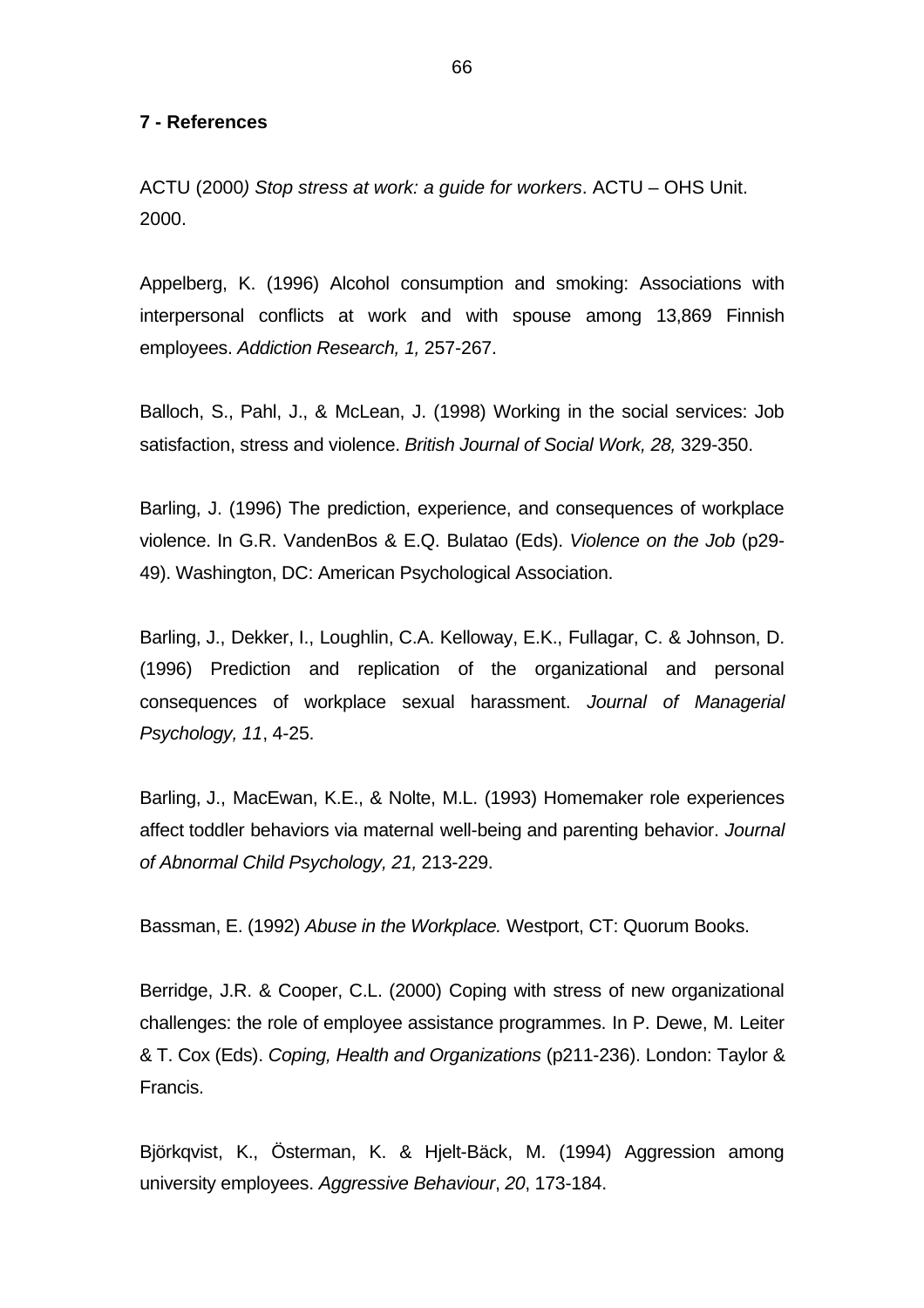### **7 - References**

ACTU (2000*) Stop stress at work: a guide for workers*. ACTU – OHS Unit. 2000.

Appelberg, K. (1996) Alcohol consumption and smoking: Associations with interpersonal conflicts at work and with spouse among 13,869 Finnish employees. *Addiction Research, 1,* 257-267.

Balloch, S., Pahl, J., & McLean, J. (1998) Working in the social services: Job satisfaction, stress and violence. *British Journal of Social Work, 28,* 329-350.

Barling, J. (1996) The prediction, experience, and consequences of workplace violence. In G.R. VandenBos & E.Q. Bulatao (Eds). *Violence on the Job* (p29- 49). Washington, DC: American Psychological Association.

Barling, J., Dekker, I., Loughlin, C.A. Kelloway, E.K., Fullagar, C. & Johnson, D. (1996) Prediction and replication of the organizational and personal consequences of workplace sexual harassment. *Journal of Managerial Psychology, 11*, 4-25.

Barling, J., MacEwan, K.E., & Nolte, M.L. (1993) Homemaker role experiences affect toddler behaviors via maternal well-being and parenting behavior. *Journal of Abnormal Child Psychology, 21,* 213-229.

Bassman, E. (1992) *Abuse in the Workplace.* Westport, CT: Quorum Books.

Berridge, J.R. & Cooper, C.L. (2000) Coping with stress of new organizational challenges: the role of employee assistance programmes. In P. Dewe, M. Leiter & T. Cox (Eds). *Coping, Health and Organizations* (p211-236). London: Taylor & Francis.

Björkqvist, K., Österman, K. & Hjelt-Bäck, M. (1994) Aggression among university employees. *Aggressive Behaviour*, *20*, 173-184.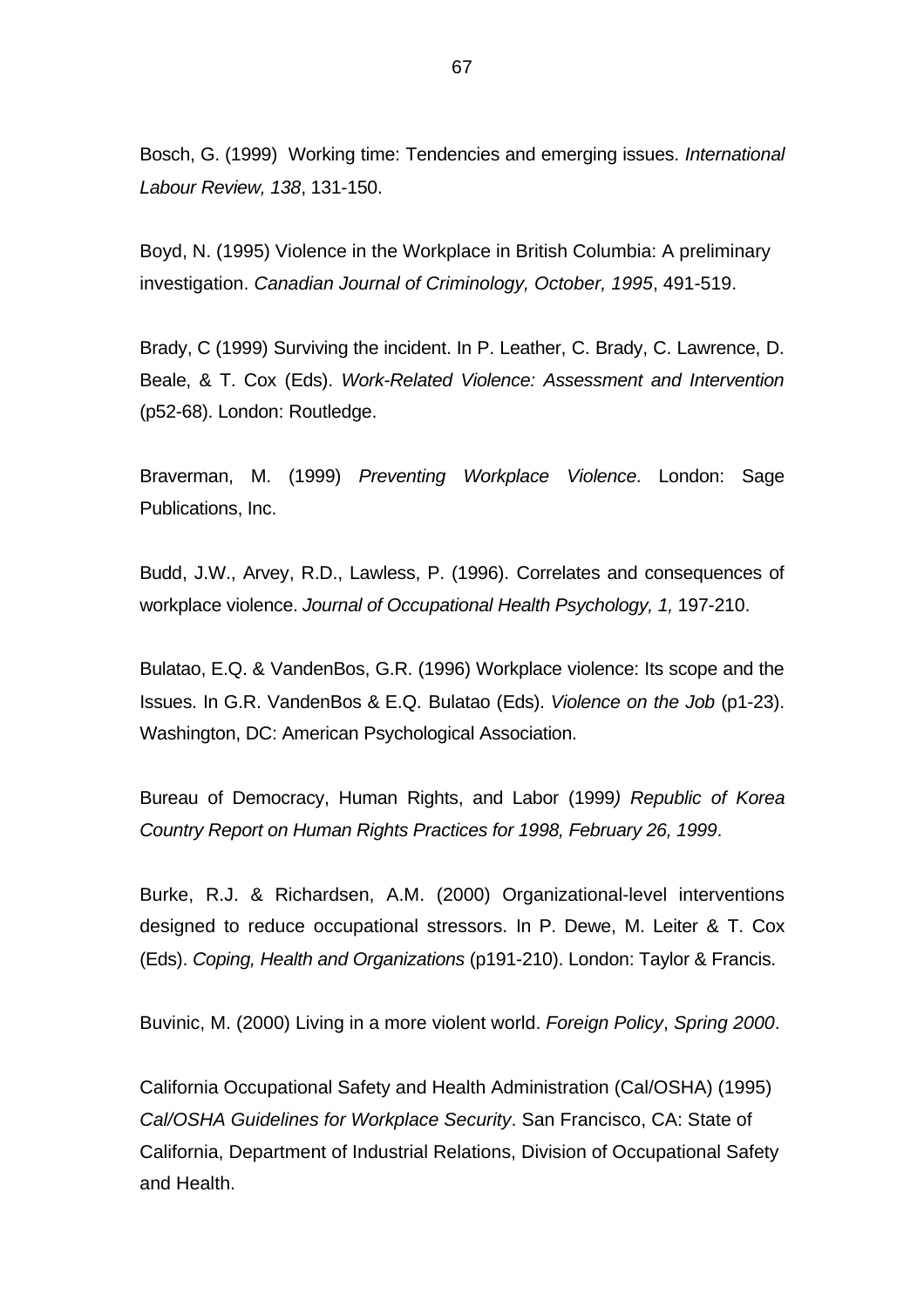Bosch, G. (1999) Working time: Tendencies and emerging issues. *International Labour Review, 138*, 131-150.

Boyd, N. (1995) Violence in the Workplace in British Columbia: A preliminary investigation. *Canadian Journal of Criminology, October, 1995*, 491-519.

Brady, C (1999) Surviving the incident. In P. Leather, C. Brady, C. Lawrence, D. Beale, & T. Cox (Eds). *Work-Related Violence: Assessment and Intervention* (p52-68). London: Routledge.

Braverman, M. (1999) *Preventing Workplace Violence*. London: Sage Publications, Inc.

Budd, J.W., Arvey, R.D., Lawless, P. (1996). Correlates and consequences of workplace violence. *Journal of Occupational Health Psychology, 1,* 197-210.

Bulatao, E.Q. & VandenBos, G.R. (1996) Workplace violence: Its scope and the Issues. In G.R. VandenBos & E.Q. Bulatao (Eds). *Violence on the Job* (p1-23). Washington, DC: American Psychological Association.

Bureau of Democracy, Human Rights, and Labor (1999*) Republic of Korea Country Report on Human Rights Practices for 1998, February 26, 1999*.

Burke, R.J. & Richardsen, A.M. (2000) Organizational-level interventions designed to reduce occupational stressors. In P. Dewe, M. Leiter & T. Cox (Eds). *Coping, Health and Organizations* (p191-210). London: Taylor & Francis.

Buvinic, M. (2000) Living in a more violent world. *Foreign Policy*, *Spring 2000*.

California Occupational Safety and Health Administration (Cal/OSHA) (1995) *Cal/OSHA Guidelines for Workplace Security*. San Francisco, CA: State of California, Department of Industrial Relations, Division of Occupational Safety and Health.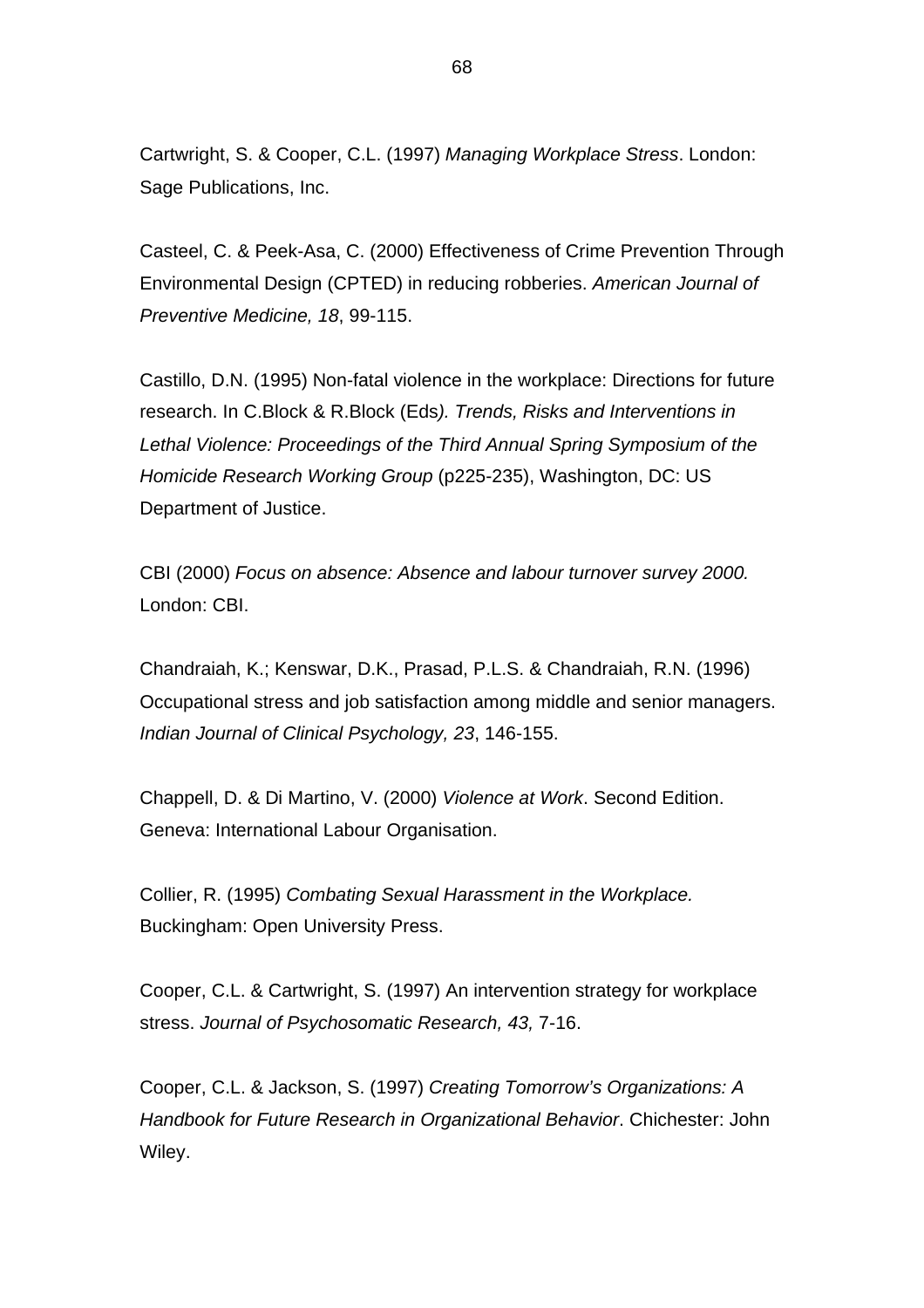Cartwright, S. & Cooper, C.L. (1997) *Managing Workplace Stress*. London: Sage Publications, Inc.

Casteel, C. & Peek-Asa, C. (2000) Effectiveness of Crime Prevention Through Environmental Design (CPTED) in reducing robberies. *American Journal of Preventive Medicine, 18*, 99-115.

Castillo, D.N. (1995) Non-fatal violence in the workplace: Directions for future research. In C.Block & R.Block (Eds*). Trends, Risks and Interventions in Lethal Violence: Proceedings of the Third Annual Spring Symposium of the Homicide Research Working Group* (p225-235), Washington, DC: US Department of Justice.

CBI (2000) *Focus on absence: Absence and labour turnover survey 2000.* London: CBI.

Chandraiah, K.; Kenswar, D.K., Prasad, P.L.S. & Chandraiah, R.N. (1996) Occupational stress and job satisfaction among middle and senior managers. *Indian Journal of Clinical Psychology, 23*, 146-155.

Chappell, D. & Di Martino, V. (2000) *Violence at Work*. Second Edition. Geneva: International Labour Organisation.

Collier, R. (1995) *Combating Sexual Harassment in the Workplace.* Buckingham: Open University Press.

Cooper, C.L. & Cartwright, S. (1997) An intervention strategy for workplace stress. *Journal of Psychosomatic Research, 43,* 7-16.

Cooper, C.L. & Jackson, S. (1997) *Creating Tomorrow's Organizations: A Handbook for Future Research in Organizational Behavior*. Chichester: John Wiley.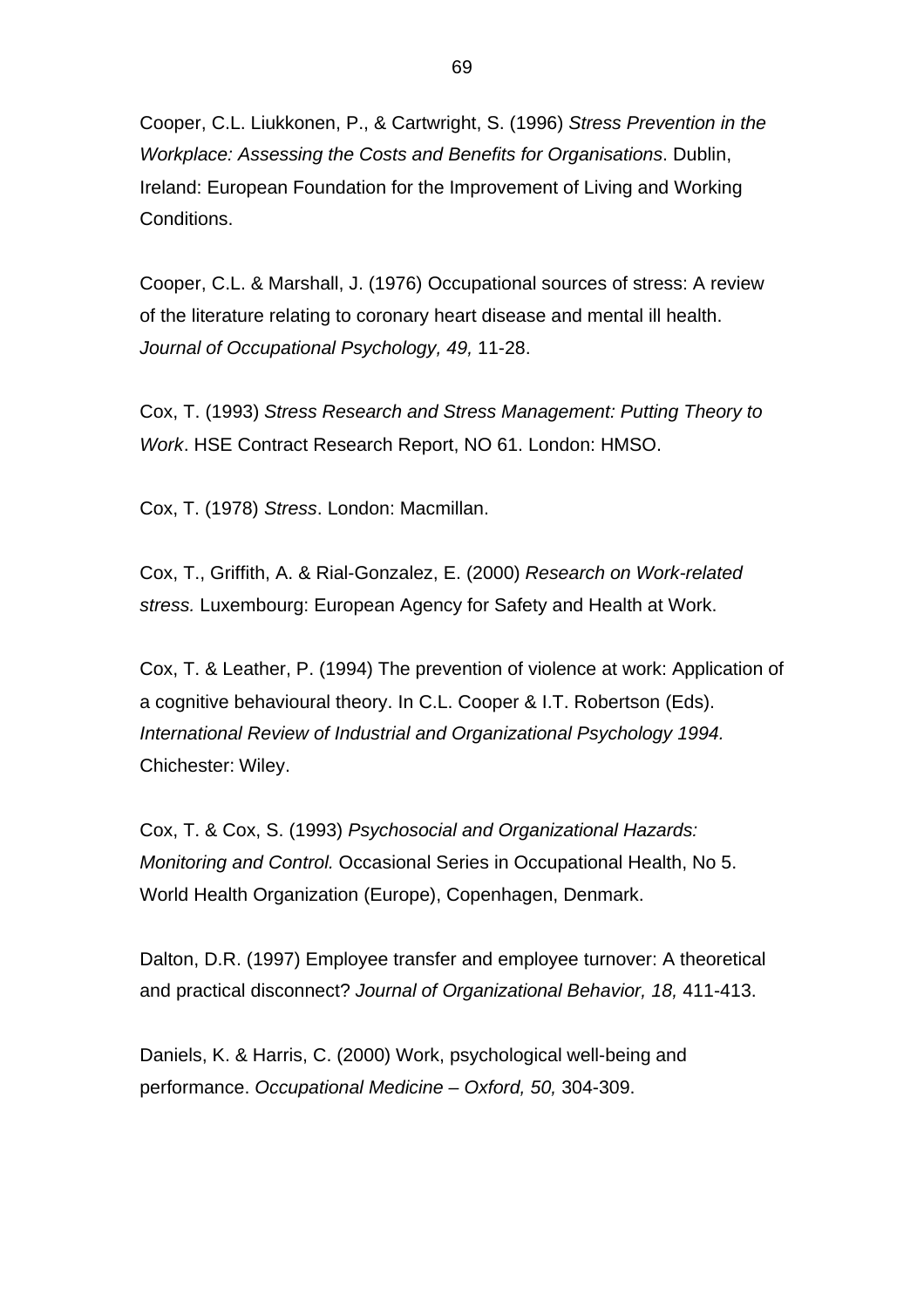Cooper, C.L. Liukkonen, P., & Cartwright, S. (1996) *Stress Prevention in the Workplace: Assessing the Costs and Benefits for Organisations*. Dublin, Ireland: European Foundation for the Improvement of Living and Working Conditions.

Cooper, C.L. & Marshall, J. (1976) Occupational sources of stress: A review of the literature relating to coronary heart disease and mental ill health. *Journal of Occupational Psychology, 49,* 11-28.

Cox, T. (1993) *Stress Research and Stress Management: Putting Theory to Work*. HSE Contract Research Report, NO 61. London: HMSO.

Cox, T. (1978) *Stress*. London: Macmillan.

Cox, T., Griffith, A. & Rial-Gonzalez, E. (2000) *Research on Work-related stress.* Luxembourg: European Agency for Safety and Health at Work.

Cox, T. & Leather, P. (1994) The prevention of violence at work: Application of a cognitive behavioural theory. In C.L. Cooper & I.T. Robertson (Eds). *International Review of Industrial and Organizational Psychology 1994.* Chichester: Wiley.

Cox, T. & Cox, S. (1993) *Psychosocial and Organizational Hazards: Monitoring and Control.* Occasional Series in Occupational Health, No 5. World Health Organization (Europe), Copenhagen, Denmark.

Dalton, D.R. (1997) Employee transfer and employee turnover: A theoretical and practical disconnect? *Journal of Organizational Behavior, 18,* 411-413.

Daniels, K. & Harris, C. (2000) Work, psychological well-being and performance. *Occupational Medicine – Oxford, 50,* 304-309.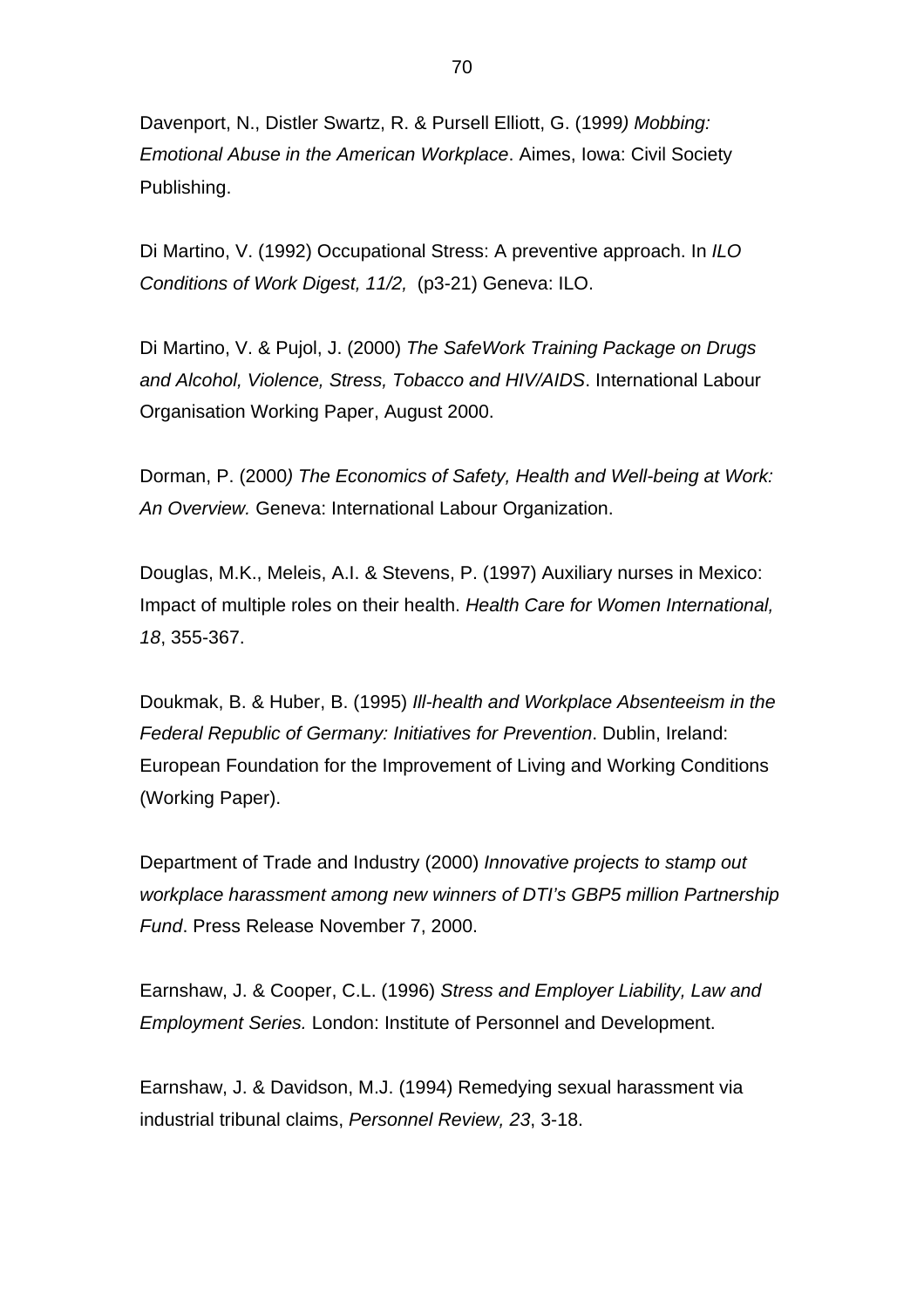Davenport, N., Distler Swartz, R. & Pursell Elliott, G. (1999*) Mobbing: Emotional Abuse in the American Workplace*. Aimes, Iowa: Civil Society Publishing.

Di Martino, V. (1992) Occupational Stress: A preventive approach. In *ILO Conditions of Work Digest, 11/2,* (p3-21) Geneva: ILO.

Di Martino, V. & Pujol, J. (2000) *The SafeWork Training Package on Drugs and Alcohol, Violence, Stress, Tobacco and HIV/AIDS*. International Labour Organisation Working Paper, August 2000.

Dorman, P. (2000*) The Economics of Safety, Health and Well-being at Work: An Overview.* Geneva: International Labour Organization.

Douglas, M.K., Meleis, A.I. & Stevens, P. (1997) Auxiliary nurses in Mexico: Impact of multiple roles on their health. *Health Care for Women International, 18*, 355-367.

Doukmak, B. & Huber, B. (1995) *Ill-health and Workplace Absenteeism in the Federal Republic of Germany: Initiatives for Prevention*. Dublin, Ireland: European Foundation for the Improvement of Living and Working Conditions (Working Paper).

Department of Trade and Industry (2000) *Innovative projects to stamp out workplace harassment among new winners of DTI's GBP5 million Partnership Fund*. Press Release November 7, 2000.

Earnshaw, J. & Cooper, C.L. (1996) *Stress and Employer Liability, Law and Employment Series.* London: Institute of Personnel and Development.

Earnshaw, J. & Davidson, M.J. (1994) Remedying sexual harassment via industrial tribunal claims, *Personnel Review, 23*, 3-18.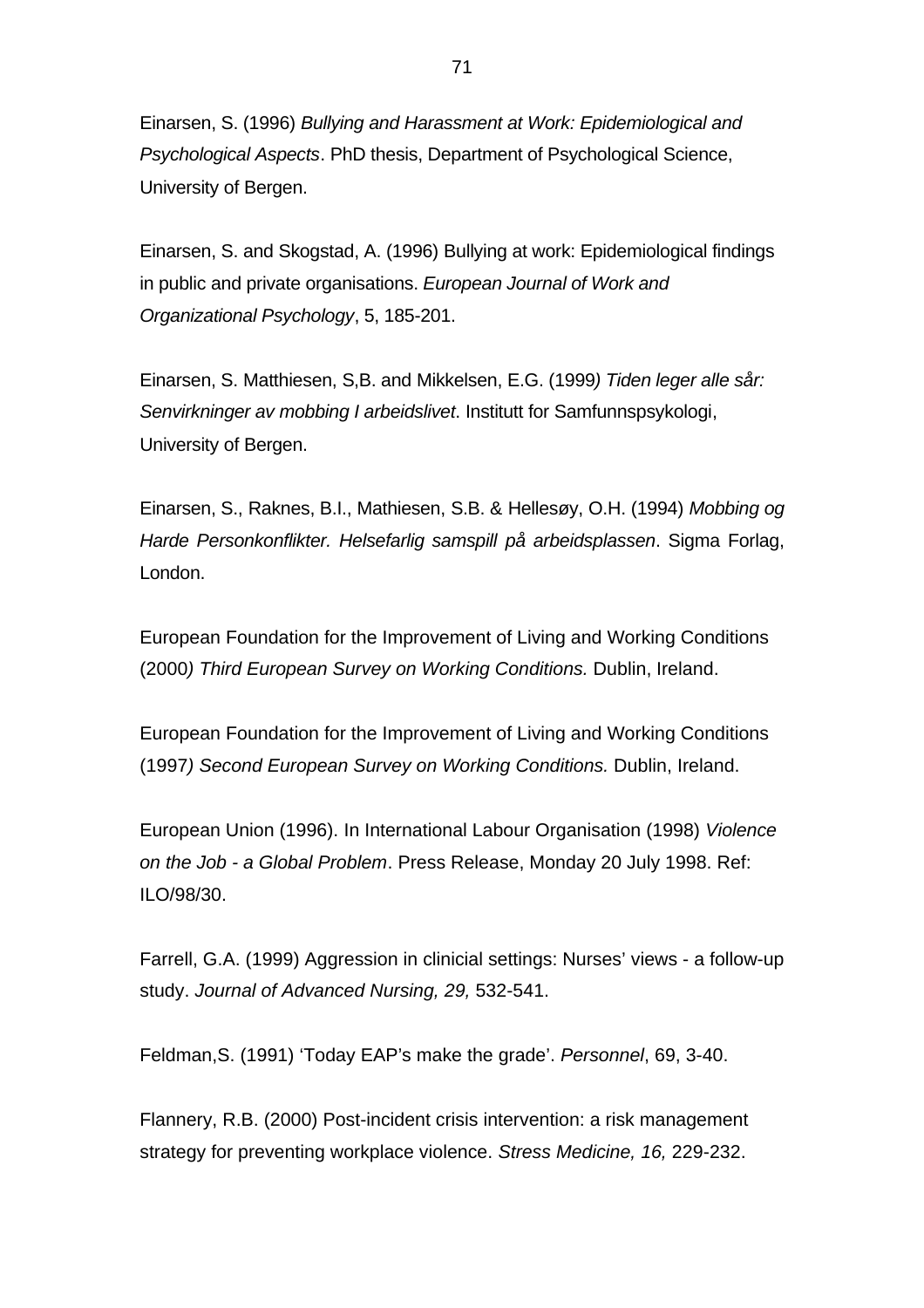Einarsen, S. (1996) *Bullying and Harassment at Work: Epidemiological and Psychological Aspects*. PhD thesis, Department of Psychological Science, University of Bergen.

Einarsen, S. and Skogstad, A. (1996) Bullying at work: Epidemiological findings in public and private organisations. *European Journal of Work and Organizational Psychology*, 5, 185-201.

Einarsen, S. Matthiesen, S,B. and Mikkelsen, E.G. (1999*) Tiden leger alle sår: Senvirkninger av mobbing I arbeidslivet*. Institutt for Samfunnspsykologi, University of Bergen.

Einarsen, S., Raknes, B.I., Mathiesen, S.B. & Hellesøy, O.H. (1994) *Mobbing og Harde Personkonflikter. Helsefarlig samspill på arbeidsplassen*. Sigma Forlag, London.

European Foundation for the Improvement of Living and Working Conditions (2000*) Third European Survey on Working Conditions.* Dublin, Ireland.

European Foundation for the Improvement of Living and Working Conditions (1997*) Second European Survey on Working Conditions.* Dublin, Ireland.

European Union (1996). In International Labour Organisation (1998) *Violence on the Job - a Global Problem*. Press Release, Monday 20 July 1998. Ref: ILO/98/30.

Farrell, G.A. (1999) Aggression in clinicial settings: Nurses' views - a follow-up study. *Journal of Advanced Nursing, 29,* 532-541.

Feldman,S. (1991) 'Today EAP's make the grade'. *Personnel*, 69, 3-40.

Flannery, R.B. (2000) Post-incident crisis intervention: a risk management strategy for preventing workplace violence. *Stress Medicine, 16,* 229-232.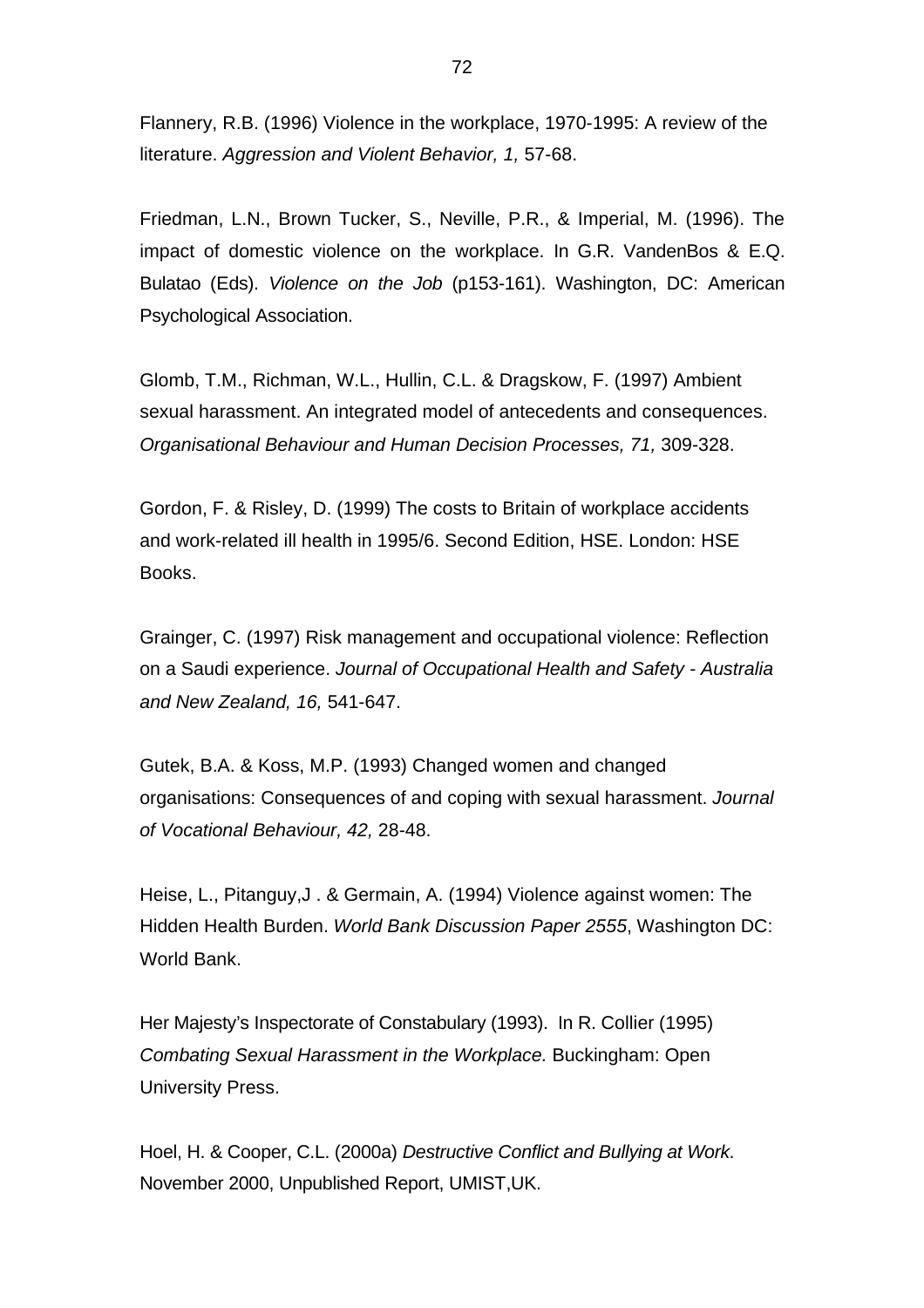Flannery, R.B. (1996) Violence in the workplace, 1970-1995: A review of the literature. *Aggression and Violent Behavior, 1,* 57-68.

Friedman, L.N., Brown Tucker, S., Neville, P.R., & Imperial, M. (1996). The impact of domestic violence on the workplace. In G.R. VandenBos & E.Q. Bulatao (Eds). *Violence on the Job* (p153-161). Washington, DC: American Psychological Association.

Glomb, T.M., Richman, W.L., Hullin, C.L. & Dragskow, F. (1997) Ambient sexual harassment. An integrated model of antecedents and consequences. *Organisational Behaviour and Human Decision Processes, 71,* 309-328.

Gordon, F. & Risley, D. (1999) The costs to Britain of workplace accidents and work-related ill health in 1995/6. Second Edition, HSE. London: HSE Books.

Grainger, C. (1997) Risk management and occupational violence: Reflection on a Saudi experience. *Journal of Occupational Health and Safety - Australia and New Zealand, 16,* 541-647.

Gutek, B.A. & Koss, M.P. (1993) Changed women and changed organisations: Consequences of and coping with sexual harassment. *Journal of Vocational Behaviour, 42,* 28-48.

Heise, L., Pitanguy,J . & Germain, A. (1994) Violence against women: The Hidden Health Burden. *World Bank Discussion Paper 2555*, Washington DC: World Bank.

Her Majesty's Inspectorate of Constabulary (1993). In R. Collier (1995) *Combating Sexual Harassment in the Workplace.* Buckingham: Open University Press.

Hoel, H. & Cooper, C.L. (2000a) *Destructive Conflict and Bullying at Work*. November 2000, Unpublished Report, UMIST,UK.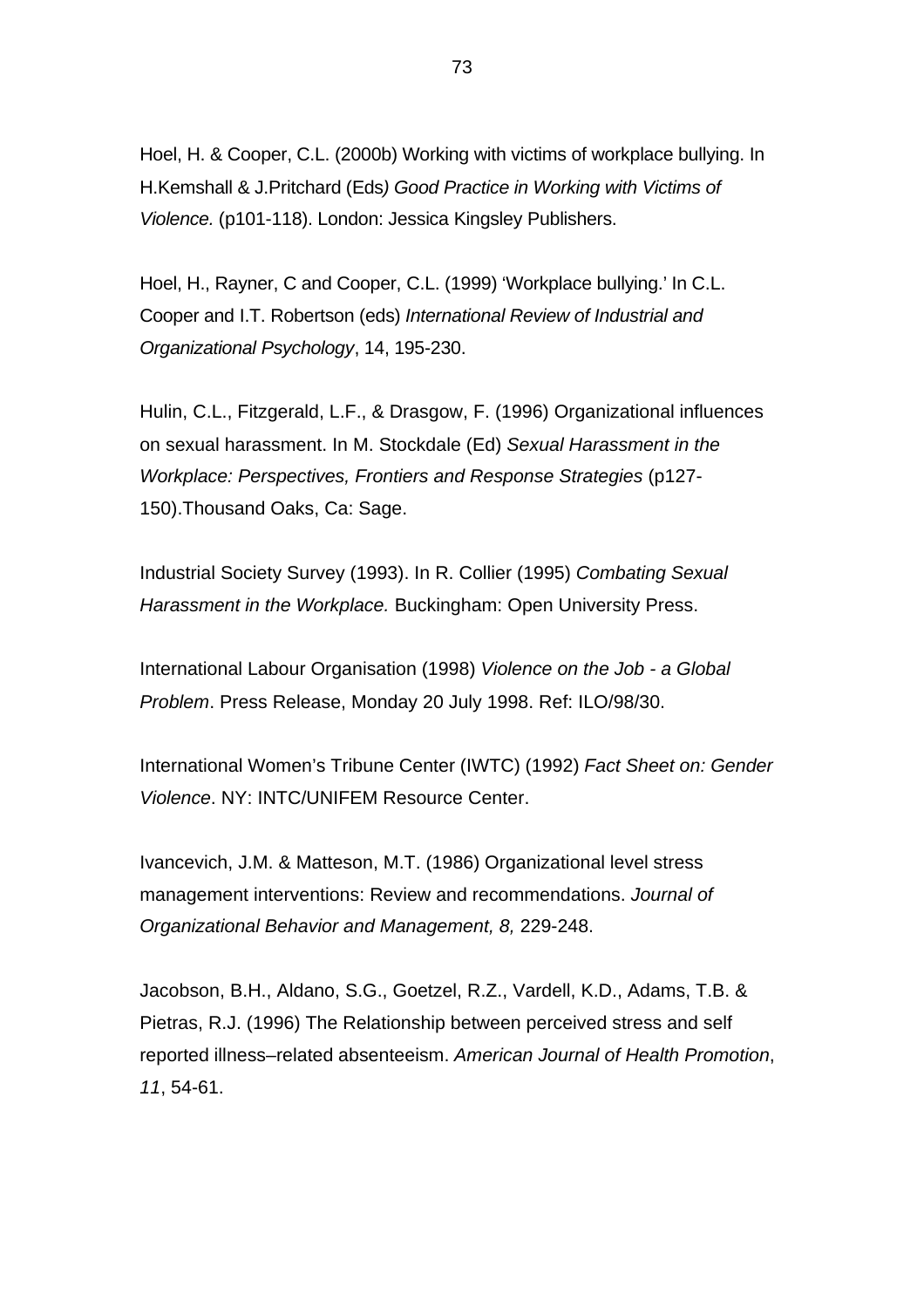Hoel, H. & Cooper, C.L. (2000b) Working with victims of workplace bullying. In H.Kemshall & J.Pritchard (Eds*) Good Practice in Working with Victims of Violence.* (p101-118). London: Jessica Kingsley Publishers.

Hoel, H., Rayner, C and Cooper, C.L. (1999) 'Workplace bullying.' In C.L. Cooper and I.T. Robertson (eds) *International Review of Industrial and Organizational Psychology*, 14, 195-230.

Hulin, C.L., Fitzgerald, L.F., & Drasgow, F. (1996) Organizational influences on sexual harassment. In M. Stockdale (Ed) *Sexual Harassment in the Workplace: Perspectives, Frontiers and Response Strategies* (p127- 150).Thousand Oaks, Ca: Sage.

Industrial Society Survey (1993). In R. Collier (1995) *Combating Sexual Harassment in the Workplace.* Buckingham: Open University Press.

International Labour Organisation (1998) *Violence on the Job - a Global Problem*. Press Release, Monday 20 July 1998. Ref: ILO/98/30.

International Women's Tribune Center (IWTC) (1992) *Fact Sheet on: Gender Violence*. NY: INTC/UNIFEM Resource Center.

Ivancevich, J.M. & Matteson, M.T. (1986) Organizational level stress management interventions: Review and recommendations. *Journal of Organizational Behavior and Management, 8,* 229-248.

Jacobson, B.H., Aldano, S.G., Goetzel, R.Z., Vardell, K.D., Adams, T.B. & Pietras, R.J. (1996) The Relationship between perceived stress and self reported illness–related absenteeism. *American Journal of Health Promotion*, *11*, 54-61.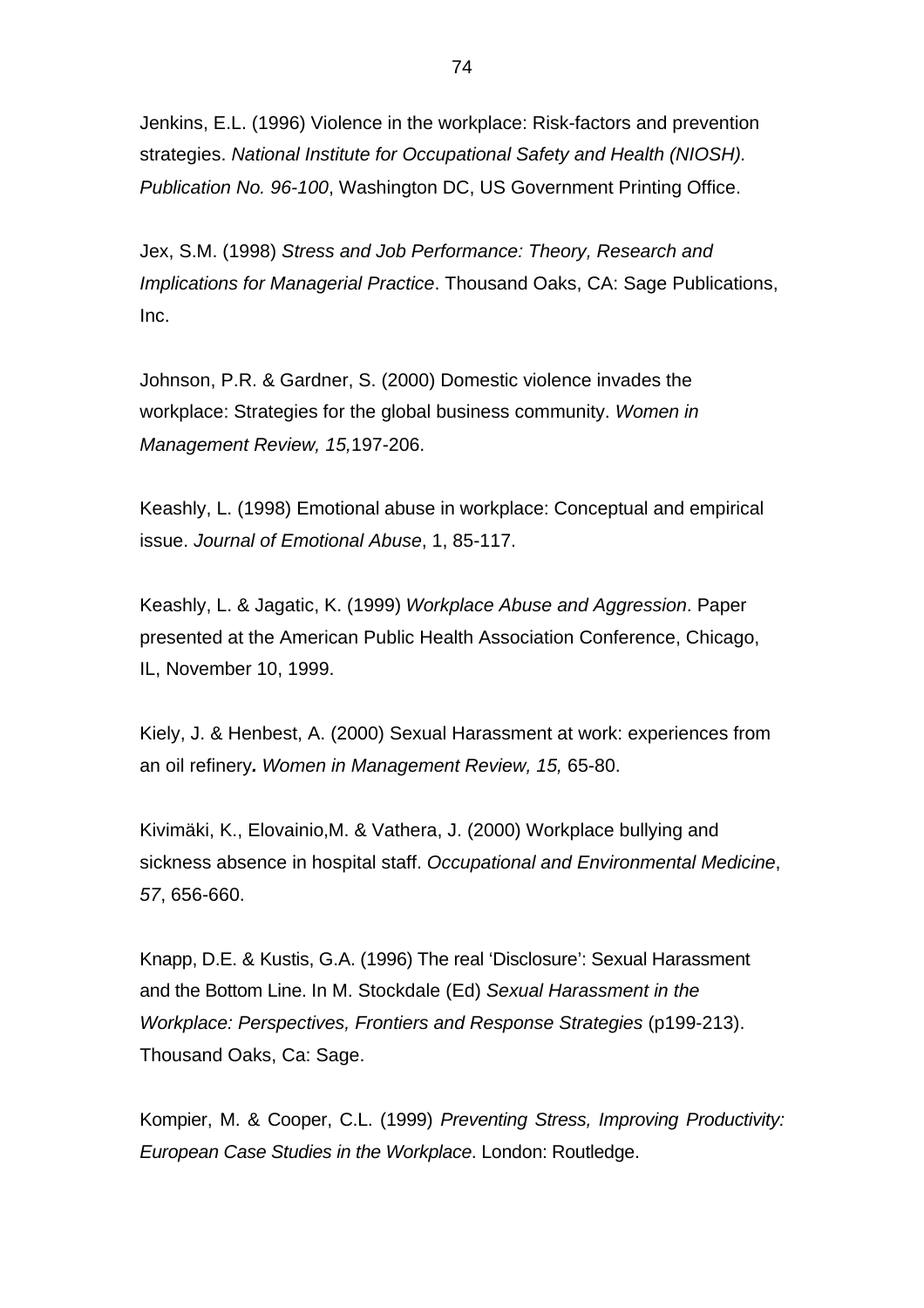Jenkins, E.L. (1996) Violence in the workplace: Risk-factors and prevention strategies. *National Institute for Occupational Safety and Health (NIOSH). Publication No. 96-100*, Washington DC, US Government Printing Office.

Jex, S.M. (1998) *Stress and Job Performance: Theory, Research and Implications for Managerial Practice*. Thousand Oaks, CA: Sage Publications, Inc.

Johnson, P.R. & Gardner, S. (2000) Domestic violence invades the workplace: Strategies for the global business community. *Women in Management Review, 15,*197-206.

Keashly, L. (1998) Emotional abuse in workplace: Conceptual and empirical issue. *Journal of Emotional Abuse*, 1, 85-117.

Keashly, L. & Jagatic, K. (1999) *Workplace Abuse and Aggression*. Paper presented at the American Public Health Association Conference, Chicago, IL, November 10, 1999.

Kiely, J. & Henbest, A. (2000) Sexual Harassment at work: experiences from an oil refinery*. Women in Management Review, 15,* 65-80.

Kivimäki, K., Elovainio,M. & Vathera, J. (2000) Workplace bullying and sickness absence in hospital staff. *Occupational and Environmental Medicine*, *57*, 656-660.

Knapp, D.E. & Kustis, G.A. (1996) The real 'Disclosure': Sexual Harassment and the Bottom Line. In M. Stockdale (Ed) *Sexual Harassment in the Workplace: Perspectives, Frontiers and Response Strategies* (p199-213). Thousand Oaks, Ca: Sage.

Kompier, M. & Cooper, C.L. (1999) *Preventing Stress, Improving Productivity: European Case Studies in the Workplace*. London: Routledge.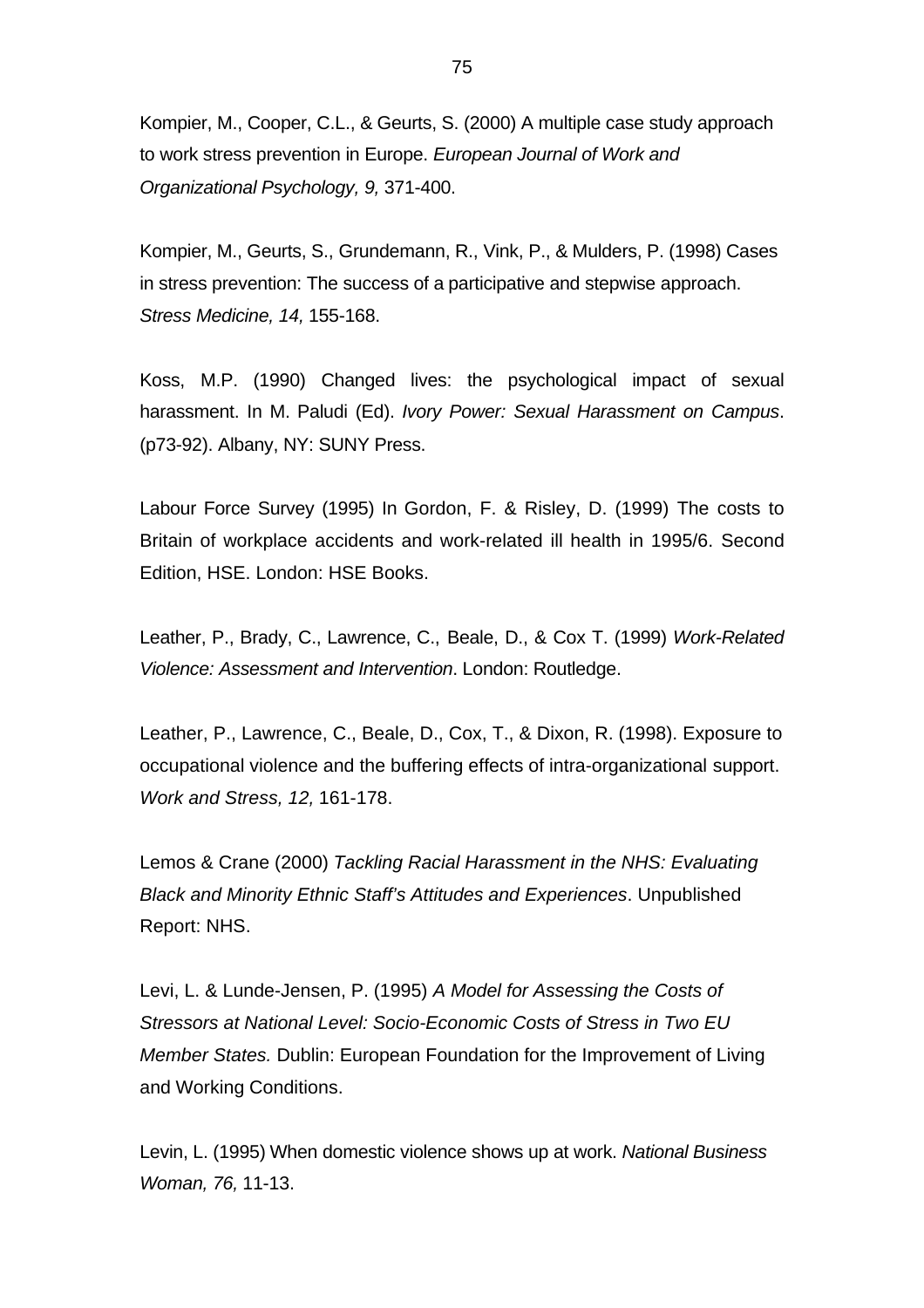Kompier, M., Cooper, C.L., & Geurts, S. (2000) A multiple case study approach to work stress prevention in Europe. *European Journal of Work and Organizational Psychology, 9,* 371-400.

Kompier, M., Geurts, S., Grundemann, R., Vink, P., & Mulders, P. (1998) Cases in stress prevention: The success of a participative and stepwise approach. *Stress Medicine, 14,* 155-168.

Koss, M.P. (1990) Changed lives: the psychological impact of sexual harassment. In M. Paludi (Ed). *Ivory Power: Sexual Harassment on Campus*. (p73-92). Albany, NY: SUNY Press.

Labour Force Survey (1995) In Gordon, F. & Risley, D. (1999) The costs to Britain of workplace accidents and work-related ill health in 1995/6. Second Edition, HSE. London: HSE Books.

Leather, P., Brady, C., Lawrence, C., Beale, D., & Cox T. (1999) *Work-Related Violence: Assessment and Intervention*. London: Routledge.

Leather, P., Lawrence, C., Beale, D., Cox, T., & Dixon, R. (1998). Exposure to occupational violence and the buffering effects of intra-organizational support. *Work and Stress, 12,* 161-178.

Lemos & Crane (2000) *Tackling Racial Harassment in the NHS: Evaluating Black and Minority Ethnic Staff's Attitudes and Experiences*. Unpublished Report: NHS.

Levi, L. & Lunde-Jensen, P. (1995) *A Model for Assessing the Costs of Stressors at National Level: Socio-Economic Costs of Stress in Two EU Member States.* Dublin: European Foundation for the Improvement of Living and Working Conditions.

Levin, L. (1995) When domestic violence shows up at work. *National Business Woman, 76,* 11-13.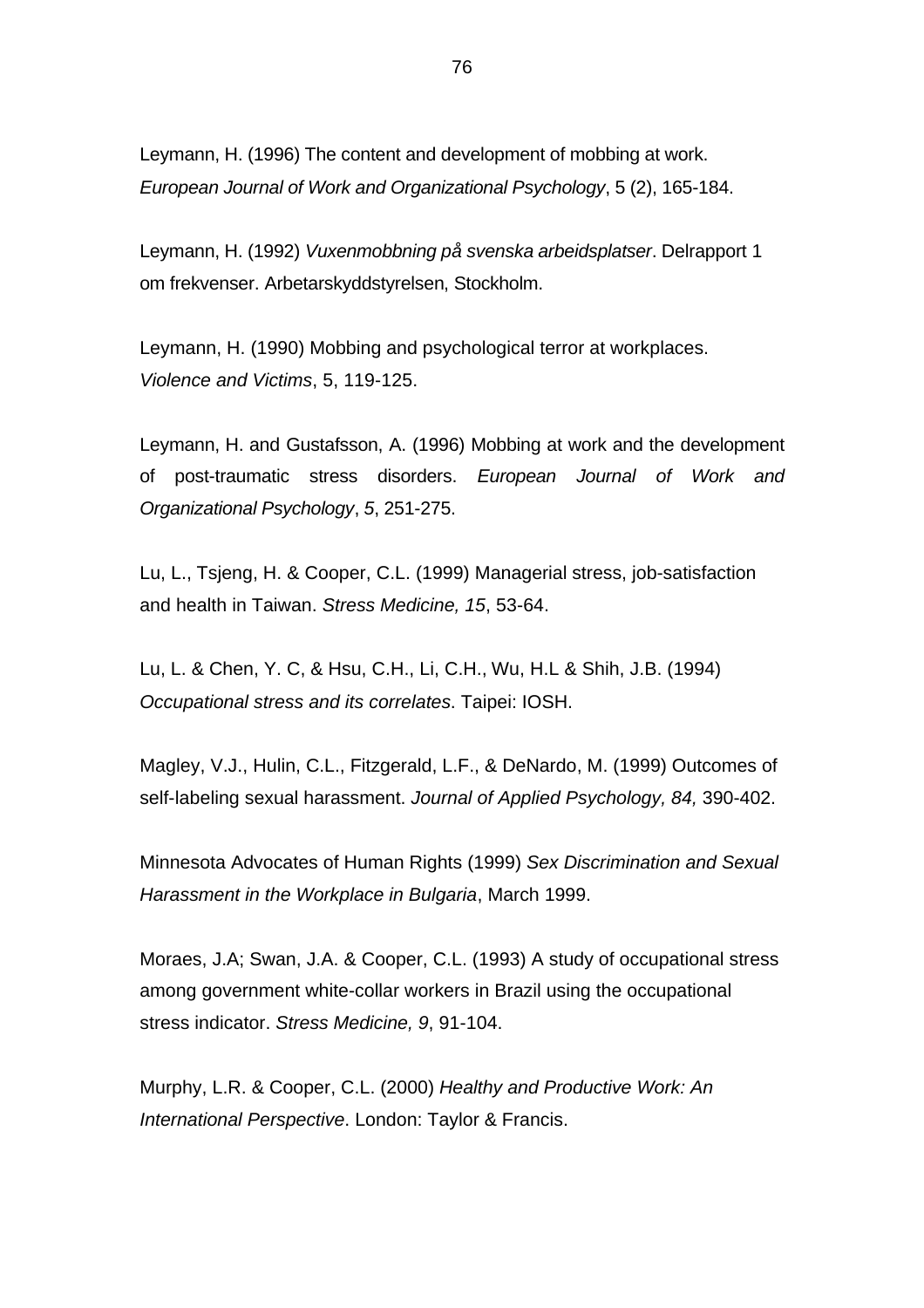Leymann, H. (1996) The content and development of mobbing at work. *European Journal of Work and Organizational Psychology*, 5 (2), 165-184.

Leymann, H. (1992) *Vuxenmobbning på svenska arbeidsplatser*. Delrapport 1 om frekvenser. Arbetarskyddstyrelsen, Stockholm.

Leymann, H. (1990) Mobbing and psychological terror at workplaces. *Violence and Victims*, 5, 119-125.

Leymann, H. and Gustafsson, A. (1996) Mobbing at work and the development of post-traumatic stress disorders. *European Journal of Work and Organizational Psychology*, *5*, 251-275.

Lu, L., Tsjeng, H. & Cooper, C.L. (1999) Managerial stress, job-satisfaction and health in Taiwan. *Stress Medicine, 15*, 53-64.

Lu, L. & Chen, Y. C, & Hsu, C.H., Li, C.H., Wu, H.L & Shih, J.B. (1994) *Occupational stress and its correlates*. Taipei: IOSH.

Magley, V.J., Hulin, C.L., Fitzgerald, L.F., & DeNardo, M. (1999) Outcomes of self-labeling sexual harassment. *Journal of Applied Psychology, 84,* 390-402.

Minnesota Advocates of Human Rights (1999) *Sex Discrimination and Sexual Harassment in the Workplace in Bulgaria*, March 1999.

Moraes, J.A; Swan, J.A. & Cooper, C.L. (1993) A study of occupational stress among government white-collar workers in Brazil using the occupational stress indicator. *Stress Medicine, 9*, 91-104.

Murphy, L.R. & Cooper, C.L. (2000) *Healthy and Productive Work: An International Perspective*. London: Taylor & Francis.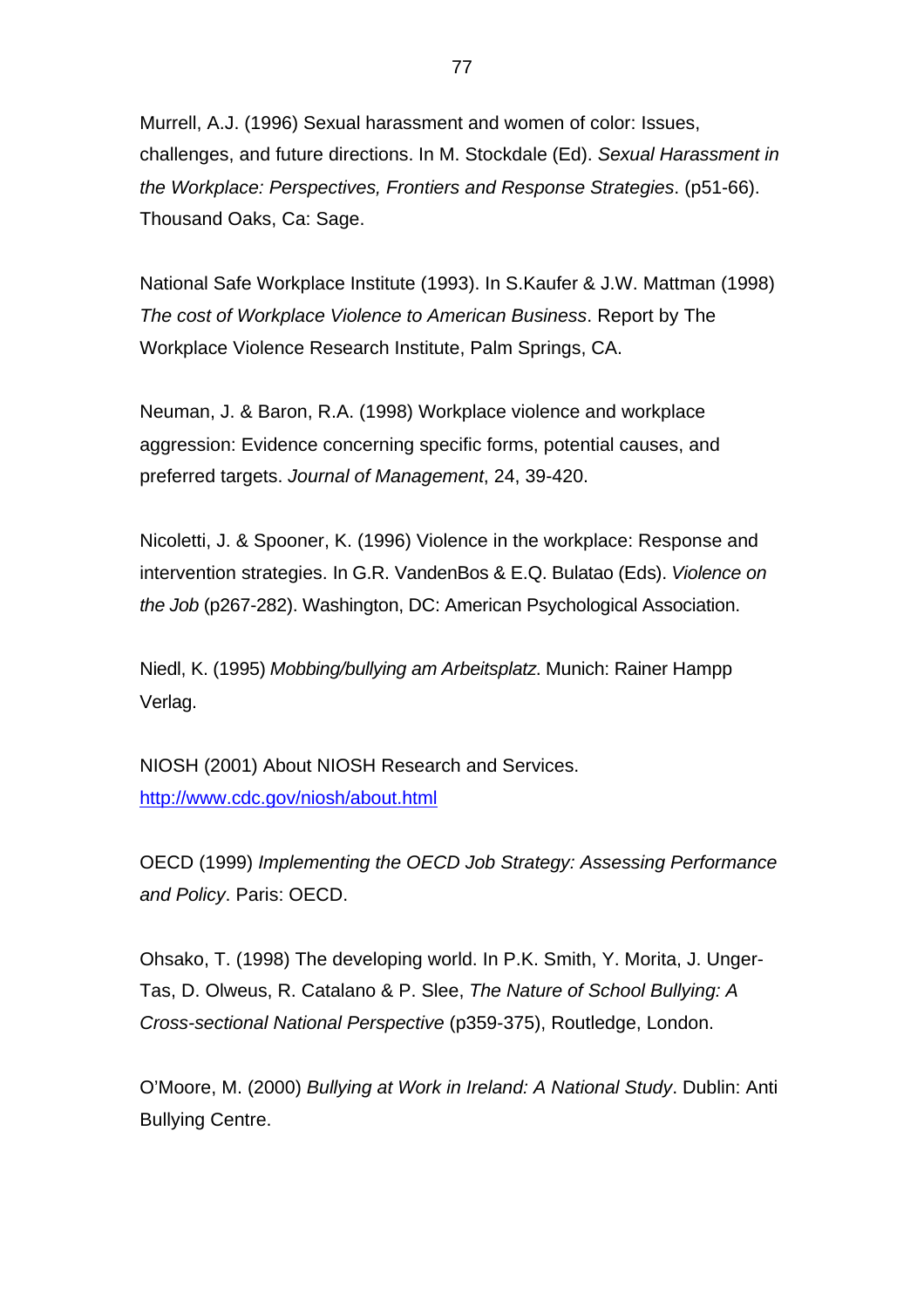Murrell, A.J. (1996) Sexual harassment and women of color: Issues, challenges, and future directions. In M. Stockdale (Ed). *Sexual Harassment in the Workplace: Perspectives, Frontiers and Response Strategies*. (p51-66). Thousand Oaks, Ca: Sage.

National Safe Workplace Institute (1993). In S.Kaufer & J.W. Mattman (1998) *The cost of Workplace Violence to American Business*. Report by The Workplace Violence Research Institute, Palm Springs, CA.

Neuman, J. & Baron, R.A. (1998) Workplace violence and workplace aggression: Evidence concerning specific forms, potential causes, and preferred targets. *Journal of Management*, 24, 39-420.

Nicoletti, J. & Spooner, K. (1996) Violence in the workplace: Response and intervention strategies. In G.R. VandenBos & E.Q. Bulatao (Eds). *Violence on the Job* (p267-282). Washington, DC: American Psychological Association.

Niedl, K. (1995) *Mobbing/bullying am Arbeitsplatz*. Munich: Rainer Hampp Verlag.

NIOSH (2001) About NIOSH Research and Services. http://www.cdc.gov/niosh/about.html

OECD (1999) *Implementing the OECD Job Strategy: Assessing Performance and Policy*. Paris: OECD.

Ohsako, T. (1998) The developing world. In P.K. Smith, Y. Morita, J. Unger-Tas, D. Olweus, R. Catalano & P. Slee, *The Nature of School Bullying: A Cross-sectional National Perspective* (p359-375), Routledge, London.

O'Moore, M. (2000) *Bullying at Work in Ireland: A National Study*. Dublin: Anti Bullying Centre.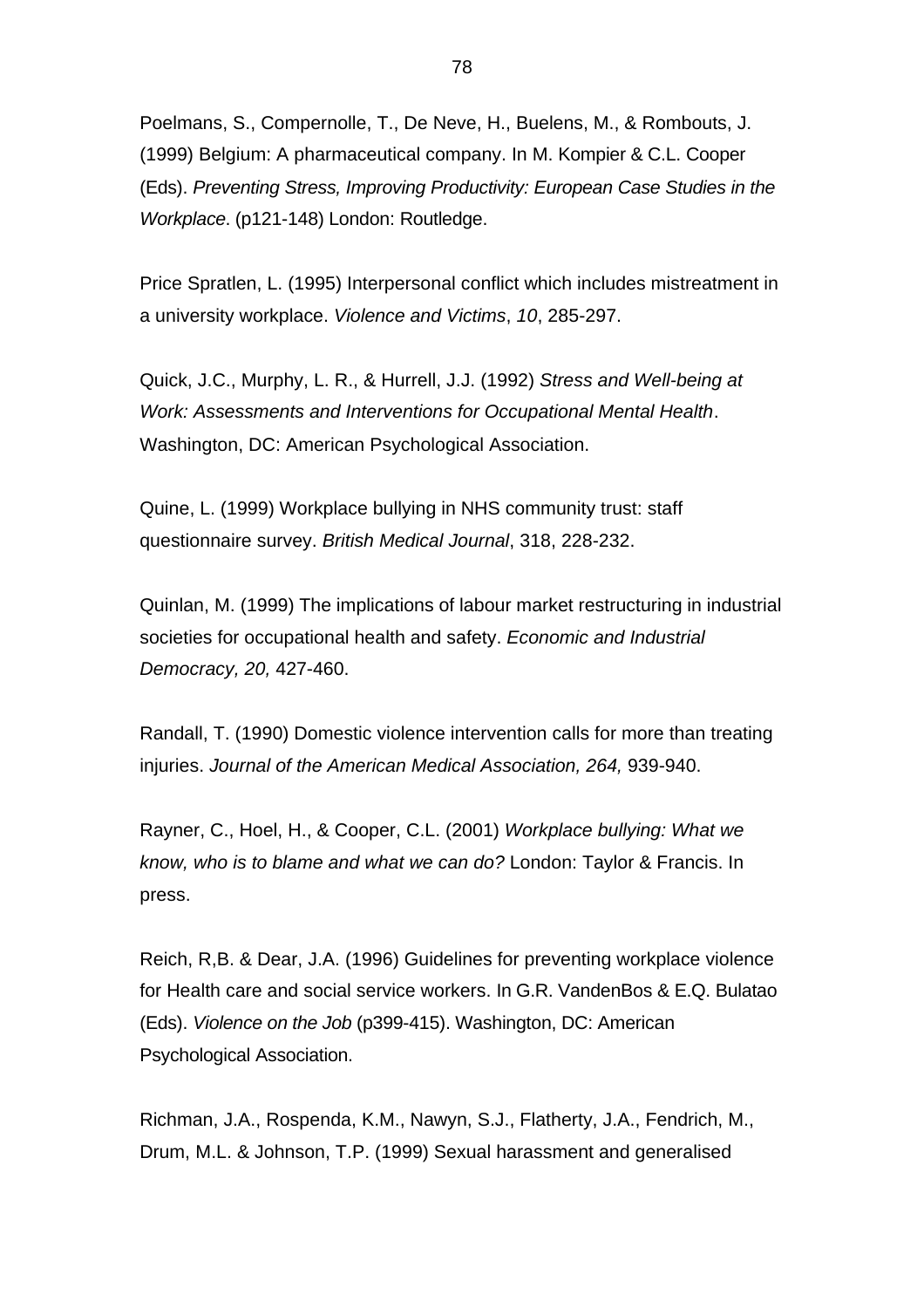Poelmans, S., Compernolle, T., De Neve, H., Buelens, M., & Rombouts, J. (1999) Belgium: A pharmaceutical company. In M. Kompier & C.L. Cooper (Eds). *Preventing Stress, Improving Productivity: European Case Studies in the Workplace*. (p121-148) London: Routledge.

Price Spratlen, L. (1995) Interpersonal conflict which includes mistreatment in a university workplace. *Violence and Victims*, *10*, 285-297.

Quick, J.C., Murphy, L. R., & Hurrell, J.J. (1992) *Stress and Well-being at Work: Assessments and Interventions for Occupational Mental Health*. Washington, DC: American Psychological Association.

Quine, L. (1999) Workplace bullying in NHS community trust: staff questionnaire survey. *British Medical Journal*, 318, 228-232.

Quinlan, M. (1999) The implications of labour market restructuring in industrial societies for occupational health and safety. *Economic and Industrial Democracy, 20,* 427-460.

Randall, T. (1990) Domestic violence intervention calls for more than treating injuries. *Journal of the American Medical Association, 264,* 939-940.

Rayner, C., Hoel, H., & Cooper, C.L. (2001) *Workplace bullying: What we know, who is to blame and what we can do?* London: Taylor & Francis. In press.

Reich, R,B. & Dear, J.A. (1996) Guidelines for preventing workplace violence for Health care and social service workers. In G.R. VandenBos & E.Q. Bulatao (Eds). *Violence on the Job* (p399-415). Washington, DC: American Psychological Association.

Richman, J.A., Rospenda, K.M., Nawyn, S.J., Flatherty, J.A., Fendrich, M., Drum, M.L. & Johnson, T.P. (1999) Sexual harassment and generalised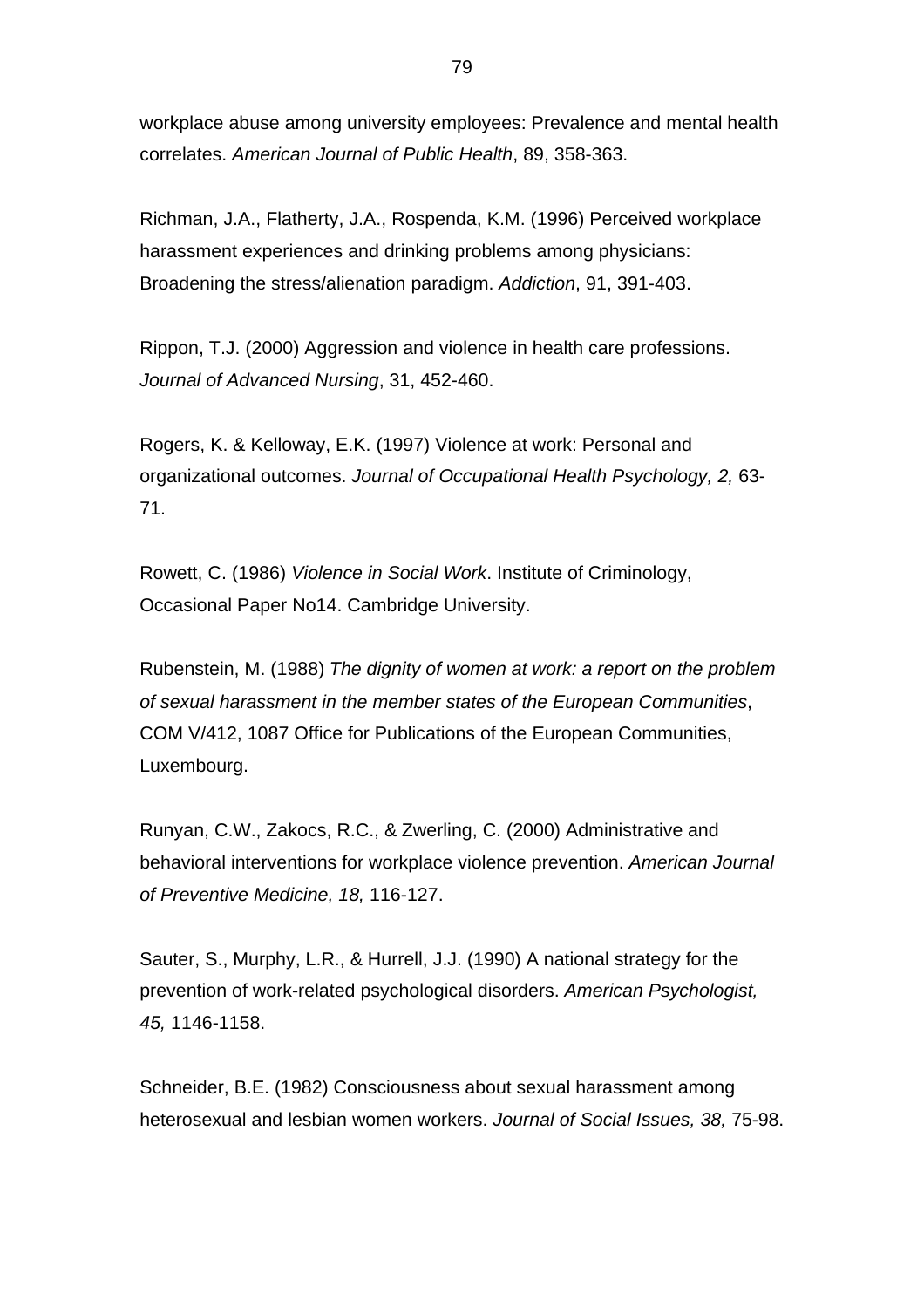workplace abuse among university employees: Prevalence and mental health correlates. *American Journal of Public Health*, 89, 358-363.

Richman, J.A., Flatherty, J.A., Rospenda, K.M. (1996) Perceived workplace harassment experiences and drinking problems among physicians: Broadening the stress/alienation paradigm. *Addiction*, 91, 391-403.

Rippon, T.J. (2000) Aggression and violence in health care professions. *Journal of Advanced Nursing*, 31, 452-460.

Rogers, K. & Kelloway, E.K. (1997) Violence at work: Personal and organizational outcomes. *Journal of Occupational Health Psychology, 2,* 63- 71.

Rowett, C. (1986) *Violence in Social Work*. Institute of Criminology, Occasional Paper No14. Cambridge University.

Rubenstein, M. (1988) *The dignity of women at work: a report on the problem of sexual harassment in the member states of the European Communities*, COM V/412, 1087 Office for Publications of the European Communities, Luxembourg.

Runyan, C.W., Zakocs, R.C., & Zwerling, C. (2000) Administrative and behavioral interventions for workplace violence prevention. *American Journal of Preventive Medicine, 18,* 116-127.

Sauter, S., Murphy, L.R., & Hurrell, J.J. (1990) A national strategy for the prevention of work-related psychological disorders. *American Psychologist, 45,* 1146-1158.

Schneider, B.E. (1982) Consciousness about sexual harassment among heterosexual and lesbian women workers. *Journal of Social Issues, 38,* 75-98.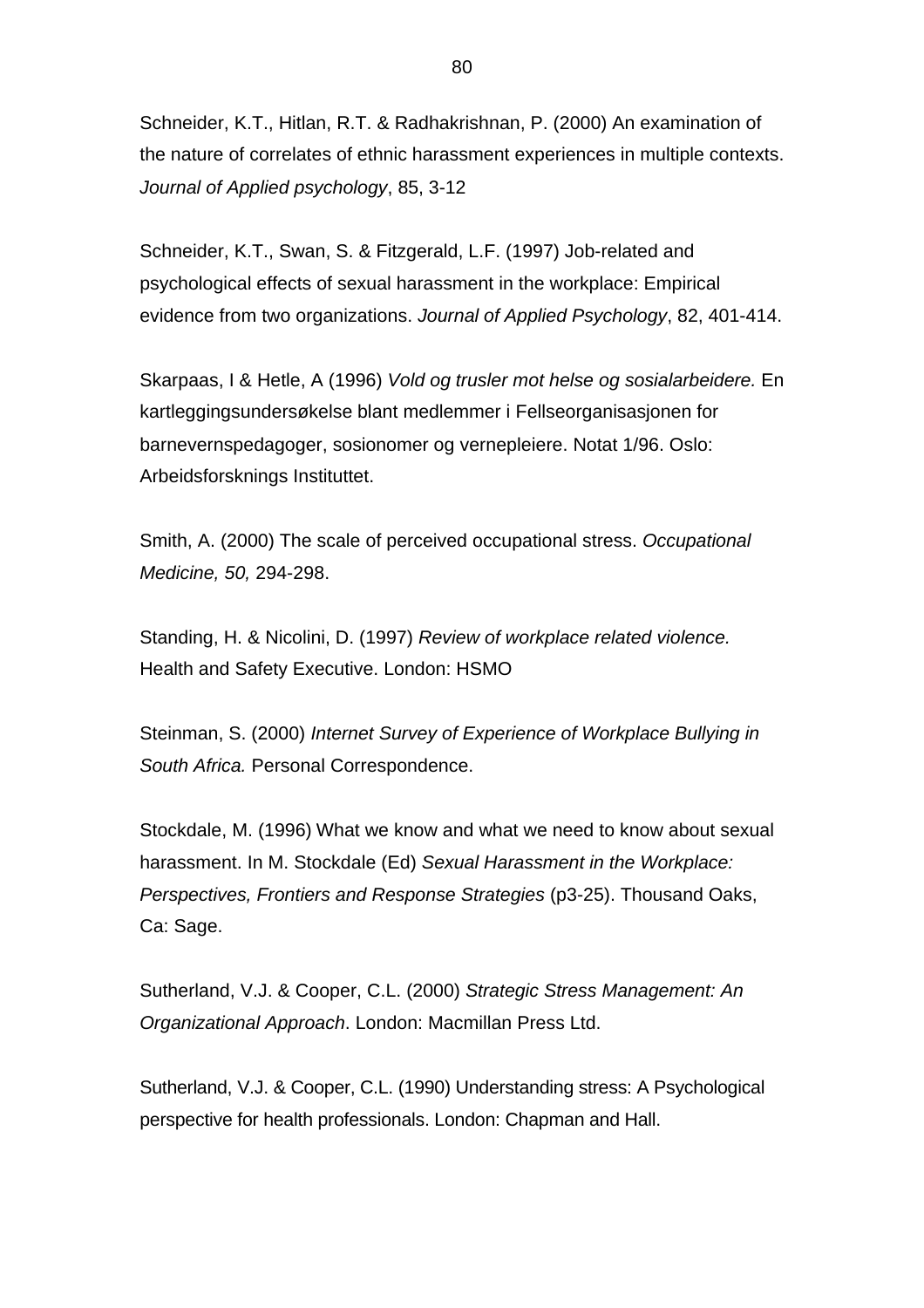Schneider, K.T., Hitlan, R.T. & Radhakrishnan, P. (2000) An examination of the nature of correlates of ethnic harassment experiences in multiple contexts. *Journal of Applied psychology*, 85, 3-12

Schneider, K.T., Swan, S. & Fitzgerald, L.F. (1997) Job-related and psychological effects of sexual harassment in the workplace: Empirical evidence from two organizations. *Journal of Applied Psychology*, 82, 401-414.

Skarpaas, I & Hetle, A (1996) *Vold og trusler mot helse og sosialarbeidere.* En kartleggingsundersøkelse blant medlemmer i Fellseorganisasjonen for barnevernspedagoger, sosionomer og vernepleiere. Notat 1/96. Oslo: Arbeidsforsknings Instituttet.

Smith, A. (2000) The scale of perceived occupational stress. *Occupational Medicine, 50,* 294-298.

Standing, H. & Nicolini, D. (1997) *Review of workplace related violence.* Health and Safety Executive. London: HSMO

Steinman, S. (2000) *Internet Survey of Experience of Workplace Bullying in South Africa.* Personal Correspondence.

Stockdale, M. (1996) What we know and what we need to know about sexual harassment. In M. Stockdale (Ed) *Sexual Harassment in the Workplace: Perspectives, Frontiers and Response Strategies* (p3-25). Thousand Oaks, Ca: Sage.

Sutherland, V.J. & Cooper, C.L. (2000) *Strategic Stress Management: An Organizational Approach*. London: Macmillan Press Ltd.

Sutherland, V.J. & Cooper, C.L. (1990) Understanding stress: A Psychological perspective for health professionals. London: Chapman and Hall.